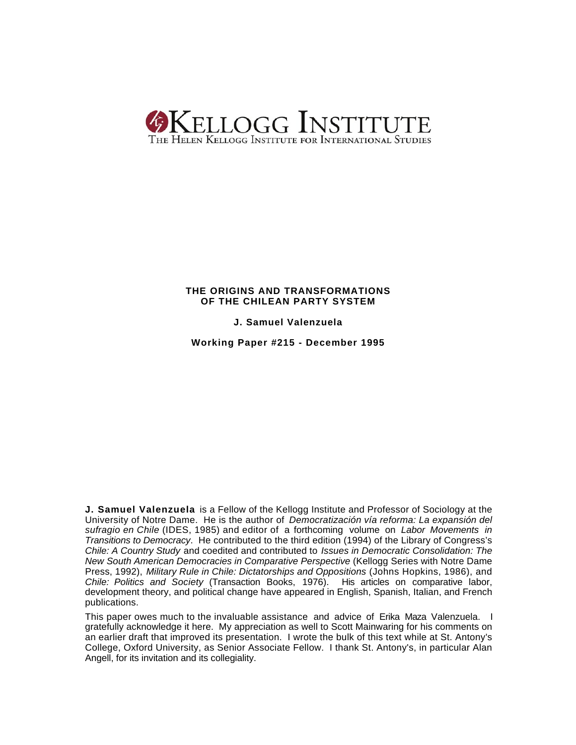

# **THE ORIGINS AND TRANSFORMATIONS OF THE CHILEAN PARTY SYSTEM**

**J. Samuel Valenzuela**

**Working Paper #215 - December 1995**

**J. Samuel Valenzuela** is a Fellow of the Kellogg Institute and Professor of Sociology at the University of Notre Dame. He is the author of *Democratización vía reforma: La expansión del sufragio en Chile* (IDES, 1985) and editor of a forthcoming volume on *Labor Movements in Transitions to Democracy*. He contributed to the third edition (1994) of the Library of Congress's *Chile: A Country Study* and coedited and contributed to *Issues in Democratic Consolidation: The New South American Democracies in Comparative Perspective* (Kellogg Series with Notre Dame Press, 1992), *Military Rule in Chile: Dictatorships and Oppositions* (Johns Hopkins, 1986), and *Chile: Politics and Society* (Transaction Books, 1976). His articles on comparative labor, development theory, and political change have appeared in English, Spanish, Italian, and French publications.

This paper owes much to the invaluable assistance and advice of Erika Maza Valenzuela. I gratefully acknowledge it here. My appreciation as well to Scott Mainwaring for his comments on an earlier draft that improved its presentation. I wrote the bulk of this text while at St. Antony's College, Oxford University, as Senior Associate Fellow. I thank St. Antony's, in particular Alan Angell, for its invitation and its collegiality.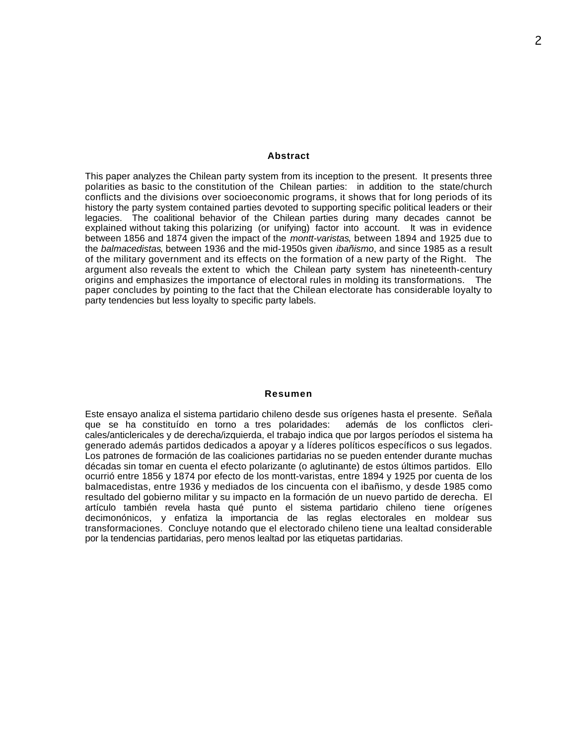# **Abstract**

This paper analyzes the Chilean party system from its inception to the present. It presents three polarities as basic to the constitution of the Chilean parties: in addition to the state/church conflicts and the divisions over socioeconomic programs, it shows that for long periods of its history the party system contained parties devoted to supporting specific political leaders or their legacies. The coalitional behavior of the Chilean parties during many decades cannot be explained without taking this polarizing (or unifying) factor into account. It was in evidence between 1856 and 1874 given the impact of the *montt-varistas*, between 1894 and 1925 due to the *balmacedistas*, between 1936 and the mid-1950s given *ibañismo*, and since 1985 as a result of the military government and its effects on the formation of a new party of the Right. The argument also reveals the extent to which the Chilean party system has nineteenth-century origins and emphasizes the importance of electoral rules in molding its transformations. The paper concludes by pointing to the fact that the Chilean electorate has considerable loyalty to party tendencies but less loyalty to specific party labels.

# **Resumen**

Este ensayo analiza el sistema partidario chileno desde sus orígenes hasta el presente. Señala que se ha constituído en torno a tres polaridades: además de los conflictos clericales/anticlericales y de derecha/izquierda, el trabajo indica que por largos períodos el sistema ha generado además partidos dedicados a apoyar y a líderes políticos específicos o sus legados. Los patrones de formación de las coaliciones partidarias no se pueden entender durante muchas décadas sin tomar en cuenta el efecto polarizante (o aglutinante) de estos últimos partidos. Ello ocurrió entre 1856 y 1874 por efecto de los montt-varistas, entre 1894 y 1925 por cuenta de los balmacedistas, entre 1936 y mediados de los cincuenta con el ibañismo, y desde 1985 como resultado del gobierno militar y su impacto en la formación de un nuevo partido de derecha. El artículo también revela hasta qué punto el sistema partidario chileno tiene orígenes decimonónicos, y enfatiza la importancia de las reglas electorales en moldear sus transformaciones. Concluye notando que el electorado chileno tiene una lealtad considerable por la tendencias partidarias, pero menos lealtad por las etiquetas partidarias.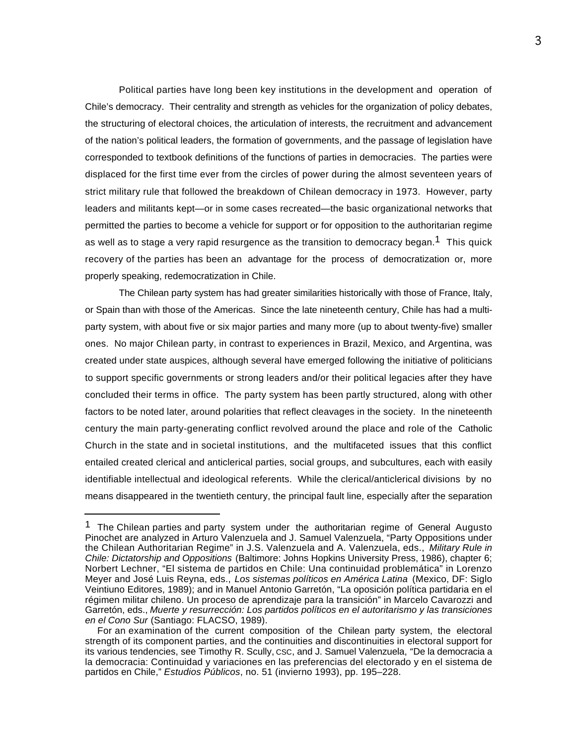Political parties have long been key institutions in the development and operation of Chile's democracy. Their centrality and strength as vehicles for the organization of policy debates, the structuring of electoral choices, the articulation of interests, the recruitment and advancement of the nation's political leaders, the formation of governments, and the passage of legislation have corresponded to textbook definitions of the functions of parties in democracies. The parties were displaced for the first time ever from the circles of power during the almost seventeen years of strict military rule that followed the breakdown of Chilean democracy in 1973. However, party leaders and militants kept—or in some cases recreated—the basic organizational networks that permitted the parties to become a vehicle for support or for opposition to the authoritarian regime as well as to stage a very rapid resurgence as the transition to democracy began.<sup>1</sup> This quick recovery of the parties has been an advantage for the process of democratization or, more properly speaking, redemocratization in Chile.

The Chilean party system has had greater similarities historically with those of France, Italy, or Spain than with those of the Americas. Since the late nineteenth century, Chile has had a multiparty system, with about five or six major parties and many more (up to about twenty-five) smaller ones. No major Chilean party, in contrast to experiences in Brazil, Mexico, and Argentina, was created under state auspices, although several have emerged following the initiative of politicians to support specific governments or strong leaders and/or their political legacies after they have concluded their terms in office. The party system has been partly structured, along with other factors to be noted later, around polarities that reflect cleavages in the society. In the nineteenth century the main party-generating conflict revolved around the place and role of the Catholic Church in the state and in societal institutions, and the multifaceted issues that this conflict entailed created clerical and anticlerical parties, social groups, and subcultures, each with easily identifiable intellectual and ideological referents. While the clerical/anticlerical divisions by no means disappeared in the twentieth century, the principal fault line, especially after the separation

<sup>&</sup>lt;sup>1</sup> The Chilean parties and party system under the authoritarian regime of General Augusto Pinochet are analyzed in Arturo Valenzuela and J. Samuel Valenzuela, "Party Oppositions under the Chilean Authoritarian Regime" in J.S. Valenzuela and A. Valenzuela, eds., *Military Rule in Chile: Dictatorship and Oppositions* (Baltimore: Johns Hopkins University Press, 1986), chapter 6; Norbert Lechner, "El sistema de partidos en Chile: Una continuidad problemática" in Lorenzo Meyer and José Luis Reyna, eds., *Los sistemas políticos en América Latina* (Mexico, DF: Siglo Veintiuno Editores, 1989); and in Manuel Antonio Garretón, "La oposición política partidaria en el régimen militar chileno. Un proceso de aprendizaje para la transición" in Marcelo Cavarozzi and Garretón, eds., *Muerte y resurrección: Los partidos políticos en el autoritarismo y las transiciones en el Cono Sur* (Santiago: FLACSO, 1989).

For an examination of the current composition of the Chilean party system, the electoral strength of its component parties, and the continuities and discontinuities in electoral support for its various tendencies, see Timothy R. Scully, CSC, and J. Samuel Valenzuela, *"*De la democracia a la democracia: Continuidad y variaciones en las preferencias del electorado y en el sistema de partidos en Chile," *Estudios Públicos*, no. 51 (invierno 1993), pp. 195–228.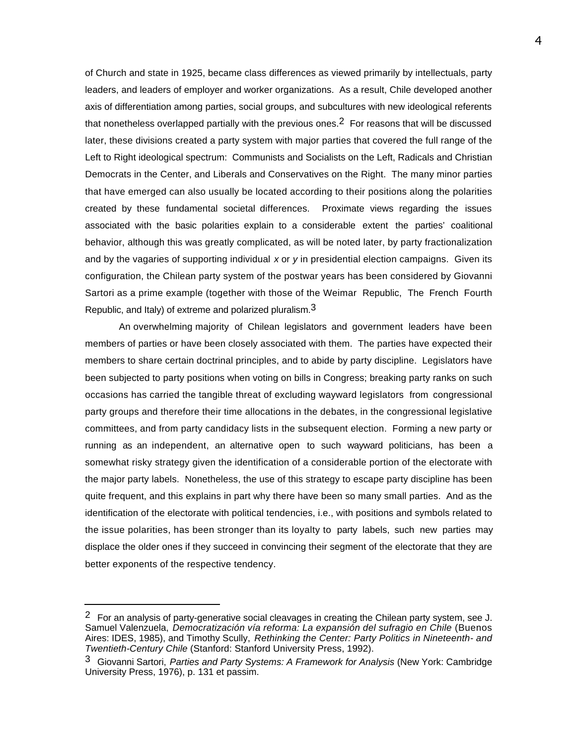of Church and state in 1925, became class differences as viewed primarily by intellectuals, party leaders, and leaders of employer and worker organizations. As a result, Chile developed another axis of differentiation among parties, social groups, and subcultures with new ideological referents that nonetheless overlapped partially with the previous ones.<sup>2</sup> For reasons that will be discussed later, these divisions created a party system with major parties that covered the full range of the Left to Right ideological spectrum: Communists and Socialists on the Left, Radicals and Christian Democrats in the Center, and Liberals and Conservatives on the Right. The many minor parties that have emerged can also usually be located according to their positions along the polarities created by these fundamental societal differences. Proximate views regarding the issues associated with the basic polarities explain to a considerable extent the parties' coalitional behavior, although this was greatly complicated, as will be noted later, by party fractionalization and by the vagaries of supporting individual *x* or *y* in presidential election campaigns. Given its configuration, the Chilean party system of the postwar years has been considered by Giovanni Sartori as a prime example (together with those of the Weimar Republic, The French Fourth Republic, and Italy) of extreme and polarized pluralism.  $3$ 

An overwhelming majority of Chilean legislators and government leaders have been members of parties or have been closely associated with them. The parties have expected their members to share certain doctrinal principles, and to abide by party discipline. Legislators have been subjected to party positions when voting on bills in Congress; breaking party ranks on such occasions has carried the tangible threat of excluding wayward legislators from congressional party groups and therefore their time allocations in the debates, in the congressional legislative committees, and from party candidacy lists in the subsequent election. Forming a new party or running as an independent, an alternative open to such wayward politicians, has been a somewhat risky strategy given the identification of a considerable portion of the electorate with the major party labels. Nonetheless, the use of this strategy to escape party discipline has been quite frequent, and this explains in part why there have been so many small parties. And as the identification of the electorate with political tendencies, i.e., with positions and symbols related to the issue polarities, has been stronger than its loyalty to party labels, such new parties may displace the older ones if they succeed in convincing their segment of the electorate that they are better exponents of the respective tendency.

<sup>&</sup>lt;sup>2</sup> For an analysis of party-generative social cleavages in creating the Chilean party system, see J. Samuel Valenzuela, *Democratización vía reforma: La expansión del sufragio en Chile* (Buenos Aires: IDES, 1985), and Timothy Scully, *Rethinking the Center: Party Politics in Nineteenth- and Twentieth-Century Chile* (Stanford: Stanford University Press, 1992).

<sup>3</sup> Giovanni Sartori, *Parties and Party Systems: A Framework for Analysis* (New York: Cambridge University Press, 1976), p. 131 et passim.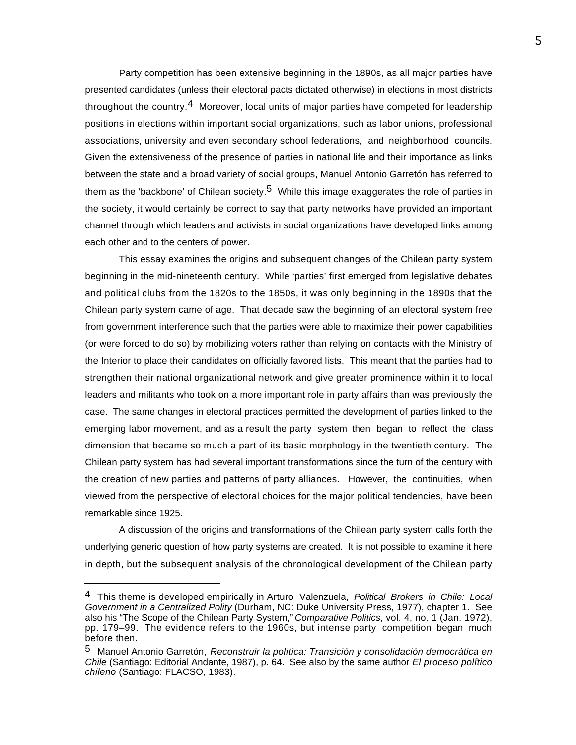Party competition has been extensive beginning in the 1890s, as all major parties have presented candidates (unless their electoral pacts dictated otherwise) in elections in most districts throughout the country.4 Moreover, local units of major parties have competed for leadership positions in elections within important social organizations, such as labor unions, professional associations, university and even secondary school federations, and neighborhood councils. Given the extensiveness of the presence of parties in national life and their importance as links between the state and a broad variety of social groups, Manuel Antonio Garretón has referred to them as the 'backbone' of Chilean society.<sup>5</sup> While this image exaggerates the role of parties in the society, it would certainly be correct to say that party networks have provided an important channel through which leaders and activists in social organizations have developed links among each other and to the centers of power.

This essay examines the origins and subsequent changes of the Chilean party system beginning in the mid-nineteenth century. While 'parties' first emerged from legislative debates and political clubs from the 1820s to the 1850s, it was only beginning in the 1890s that the Chilean party system came of age. That decade saw the beginning of an electoral system free from government interference such that the parties were able to maximize their power capabilities (or were forced to do so) by mobilizing voters rather than relying on contacts with the Ministry of the Interior to place their candidates on officially favored lists. This meant that the parties had to strengthen their national organizational network and give greater prominence within it to local leaders and militants who took on a more important role in party affairs than was previously the case. The same changes in electoral practices permitted the development of parties linked to the emerging labor movement, and as a result the party system then began to reflect the class dimension that became so much a part of its basic morphology in the twentieth century. The Chilean party system has had several important transformations since the turn of the century with the creation of new parties and patterns of party alliances. However, the continuities, when viewed from the perspective of electoral choices for the major political tendencies, have been remarkable since 1925.

A discussion of the origins and transformations of the Chilean party system calls forth the underlying generic question of how party systems are created. It is not possible to examine it here in depth, but the subsequent analysis of the chronological development of the Chilean party

<sup>4</sup> This theme is developed empirically in Arturo Valenzuela, *Political Brokers in Chile: Local Government in a Centralized Polity* (Durham, NC: Duke University Press, 1977), chapter 1. See also his "The Scope of the Chilean Party System," *Comparative Politics*, vol. 4, no. 1 (Jan. 1972), pp. 179–99. The evidence refers to the 1960s, but intense party competition began much before then.

<sup>5</sup> Manuel Antonio Garretón, *Reconstruir la política: Transición y consolidación democrática en Chile* (Santiago: Editorial Andante, 1987), p. 64. See also by the same author *El proceso político chileno* (Santiago: FLACSO, 1983).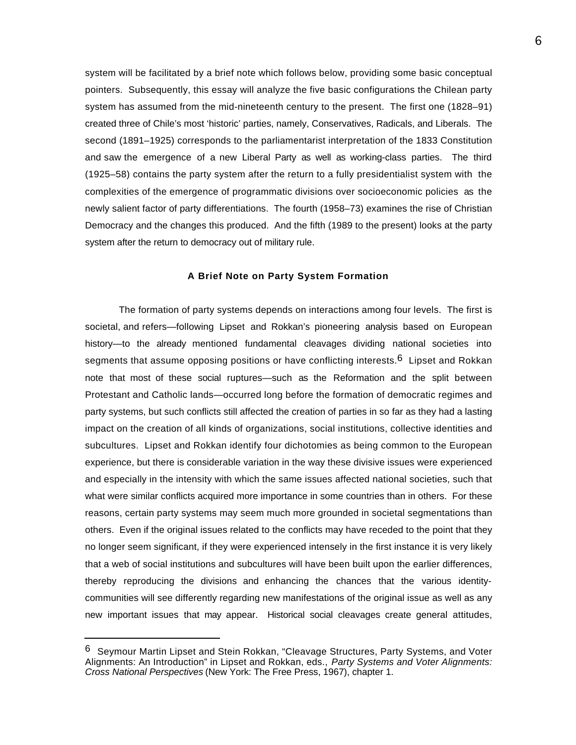system will be facilitated by a brief note which follows below, providing some basic conceptual pointers. Subsequently, this essay will analyze the five basic configurations the Chilean party system has assumed from the mid-nineteenth century to the present. The first one (1828–91) created three of Chile's most 'historic' parties, namely, Conservatives, Radicals, and Liberals. The second (1891–1925) corresponds to the parliamentarist interpretation of the 1833 Constitution and saw the emergence of a new Liberal Party as well as working-class parties. The third (1925–58) contains the party system after the return to a fully presidentialist system with the complexities of the emergence of programmatic divisions over socioeconomic policies as the newly salient factor of party differentiations. The fourth (1958–73) examines the rise of Christian Democracy and the changes this produced. And the fifth (1989 to the present) looks at the party system after the return to democracy out of military rule.

#### **A Brief Note on Party System Formation**

The formation of party systems depends on interactions among four levels. The first is societal, and refers—following Lipset and Rokkan's pioneering analysis based on European history—to the already mentioned fundamental cleavages dividing national societies into segments that assume opposing positions or have conflicting interests.<sup>6</sup> Lipset and Rokkan note that most of these social ruptures—such as the Reformation and the split between Protestant and Catholic lands—occurred long before the formation of democratic regimes and party systems, but such conflicts still affected the creation of parties in so far as they had a lasting impact on the creation of all kinds of organizations, social institutions, collective identities and subcultures. Lipset and Rokkan identify four dichotomies as being common to the European experience, but there is considerable variation in the way these divisive issues were experienced and especially in the intensity with which the same issues affected national societies, such that what were similar conflicts acquired more importance in some countries than in others. For these reasons, certain party systems may seem much more grounded in societal segmentations than others. Even if the original issues related to the conflicts may have receded to the point that they no longer seem significant, if they were experienced intensely in the first instance it is very likely that a web of social institutions and subcultures will have been built upon the earlier differences, thereby reproducing the divisions and enhancing the chances that the various identitycommunities will see differently regarding new manifestations of the original issue as well as any new important issues that may appear. Historical social cleavages create general attitudes,

<sup>6</sup> Seymour Martin Lipset and Stein Rokkan, "Cleavage Structures, Party Systems, and Voter Alignments: An Introduction" in Lipset and Rokkan, eds., *Party Systems and Voter Alignments: Cross National Perspectives* (New York: The Free Press, 1967), chapter 1.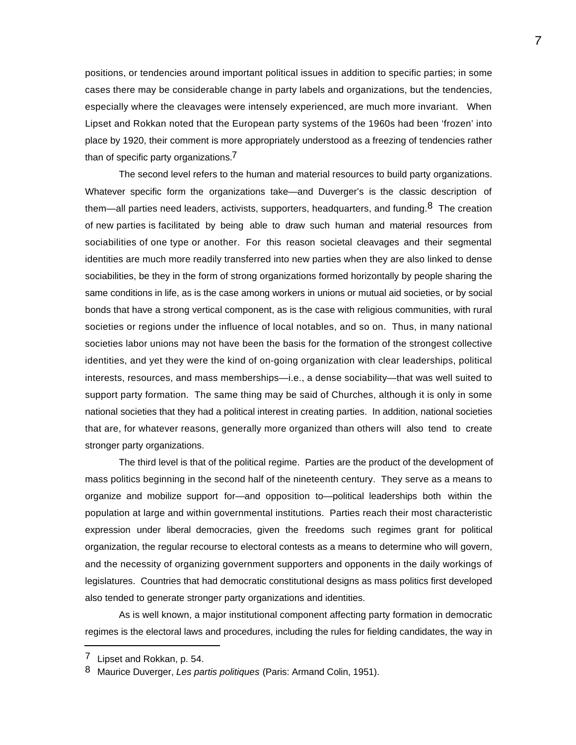positions, or tendencies around important political issues in addition to specific parties; in some cases there may be considerable change in party labels and organizations, but the tendencies, especially where the cleavages were intensely experienced, are much more invariant. When Lipset and Rokkan noted that the European party systems of the 1960s had been 'frozen' into place by 1920, their comment is more appropriately understood as a freezing of tendencies rather than of specific party organizations.<sup>7</sup>

The second level refers to the human and material resources to build party organizations. Whatever specific form the organizations take—and Duverger's is the classic description of them—all parties need leaders, activists, supporters, headquarters, and funding. $8$  The creation of new parties is facilitated by being able to draw such human and material resources from sociabilities of one type or another. For this reason societal cleavages and their segmental identities are much more readily transferred into new parties when they are also linked to dense sociabilities, be they in the form of strong organizations formed horizontally by people sharing the same conditions in life, as is the case among workers in unions or mutual aid societies, or by social bonds that have a strong vertical component, as is the case with religious communities, with rural societies or regions under the influence of local notables, and so on. Thus, in many national societies labor unions may not have been the basis for the formation of the strongest collective identities, and yet they were the kind of on-going organization with clear leaderships, political interests, resources, and mass memberships—i.e., a dense sociability—that was well suited to support party formation. The same thing may be said of Churches, although it is only in some national societies that they had a political interest in creating parties. In addition, national societies that are, for whatever reasons, generally more organized than others will also tend to create stronger party organizations.

The third level is that of the political regime. Parties are the product of the development of mass politics beginning in the second half of the nineteenth century. They serve as a means to organize and mobilize support for—and opposition to—political leaderships both within the population at large and within governmental institutions. Parties reach their most characteristic expression under liberal democracies, given the freedoms such regimes grant for political organization, the regular recourse to electoral contests as a means to determine who will govern, and the necessity of organizing government supporters and opponents in the daily workings of legislatures. Countries that had democratic constitutional designs as mass politics first developed also tended to generate stronger party organizations and identities.

As is well known, a major institutional component affecting party formation in democratic regimes is the electoral laws and procedures, including the rules for fielding candidates, the way in

 $7$  Lipset and Rokkan, p. 54.

<sup>8</sup> Maurice Duverger, *Les partis politiques* (Paris: Armand Colin, 1951).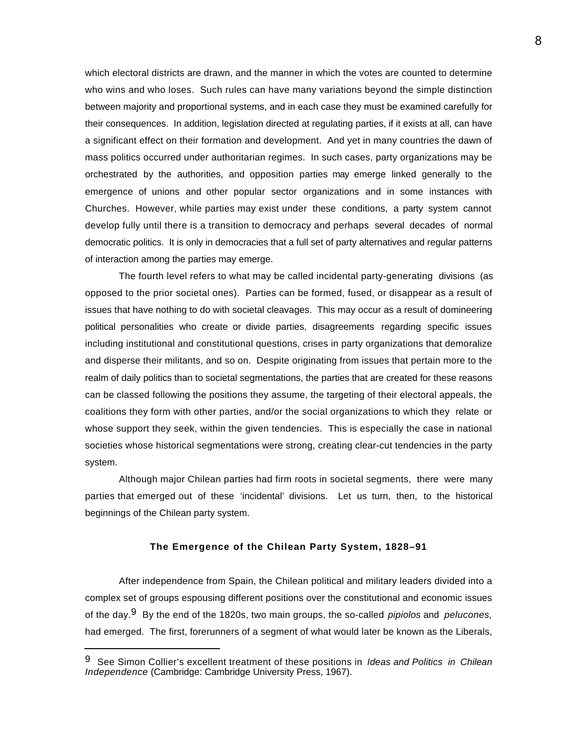which electoral districts are drawn, and the manner in which the votes are counted to determine who wins and who loses. Such rules can have many variations beyond the simple distinction between majority and proportional systems, and in each case they must be examined carefully for their consequences. In addition, legislation directed at regulating parties, if it exists at all, can have a significant effect on their formation and development. And yet in many countries the dawn of mass politics occurred under authoritarian regimes. In such cases, party organizations may be orchestrated by the authorities, and opposition parties may emerge linked generally to the emergence of unions and other popular sector organizations and in some instances with Churches. However, while parties may exist under these conditions, a party system cannot develop fully until there is a transition to democracy and perhaps several decades of normal democratic politics. It is only in democracies that a full set of party alternatives and regular patterns of interaction among the parties may emerge.

The fourth level refers to what may be called incidental party-generating divisions (as opposed to the prior societal ones). Parties can be formed, fused, or disappear as a result of issues that have nothing to do with societal cleavages. This may occur as a result of domineering political personalities who create or divide parties, disagreements regarding specific issues including institutional and constitutional questions, crises in party organizations that demoralize and disperse their militants, and so on. Despite originating from issues that pertain more to the realm of daily politics than to societal segmentations, the parties that are created for these reasons can be classed following the positions they assume, the targeting of their electoral appeals, the coalitions they form with other parties, and/or the social organizations to which they relate or whose support they seek, within the given tendencies. This is especially the case in national societies whose historical segmentations were strong, creating clear-cut tendencies in the party system.

Although major Chilean parties had firm roots in societal segments, there were many parties that emerged out of these 'incidental' divisions. Let us turn, then, to the historical beginnings of the Chilean party system.

## **The Emergence of the Chilean Party System, 1828–91**

After independence from Spain, the Chilean political and military leaders divided into a complex set of groups espousing different positions over the constitutional and economic issues of the day.9 By the end of the 1820s, two main groups, the so-called *pipiolos* and *pelucones,* had emerged. The first, forerunners of a segment of what would later be known as the Liberals,

<sup>9</sup> See Simon Collier's excellent treatment of these positions in *Ideas and Politics in Chilean Independence* (Cambridge: Cambridge University Press, 1967).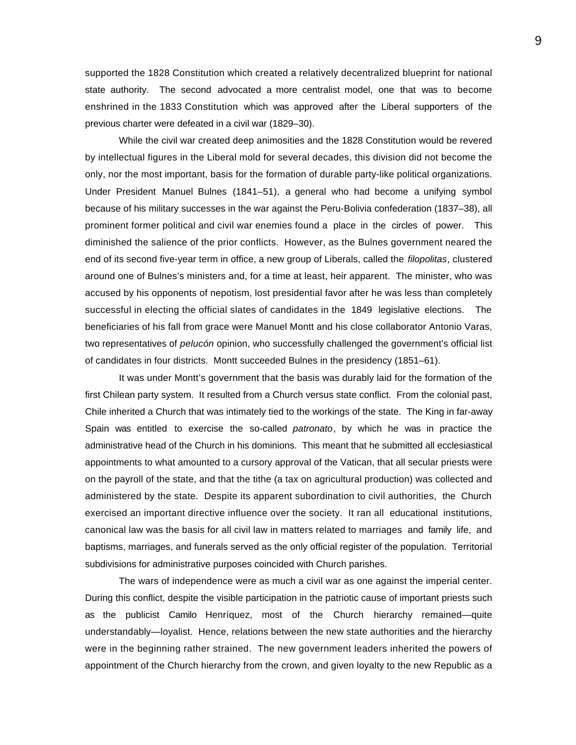supported the 1828 Constitution which created a relatively decentralized blueprint for national state authority. The second advocated a more centralist model, one that was to become enshrined in the 1833 Constitution which was approved after the Liberal supporters of the previous charter were defeated in a civil war (1829–30).

While the civil war created deep animosities and the 1828 Constitution would be revered by intellectual figures in the Liberal mold for several decades, this division did not become the only, nor the most important, basis for the formation of durable party-like political organizations. Under President Manuel Bulnes (1841–51), a general who had become a unifying symbol because of his military successes in the war against the Peru-Bolivia confederation (1837–38), all prominent former political and civil war enemies found a place in the circles of power. This diminished the salience of the prior conflicts. However, as the Bulnes government neared the end of its second five-year term in office, a new group of Liberals, called the *filopolitas*, clustered around one of Bulnes's ministers and, for a time at least, heir apparent. The minister, who was accused by his opponents of nepotism, lost presidential favor after he was less than completely successful in electing the official slates of candidates in the 1849 legislative elections. The beneficiaries of his fall from grace were Manuel Montt and his close collaborator Antonio Varas, two representatives of *pelucón* opinion, who successfully challenged the government's official list of candidates in four districts. Montt succeeded Bulnes in the presidency (1851–61).

It was under Montt's government that the basis was durably laid for the formation of the first Chilean party system. It resulted from a Church versus state conflict. From the colonial past, Chile inherited a Church that was intimately tied to the workings of the state. The King in far-away Spain was entitled to exercise the so-called *patronato*, by which he was in practice the administrative head of the Church in his dominions. This meant that he submitted all ecclesiastical appointments to what amounted to a cursory approval of the Vatican, that all secular priests were on the payroll of the state, and that the tithe (a tax on agricultural production) was collected and administered by the state. Despite its apparent subordination to civil authorities, the Church exercised an important directive influence over the society. It ran all educational institutions, canonical law was the basis for all civil law in matters related to marriages and family life, and baptisms, marriages, and funerals served as the only official register of the population. Territorial subdivisions for administrative purposes coincided with Church parishes.

The wars of independence were as much a civil war as one against the imperial center. During this conflict, despite the visible participation in the patriotic cause of important priests such as the publicist Camilo Henríquez, most of the Church hierarchy remained—quite understandably—loyalist. Hence, relations between the new state authorities and the hierarchy were in the beginning rather strained. The new government leaders inherited the powers of appointment of the Church hierarchy from the crown, and given loyalty to the new Republic as a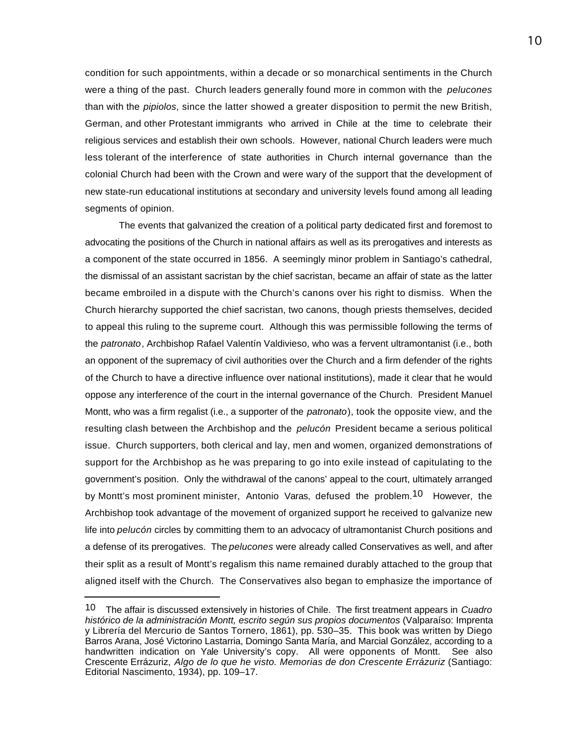condition for such appointments, within a decade or so monarchical sentiments in the Church were a thing of the past. Church leaders generally found more in common with the *pelucones* than with the *pipiolos*, since the latter showed a greater disposition to permit the new British, German, and other Protestant immigrants who arrived in Chile at the time to celebrate their religious services and establish their own schools. However, national Church leaders were much less tolerant of the interference of state authorities in Church internal governance than the colonial Church had been with the Crown and were wary of the support that the development of new state-run educational institutions at secondary and university levels found among all leading segments of opinion.

The events that galvanized the creation of a political party dedicated first and foremost to advocating the positions of the Church in national affairs as well as its prerogatives and interests as a component of the state occurred in 1856. A seemingly minor problem in Santiago's cathedral, the dismissal of an assistant sacristan by the chief sacristan, became an affair of state as the latter became embroiled in a dispute with the Church's canons over his right to dismiss. When the Church hierarchy supported the chief sacristan, two canons, though priests themselves, decided to appeal this ruling to the supreme court. Although this was permissible following the terms of the *patronato*, Archbishop Rafael Valentín Valdivieso, who was a fervent ultramontanist (i.e., both an opponent of the supremacy of civil authorities over the Church and a firm defender of the rights of the Church to have a directive influence over national institutions), made it clear that he would oppose any interference of the court in the internal governance of the Church. President Manuel Montt, who was a firm regalist (i.e., a supporter of the *patronato*), took the opposite view, and the resulting clash between the Archbishop and the *pelucón* President became a serious political issue. Church supporters, both clerical and lay, men and women, organized demonstrations of support for the Archbishop as he was preparing to go into exile instead of capitulating to the government's position. Only the withdrawal of the canons' appeal to the court, ultimately arranged by Montt's most prominent minister, Antonio Varas, defused the problem.<sup>10</sup> However, the Archbishop took advantage of the movement of organized support he received to galvanize new life into *pelucón* circles by committing them to an advocacy of ultramontanist Church positions and a defense of its prerogatives. The *pelucones* were already called Conservatives as well, and after their split as a result of Montt's regalism this name remained durably attached to the group that aligned itself with the Church. The Conservatives also began to emphasize the importance of

<sup>10</sup> The affair is discussed extensively in histories of Chile. The first treatment appears in *Cuadro histórico de la administración Montt, escrito según sus propios documentos* (Valparaíso: Imprenta y Librería del Mercurio de Santos Tornero, 1861), pp. 530–35. This book was written by Diego Barros Arana, José Victorino Lastarria, Domingo Santa María, and Marcial González, according to a handwritten indication on Yale University's copy. All were opponents of Montt. See also Crescente Errázuriz, *Algo de lo que he visto. Memorias de don Crescente Errázuriz* (Santiago: Editorial Nascimento, 1934), pp. 109–17.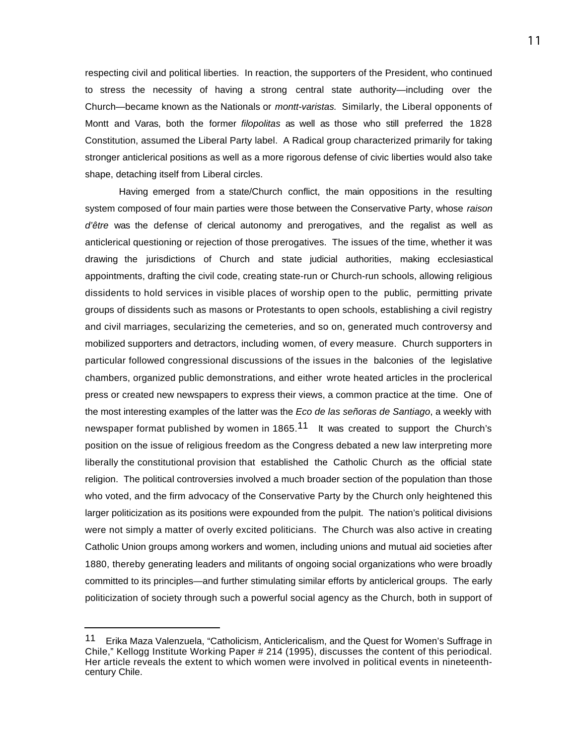respecting civil and political liberties. In reaction, the supporters of the President, who continued to stress the necessity of having a strong central state authority—including over the Church—became known as the Nationals or *montt-varistas.* Similarly, the Liberal opponents of Montt and Varas, both the former *filopolitas* as well as those who still preferred the 1828 Constitution, assumed the Liberal Party label. A Radical group characterized primarily for taking stronger anticlerical positions as well as a more rigorous defense of civic liberties would also take shape, detaching itself from Liberal circles.

Having emerged from a state/Church conflict, the main oppositions in the resulting system composed of four main parties were those between the Conservative Party, whose *raison d'être* was the defense of clerical autonomy and prerogatives, and the regalist as well as anticlerical questioning or rejection of those prerogatives. The issues of the time, whether it was drawing the jurisdictions of Church and state judicial authorities, making ecclesiastical appointments, drafting the civil code, creating state-run or Church-run schools, allowing religious dissidents to hold services in visible places of worship open to the public, permitting private groups of dissidents such as masons or Protestants to open schools, establishing a civil registry and civil marriages, secularizing the cemeteries, and so on, generated much controversy and mobilized supporters and detractors, including women, of every measure. Church supporters in particular followed congressional discussions of the issues in the balconies of the legislative chambers, organized public demonstrations, and either wrote heated articles in the proclerical press or created new newspapers to express their views, a common practice at the time. One of the most interesting examples of the latter was the *Eco de las señoras de Santiago*, a weekly with newspaper format published by women in 1865.<sup>11</sup> It was created to support the Church's position on the issue of religious freedom as the Congress debated a new law interpreting more liberally the constitutional provision that established the Catholic Church as the official state religion. The political controversies involved a much broader section of the population than those who voted, and the firm advocacy of the Conservative Party by the Church only heightened this larger politicization as its positions were expounded from the pulpit. The nation's political divisions were not simply a matter of overly excited politicians. The Church was also active in creating Catholic Union groups among workers and women, including unions and mutual aid societies after 1880, thereby generating leaders and militants of ongoing social organizations who were broadly committed to its principles—and further stimulating similar efforts by anticlerical groups. The early politicization of society through such a powerful social agency as the Church, both in support of

<sup>11</sup> Erika Maza Valenzuela, "Catholicism, Anticlericalism, and the Quest for Women's Suffrage in Chile," Kellogg Institute Working Paper # 214 (1995), discusses the content of this periodical. Her article reveals the extent to which women were involved in political events in nineteenthcentury Chile.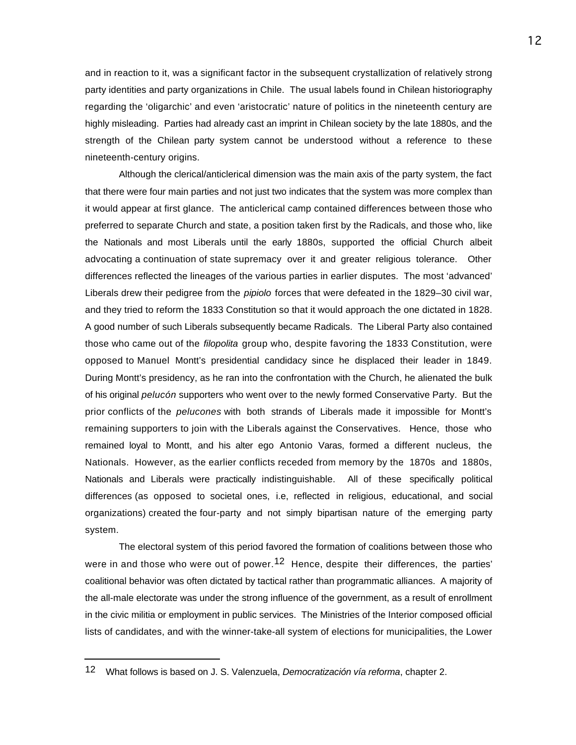and in reaction to it, was a significant factor in the subsequent crystallization of relatively strong party identities and party organizations in Chile. The usual labels found in Chilean historiography regarding the 'oligarchic' and even 'aristocratic' nature of politics in the nineteenth century are highly misleading. Parties had already cast an imprint in Chilean society by the late 1880s, and the strength of the Chilean party system cannot be understood without a reference to these nineteenth-century origins.

Although the clerical/anticlerical dimension was the main axis of the party system, the fact that there were four main parties and not just two indicates that the system was more complex than it would appear at first glance. The anticlerical camp contained differences between those who preferred to separate Church and state, a position taken first by the Radicals, and those who, like the Nationals and most Liberals until the early 1880s, supported the official Church albeit advocating a continuation of state supremacy over it and greater religious tolerance. Other differences reflected the lineages of the various parties in earlier disputes. The most 'advanced' Liberals drew their pedigree from the *pipiolo* forces that were defeated in the 1829–30 civil war, and they tried to reform the 1833 Constitution so that it would approach the one dictated in 1828. A good number of such Liberals subsequently became Radicals. The Liberal Party also contained those who came out of the *filopolita* group who, despite favoring the 1833 Constitution, were opposed to Manuel Montt's presidential candidacy since he displaced their leader in 1849. During Montt's presidency, as he ran into the confrontation with the Church, he alienated the bulk of his original *pelucón* supporters who went over to the newly formed Conservative Party. But the prior conflicts of the *pelucones* with both strands of Liberals made it impossible for Montt's remaining supporters to join with the Liberals against the Conservatives. Hence, those who remained loyal to Montt, and his alter ego Antonio Varas, formed a different nucleus, the Nationals. However, as the earlier conflicts receded from memory by the 1870s and 1880s, Nationals and Liberals were practically indistinguishable. All of these specifically political differences (as opposed to societal ones, i.e, reflected in religious, educational, and social organizations) created the four-party and not simply bipartisan nature of the emerging party system.

The electoral system of this period favored the formation of coalitions between those who were in and those who were out of power.<sup>12</sup> Hence, despite their differences, the parties' coalitional behavior was often dictated by tactical rather than programmatic alliances. A majority of the all-male electorate was under the strong influence of the government, as a result of enrollment in the civic militia or employment in public services. The Ministries of the Interior composed official lists of candidates, and with the winner-take-all system of elections for municipalities, the Lower

<sup>12</sup> What follows is based on J. S. Valenzuela, *Democratización vía reforma*, chapter 2.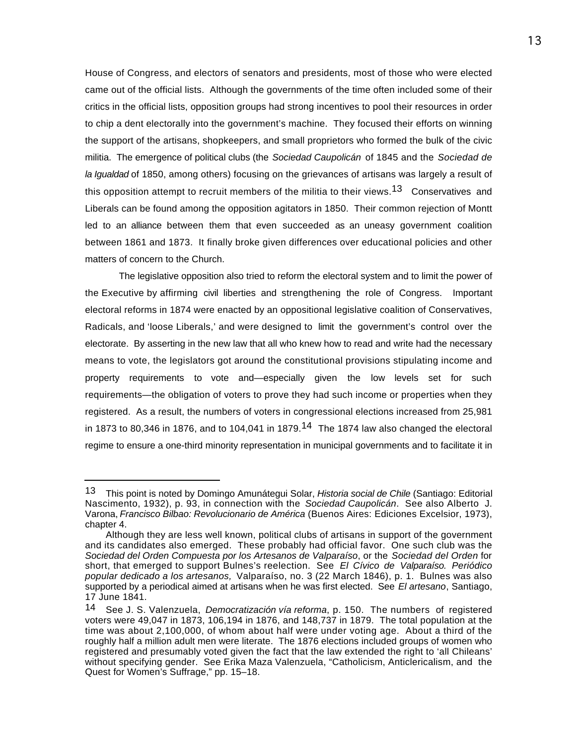House of Congress, and electors of senators and presidents, most of those who were elected came out of the official lists. Although the governments of the time often included some of their critics in the official lists, opposition groups had strong incentives to pool their resources in order to chip a dent electorally into the government's machine. They focused their efforts on winning the support of the artisans, shopkeepers, and small proprietors who formed the bulk of the civic militia. The emergence of political clubs (the *Sociedad Caupolicán* of 1845 and the *Sociedad de la Igualdad* of 1850, among others) focusing on the grievances of artisans was largely a result of this opposition attempt to recruit members of the militia to their views.<sup>13</sup> Conservatives and Liberals can be found among the opposition agitators in 1850. Their common rejection of Montt led to an alliance between them that even succeeded as an uneasy government coalition between 1861 and 1873. It finally broke given differences over educational policies and other matters of concern to the Church.

The legislative opposition also tried to reform the electoral system and to limit the power of the Executive by affirming civil liberties and strengthening the role of Congress. Important electoral reforms in 1874 were enacted by an oppositional legislative coalition of Conservatives, Radicals, and 'loose Liberals,' and were designed to limit the government's control over the electorate. By asserting in the new law that all who knew how to read and write had the necessary means to vote, the legislators got around the constitutional provisions stipulating income and property requirements to vote and—especially given the low levels set for such requirements—the obligation of voters to prove they had such income or properties when they registered. As a result, the numbers of voters in congressional elections increased from 25,981 in 1873 to 80,346 in 1876, and to 104,041 in 1879.<sup>14</sup> The 1874 law also changed the electoral regime to ensure a one-third minority representation in municipal governments and to facilitate it in

<sup>13</sup> This point is noted by Domingo Amunátegui Solar, *Historia social de Chile* (Santiago: Editorial Nascimento, 1932), p. 93, in connection with the *Sociedad Caupolicán*. See also Alberto J. Varona, *Francisco Bilbao: Revolucionario de América* (Buenos Aires: Ediciones Excelsior, 1973), chapter 4.

Although they are less well known, political clubs of artisans in support of the government and its candidates also emerged. These probably had official favor. One such club was the *Sociedad del Orden Compuesta por los Artesanos de Valparaíso*, or the *Sociedad del Orden* for short, that emerged to support Bulnes's reelection. See *El Cívico de Valparaíso. Periódico popular dedicado a los artesanos,* Valparaíso, no. 3 (22 March 1846), p. 1. Bulnes was also supported by a periodical aimed at artisans when he was first elected. See *El artesano*, Santiago, 17 June 1841.

<sup>14</sup> See J. S. Valenzuela, *Democratización vía reforma*, p. 150. The numbers of registered voters were 49,047 in 1873, 106,194 in 1876, and 148,737 in 1879. The total population at the time was about 2,100,000, of whom about half were under voting age. About a third of the roughly half a million adult men were literate. The 1876 elections included groups of women who registered and presumably voted given the fact that the law extended the right to 'all Chileans' without specifying gender. See Erika Maza Valenzuela, "Catholicism, Anticlericalism, and the Quest for Women's Suffrage," pp. 15–18.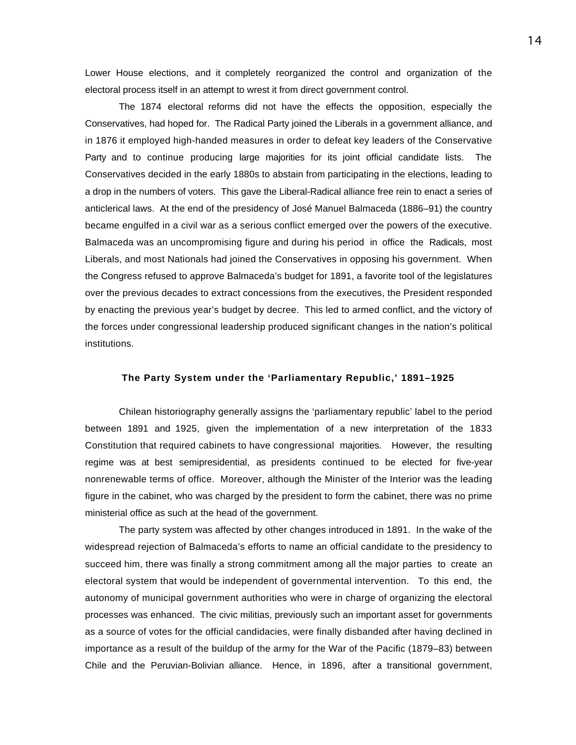Lower House elections, and it completely reorganized the control and organization of the electoral process itself in an attempt to wrest it from direct government control.

The 1874 electoral reforms did not have the effects the opposition, especially the Conservatives, had hoped for. The Radical Party joined the Liberals in a government alliance, and in 1876 it employed high-handed measures in order to defeat key leaders of the Conservative Party and to continue producing large majorities for its joint official candidate lists. The Conservatives decided in the early 1880s to abstain from participating in the elections, leading to a drop in the numbers of voters. This gave the Liberal-Radical alliance free rein to enact a series of anticlerical laws. At the end of the presidency of José Manuel Balmaceda (1886–91) the country became engulfed in a civil war as a serious conflict emerged over the powers of the executive. Balmaceda was an uncompromising figure and during his period in office the Radicals, most Liberals, and most Nationals had joined the Conservatives in opposing his government. When the Congress refused to approve Balmaceda's budget for 1891, a favorite tool of the legislatures over the previous decades to extract concessions from the executives, the President responded by enacting the previous year's budget by decree. This led to armed conflict, and the victory of the forces under congressional leadership produced significant changes in the nation's political institutions.

#### **The Party System under the 'Parliamentary Republic,' 1891–1925**

Chilean historiography generally assigns the 'parliamentary republic' label to the period between 1891 and 1925, given the implementation of a new interpretation of the 1833 Constitution that required cabinets to have congressional majorities. However, the resulting regime was at best semipresidential, as presidents continued to be elected for five-year nonrenewable terms of office. Moreover, although the Minister of the Interior was the leading figure in the cabinet, who was charged by the president to form the cabinet, there was no prime ministerial office as such at the head of the government.

The party system was affected by other changes introduced in 1891. In the wake of the widespread rejection of Balmaceda's efforts to name an official candidate to the presidency to succeed him, there was finally a strong commitment among all the major parties to create an electoral system that would be independent of governmental intervention. To this end, the autonomy of municipal government authorities who were in charge of organizing the electoral processes was enhanced. The civic militias, previously such an important asset for governments as a source of votes for the official candidacies, were finally disbanded after having declined in importance as a result of the buildup of the army for the War of the Pacific (1879–83) between Chile and the Peruvian-Bolivian alliance. Hence, in 1896, after a transitional government,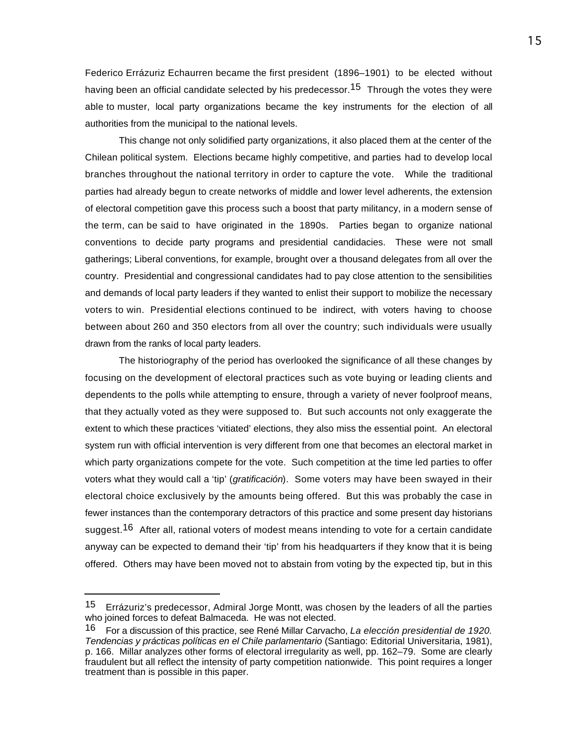Federico Errázuriz Echaurren became the first president (1896–1901) to be elected without having been an official candidate selected by his predecessor.<sup>15</sup> Through the votes they were able to muster, local party organizations became the key instruments for the election of all authorities from the municipal to the national levels.

This change not only solidified party organizations, it also placed them at the center of the Chilean political system. Elections became highly competitive, and parties had to develop local branches throughout the national territory in order to capture the vote. While the traditional parties had already begun to create networks of middle and lower level adherents, the extension of electoral competition gave this process such a boost that party militancy, in a modern sense of the term, can be said to have originated in the 1890s. Parties began to organize national conventions to decide party programs and presidential candidacies. These were not small gatherings; Liberal conventions, for example, brought over a thousand delegates from all over the country. Presidential and congressional candidates had to pay close attention to the sensibilities and demands of local party leaders if they wanted to enlist their support to mobilize the necessary voters to win. Presidential elections continued to be indirect, with voters having to choose between about 260 and 350 electors from all over the country; such individuals were usually drawn from the ranks of local party leaders.

The historiography of the period has overlooked the significance of all these changes by focusing on the development of electoral practices such as vote buying or leading clients and dependents to the polls while attempting to ensure, through a variety of never foolproof means, that they actually voted as they were supposed to. But such accounts not only exaggerate the extent to which these practices 'vitiated' elections, they also miss the essential point. An electoral system run with official intervention is very different from one that becomes an electoral market in which party organizations compete for the vote. Such competition at the time led parties to offer voters what they would call a 'tip' (*gratificación*). Some voters may have been swayed in their electoral choice exclusively by the amounts being offered. But this was probably the case in fewer instances than the contemporary detractors of this practice and some present day historians suggest.<sup>16</sup> After all, rational voters of modest means intending to vote for a certain candidate anyway can be expected to demand their 'tip' from his headquarters if they know that it is being offered. Others may have been moved not to abstain from voting by the expected tip, but in this

<sup>15</sup> Errázuriz's predecessor, Admiral Jorge Montt, was chosen by the leaders of all the parties who joined forces to defeat Balmaceda. He was not elected.

<sup>16</sup> For a discussion of this practice, see René Millar Carvacho, *La elección presidential de 1920. Tendencias y prácticas políticas en el Chile parlamentario* (Santiago: Editorial Universitaria, 1981), p. 166. Millar analyzes other forms of electoral irregularity as well, pp. 162–79. Some are clearly fraudulent but all reflect the intensity of party competition nationwide. This point requires a longer treatment than is possible in this paper.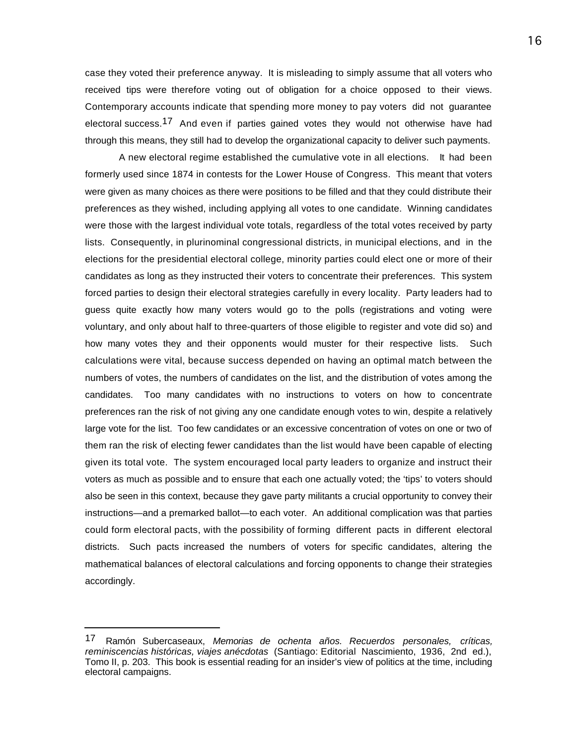case they voted their preference anyway. It is misleading to simply assume that all voters who received tips were therefore voting out of obligation for a choice opposed to their views. Contemporary accounts indicate that spending more money to pay voters did not guarantee electoral success.<sup>17</sup> And even if parties gained votes they would not otherwise have had through this means, they still had to develop the organizational capacity to deliver such payments.

A new electoral regime established the cumulative vote in all elections. It had been formerly used since 1874 in contests for the Lower House of Congress. This meant that voters were given as many choices as there were positions to be filled and that they could distribute their preferences as they wished, including applying all votes to one candidate. Winning candidates were those with the largest individual vote totals, regardless of the total votes received by party lists. Consequently, in plurinominal congressional districts, in municipal elections, and in the elections for the presidential electoral college, minority parties could elect one or more of their candidates as long as they instructed their voters to concentrate their preferences. This system forced parties to design their electoral strategies carefully in every locality. Party leaders had to guess quite exactly how many voters would go to the polls (registrations and voting were voluntary, and only about half to three-quarters of those eligible to register and vote did so) and how many votes they and their opponents would muster for their respective lists. Such calculations were vital, because success depended on having an optimal match between the numbers of votes, the numbers of candidates on the list, and the distribution of votes among the candidates. Too many candidates with no instructions to voters on how to concentrate preferences ran the risk of not giving any one candidate enough votes to win, despite a relatively large vote for the list. Too few candidates or an excessive concentration of votes on one or two of them ran the risk of electing fewer candidates than the list would have been capable of electing given its total vote. The system encouraged local party leaders to organize and instruct their voters as much as possible and to ensure that each one actually voted; the 'tips' to voters should also be seen in this context, because they gave party militants a crucial opportunity to convey their instructions—and a premarked ballot—to each voter. An additional complication was that parties could form electoral pacts, with the possibility of forming different pacts in different electoral districts. Such pacts increased the numbers of voters for specific candidates, altering the mathematical balances of electoral calculations and forcing opponents to change their strategies accordingly.

<sup>17</sup> Ramón Subercaseaux, *Memorias de ochenta años. Recuerdos personales, críticas, reminiscencias históricas, viajes anécdotas* (Santiago: Editorial Nascimiento, 1936, 2nd ed.), Tomo II, p. 203. This book is essential reading for an insider's view of politics at the time, including electoral campaigns.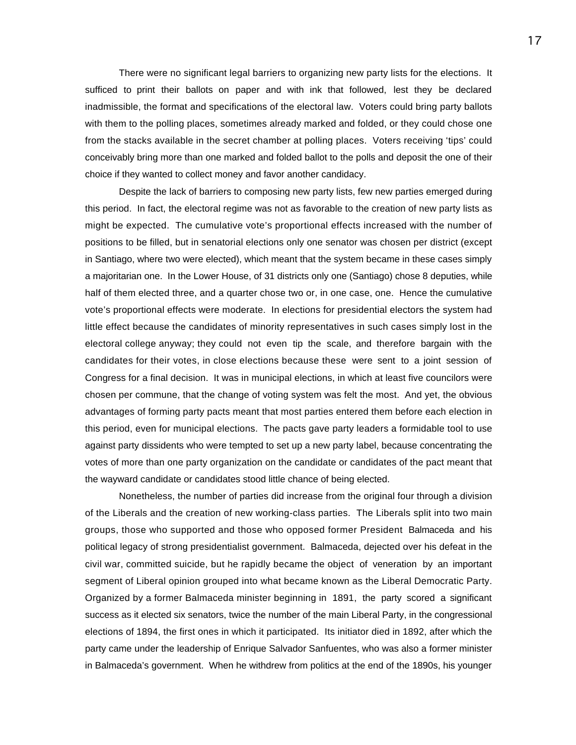There were no significant legal barriers to organizing new party lists for the elections. It sufficed to print their ballots on paper and with ink that followed, lest they be declared inadmissible, the format and specifications of the electoral law. Voters could bring party ballots with them to the polling places, sometimes already marked and folded, or they could chose one from the stacks available in the secret chamber at polling places. Voters receiving 'tips' could conceivably bring more than one marked and folded ballot to the polls and deposit the one of their choice if they wanted to collect money and favor another candidacy.

Despite the lack of barriers to composing new party lists, few new parties emerged during this period. In fact, the electoral regime was not as favorable to the creation of new party lists as might be expected. The cumulative vote's proportional effects increased with the number of positions to be filled, but in senatorial elections only one senator was chosen per district (except in Santiago, where two were elected), which meant that the system became in these cases simply a majoritarian one. In the Lower House, of 31 districts only one (Santiago) chose 8 deputies, while half of them elected three, and a quarter chose two or, in one case, one. Hence the cumulative vote's proportional effects were moderate. In elections for presidential electors the system had little effect because the candidates of minority representatives in such cases simply lost in the electoral college anyway; they could not even tip the scale, and therefore bargain with the candidates for their votes, in close elections because these were sent to a joint session of Congress for a final decision. It was in municipal elections, in which at least five councilors were chosen per commune, that the change of voting system was felt the most. And yet, the obvious advantages of forming party pacts meant that most parties entered them before each election in this period, even for municipal elections. The pacts gave party leaders a formidable tool to use against party dissidents who were tempted to set up a new party label, because concentrating the votes of more than one party organization on the candidate or candidates of the pact meant that the wayward candidate or candidates stood little chance of being elected.

Nonetheless, the number of parties did increase from the original four through a division of the Liberals and the creation of new working-class parties. The Liberals split into two main groups, those who supported and those who opposed former President Balmaceda and his political legacy of strong presidentialist government. Balmaceda, dejected over his defeat in the civil war, committed suicide, but he rapidly became the object of veneration by an important segment of Liberal opinion grouped into what became known as the Liberal Democratic Party. Organized by a former Balmaceda minister beginning in 1891, the party scored a significant success as it elected six senators, twice the number of the main Liberal Party, in the congressional elections of 1894, the first ones in which it participated. Its initiator died in 1892, after which the party came under the leadership of Enrique Salvador Sanfuentes, who was also a former minister in Balmaceda's government. When he withdrew from politics at the end of the 1890s, his younger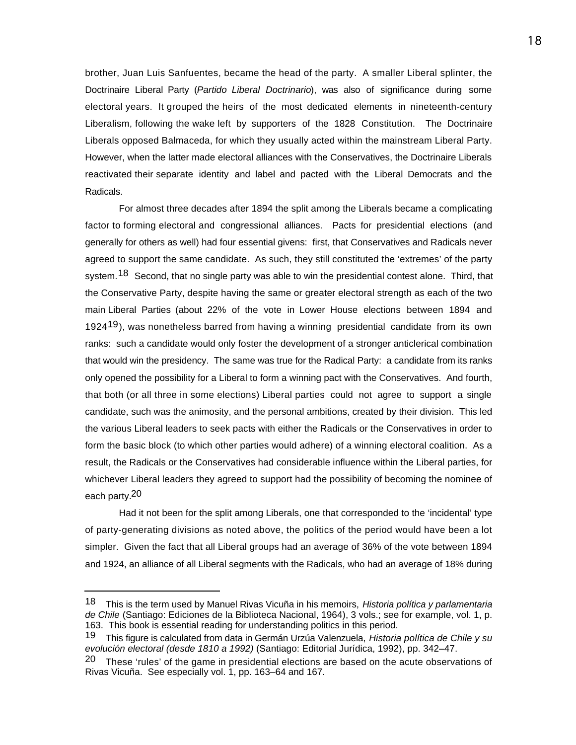brother, Juan Luis Sanfuentes, became the head of the party. A smaller Liberal splinter, the Doctrinaire Liberal Party (*Partido Liberal Doctrinario*), was also of significance during some electoral years. It grouped the heirs of the most dedicated elements in nineteenth-century Liberalism, following the wake left by supporters of the 1828 Constitution. The Doctrinaire Liberals opposed Balmaceda, for which they usually acted within the mainstream Liberal Party. However, when the latter made electoral alliances with the Conservatives, the Doctrinaire Liberals reactivated their separate identity and label and pacted with the Liberal Democrats and the Radicals.

For almost three decades after 1894 the split among the Liberals became a complicating factor to forming electoral and congressional alliances. Pacts for presidential elections (and generally for others as well) had four essential givens: first, that Conservatives and Radicals never agreed to support the same candidate. As such, they still constituted the 'extremes' of the party system.<sup>18</sup> Second, that no single party was able to win the presidential contest alone. Third, that the Conservative Party, despite having the same or greater electoral strength as each of the two main Liberal Parties (about 22% of the vote in Lower House elections between 1894 and 1924<sup>19</sup>), was nonetheless barred from having a winning presidential candidate from its own ranks: such a candidate would only foster the development of a stronger anticlerical combination that would win the presidency. The same was true for the Radical Party: a candidate from its ranks only opened the possibility for a Liberal to form a winning pact with the Conservatives. And fourth, that both (or all three in some elections) Liberal parties could not agree to support a single candidate, such was the animosity, and the personal ambitions, created by their division. This led the various Liberal leaders to seek pacts with either the Radicals or the Conservatives in order to form the basic block (to which other parties would adhere) of a winning electoral coalition. As a result, the Radicals or the Conservatives had considerable influence within the Liberal parties, for whichever Liberal leaders they agreed to support had the possibility of becoming the nominee of each party.20

Had it not been for the split among Liberals, one that corresponded to the 'incidental' type of party-generating divisions as noted above, the politics of the period would have been a lot simpler. Given the fact that all Liberal groups had an average of 36% of the vote between 1894 and 1924, an alliance of all Liberal segments with the Radicals, who had an average of 18% during

<sup>18</sup> This is the term used by Manuel Rivas Vicuña in his memoirs, *Historia política y parlamentaria de Chile* (Santiago: Ediciones de la Biblioteca Nacional, 1964), 3 vols.; see for example, vol. 1, p. 163. This book is essential reading for understanding politics in this period.

<sup>19</sup> This figure is calculated from data in Germán Urzúa Valenzuela, *Historia política de Chile y su evolución electoral (desde 1810 a 1992)* (Santiago: Editorial Jurídica, 1992), pp. 342–47.

<sup>&</sup>lt;sup>20</sup> These 'rules' of the game in presidential elections are based on the acute observations of Rivas Vicuña. See especially vol. 1, pp. 163–64 and 167.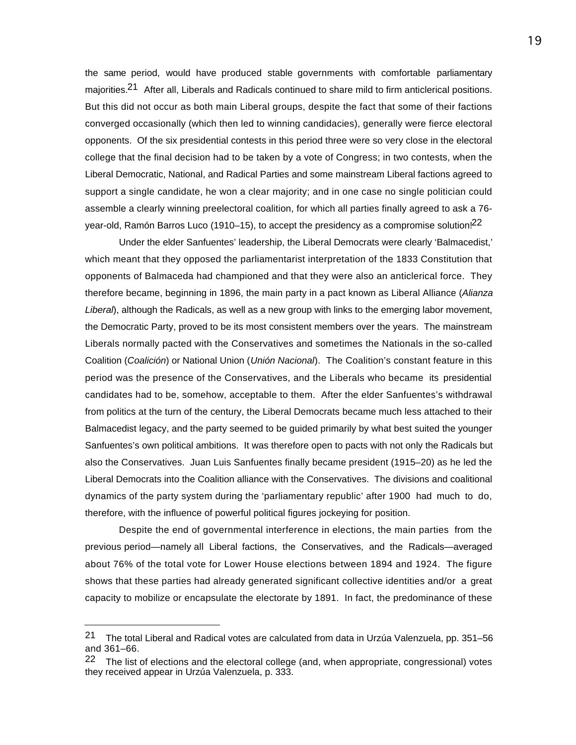the same period, would have produced stable governments with comfortable parliamentary maiorities.<sup>21</sup> After all, Liberals and Radicals continued to share mild to firm anticlerical positions. But this did not occur as both main Liberal groups, despite the fact that some of their factions converged occasionally (which then led to winning candidacies), generally were fierce electoral opponents. Of the six presidential contests in this period three were so very close in the electoral college that the final decision had to be taken by a vote of Congress; in two contests, when the Liberal Democratic, National, and Radical Parties and some mainstream Liberal factions agreed to support a single candidate, he won a clear majority; and in one case no single politician could assemble a clearly winning preelectoral coalition, for which all parties finally agreed to ask a 76 year-old, Ramón Barros Luco (1910–15), to accept the presidency as a compromise solution!<sup>22</sup>

Under the elder Sanfuentes' leadership, the Liberal Democrats were clearly 'Balmacedist,' which meant that they opposed the parliamentarist interpretation of the 1833 Constitution that opponents of Balmaceda had championed and that they were also an anticlerical force. They therefore became, beginning in 1896, the main party in a pact known as Liberal Alliance (*Alianza Liberal*), although the Radicals, as well as a new group with links to the emerging labor movement, the Democratic Party, proved to be its most consistent members over the years. The mainstream Liberals normally pacted with the Conservatives and sometimes the Nationals in the so-called Coalition (*Coalición*) or National Union (*Unión Nacional*). The Coalition's constant feature in this period was the presence of the Conservatives, and the Liberals who became its presidential candidates had to be, somehow, acceptable to them. After the elder Sanfuentes's withdrawal from politics at the turn of the century, the Liberal Democrats became much less attached to their Balmacedist legacy, and the party seemed to be guided primarily by what best suited the younger Sanfuentes's own political ambitions. It was therefore open to pacts with not only the Radicals but also the Conservatives. Juan Luis Sanfuentes finally became president (1915–20) as he led the Liberal Democrats into the Coalition alliance with the Conservatives. The divisions and coalitional dynamics of the party system during the 'parliamentary republic' after 1900 had much to do, therefore, with the influence of powerful political figures jockeying for position.

Despite the end of governmental interference in elections, the main parties from the previous period—namely all Liberal factions, the Conservatives, and the Radicals—averaged about 76% of the total vote for Lower House elections between 1894 and 1924. The figure shows that these parties had already generated significant collective identities and/or a great capacity to mobilize or encapsulate the electorate by 1891. In fact, the predominance of these

<sup>21</sup> The total Liberal and Radical votes are calculated from data in Urzúa Valenzuela, pp. 351–56 and 361–66.

<sup>&</sup>lt;sup>22</sup> The list of elections and the electoral college (and, when appropriate, congressional) votes they received appear in Urzúa Valenzuela, p. 333.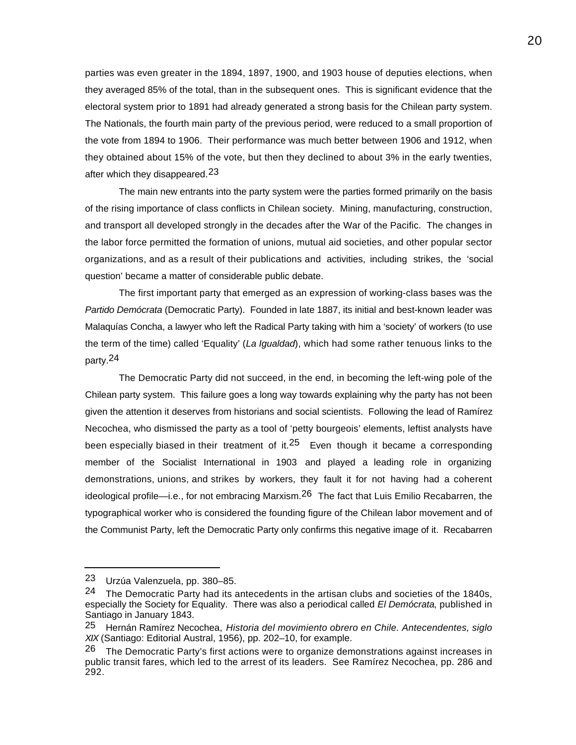parties was even greater in the 1894, 1897, 1900, and 1903 house of deputies elections, when they averaged 85% of the total, than in the subsequent ones. This is significant evidence that the electoral system prior to 1891 had already generated a strong basis for the Chilean party system. The Nationals, the fourth main party of the previous period, were reduced to a small proportion of the vote from 1894 to 1906. Their performance was much better between 1906 and 1912, when they obtained about 15% of the vote, but then they declined to about 3% in the early twenties, after which they disappeared.<sup>23</sup>

The main new entrants into the party system were the parties formed primarily on the basis of the rising importance of class conflicts in Chilean society. Mining, manufacturing, construction, and transport all developed strongly in the decades after the War of the Pacific. The changes in the labor force permitted the formation of unions, mutual aid societies, and other popular sector organizations, and as a result of their publications and activities, including strikes, the 'social question' became a matter of considerable public debate.

The first important party that emerged as an expression of working-class bases was the *Partido Demócrata* (Democratic Party). Founded in late 1887, its initial and best-known leader was Malaquías Concha, a lawyer who left the Radical Party taking with him a 'society' of workers (to use the term of the time) called 'Equality' (*La Igualdad*), which had some rather tenuous links to the party.24

The Democratic Party did not succeed, in the end, in becoming the left-wing pole of the Chilean party system. This failure goes a long way towards explaining why the party has not been given the attention it deserves from historians and social scientists. Following the lead of Ramírez Necochea, who dismissed the party as a tool of 'petty bourgeois' elements, leftist analysts have been especially biased in their treatment of it. $25$  Even though it became a corresponding member of the Socialist International in 1903 and played a leading role in organizing demonstrations, unions, and strikes by workers, they fault it for not having had a coherent ideological profile—i.e., for not embracing Marxism.<sup>26</sup> The fact that Luis Emilio Recabarren, the typographical worker who is considered the founding figure of the Chilean labor movement and of the Communist Party, left the Democratic Party only confirms this negative image of it. Recabarren

<sup>23</sup> Urzúa Valenzuela, pp. 380–85.

<sup>&</sup>lt;sup>24</sup> The Democratic Party had its antecedents in the artisan clubs and societies of the 1840s, especially the Society for Equality. There was also a periodical called *El Demócrata*, published in Santiago in January 1843.

<sup>25</sup> Hernán Ramírez Necochea, *Historia del movimiento obrero en Chile. Antecendentes, siglo XIX* (Santiago: Editorial Austral, 1956), pp. 202–10, for example.

<sup>&</sup>lt;sup>26</sup> The Democratic Party's first actions were to organize demonstrations against increases in public transit fares, which led to the arrest of its leaders. See Ramírez Necochea, pp. 286 and 292.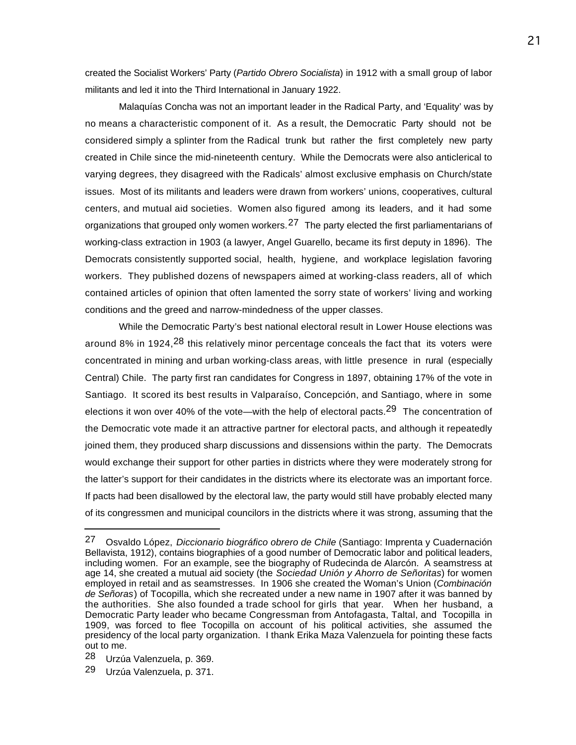created the Socialist Workers' Party (*Partido Obrero Socialista*) in 1912 with a small group of labor militants and led it into the Third International in January 1922.

Malaquías Concha was not an important leader in the Radical Party, and 'Equality' was by no means a characteristic component of it. As a result, the Democratic Party should not be considered simply a splinter from the Radical trunk but rather the first completely new party created in Chile since the mid-nineteenth century. While the Democrats were also anticlerical to varying degrees, they disagreed with the Radicals' almost exclusive emphasis on Church/state issues. Most of its militants and leaders were drawn from workers' unions, cooperatives, cultural centers, and mutual aid societies. Women also figured among its leaders, and it had some organizations that grouped only women workers.<sup>27</sup> The party elected the first parliamentarians of working-class extraction in 1903 (a lawyer, Angel Guarello, became its first deputy in 1896). The Democrats consistently supported social, health, hygiene, and workplace legislation favoring workers. They published dozens of newspapers aimed at working-class readers, all of which contained articles of opinion that often lamented the sorry state of workers' living and working conditions and the greed and narrow-mindedness of the upper classes.

While the Democratic Party's best national electoral result in Lower House elections was around 8% in 1924,  $28$  this relatively minor percentage conceals the fact that its voters were concentrated in mining and urban working-class areas, with little presence in rural (especially Central) Chile. The party first ran candidates for Congress in 1897, obtaining 17% of the vote in Santiago. It scored its best results in Valparaíso, Concepción, and Santiago, where in some elections it won over 40% of the vote—with the help of electoral pacts.<sup>29</sup> The concentration of the Democratic vote made it an attractive partner for electoral pacts, and although it repeatedly joined them, they produced sharp discussions and dissensions within the party. The Democrats would exchange their support for other parties in districts where they were moderately strong for the latter's support for their candidates in the districts where its electorate was an important force. If pacts had been disallowed by the electoral law, the party would still have probably elected many of its congressmen and municipal councilors in the districts where it was strong, assuming that the

<sup>27</sup> Osvaldo López, *Diccionario biográfico obrero de Chile* (Santiago: Imprenta y Cuadernación Bellavista, 1912), contains biographies of a good number of Democratic labor and political leaders, including women. For an example, see the biography of Rudecinda de Alarcón. A seamstress at age 14, she created a mutual aid society (the *Sociedad Unión y Ahorro de Señoritas*) for women employed in retail and as seamstresses. In 1906 she created the Woman's Union (*Combinación de Señoras*) of Tocopilla, which she recreated under a new name in 1907 after it was banned by the authorities. She also founded a trade school for girls that year. When her husband, a Democratic Party leader who became Congressman from Antofagasta, Taltal, and Tocopilla in 1909, was forced to flee Tocopilla on account of his political activities, she assumed the presidency of the local party organization. I thank Erika Maza Valenzuela for pointing these facts out to me.

<sup>28</sup> Urzúa Valenzuela, p. 369.

<sup>29</sup> Urzúa Valenzuela, p. 371.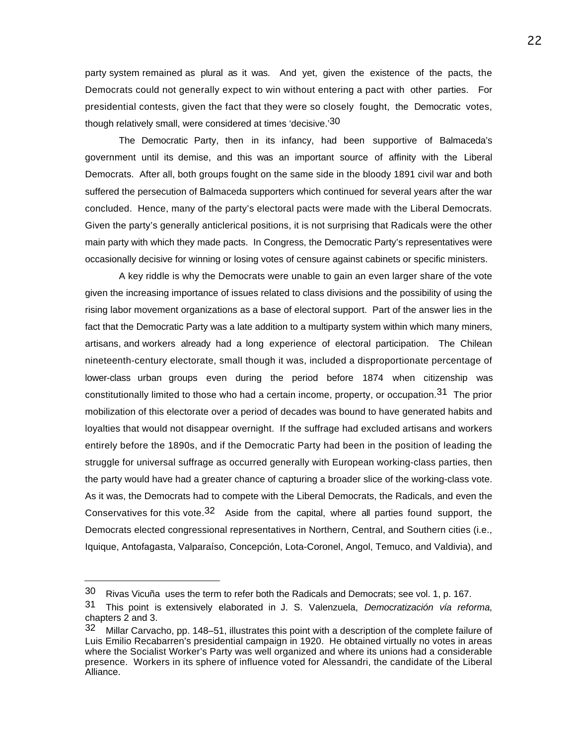party system remained as plural as it was. And yet, given the existence of the pacts, the Democrats could not generally expect to win without entering a pact with other parties. For presidential contests, given the fact that they were so closely fought, the Democratic votes, though relatively small, were considered at times 'decisive.'30

The Democratic Party, then in its infancy, had been supportive of Balmaceda's government until its demise, and this was an important source of affinity with the Liberal Democrats. After all, both groups fought on the same side in the bloody 1891 civil war and both suffered the persecution of Balmaceda supporters which continued for several years after the war concluded. Hence, many of the party's electoral pacts were made with the Liberal Democrats. Given the party's generally anticlerical positions, it is not surprising that Radicals were the other main party with which they made pacts. In Congress, the Democratic Party's representatives were occasionally decisive for winning or losing votes of censure against cabinets or specific ministers.

A key riddle is why the Democrats were unable to gain an even larger share of the vote given the increasing importance of issues related to class divisions and the possibility of using the rising labor movement organizations as a base of electoral support. Part of the answer lies in the fact that the Democratic Party was a late addition to a multiparty system within which many miners, artisans, and workers already had a long experience of electoral participation. The Chilean nineteenth-century electorate, small though it was, included a disproportionate percentage of lower-class urban groups even during the period before 1874 when citizenship was constitutionally limited to those who had a certain income, property, or occupation.<sup>31</sup> The prior mobilization of this electorate over a period of decades was bound to have generated habits and loyalties that would not disappear overnight. If the suffrage had excluded artisans and workers entirely before the 1890s, and if the Democratic Party had been in the position of leading the struggle for universal suffrage as occurred generally with European working-class parties, then the party would have had a greater chance of capturing a broader slice of the working-class vote. As it was, the Democrats had to compete with the Liberal Democrats, the Radicals, and even the Conservatives for this vote.32 Aside from the capital, where all parties found support, the Democrats elected congressional representatives in Northern, Central, and Southern cities (i.e., Iquique, Antofagasta, Valparaíso, Concepción, Lota-Coronel, Angol, Temuco, and Valdivia), and

<sup>30</sup> Rivas Vicuña uses the term to refer both the Radicals and Democrats; see vol. 1, p. 167.

<sup>31</sup> This point is extensively elaborated in J. S. Valenzuela, *Democratización vía reforma*, chapters 2 and 3.

<sup>32</sup> Millar Carvacho, pp. 148–51, illustrates this point with a description of the complete failure of Luis Emilio Recabarren's presidential campaign in 1920. He obtained virtually no votes in areas where the Socialist Worker's Party was well organized and where its unions had a considerable presence. Workers in its sphere of influence voted for Alessandri, the candidate of the Liberal Alliance.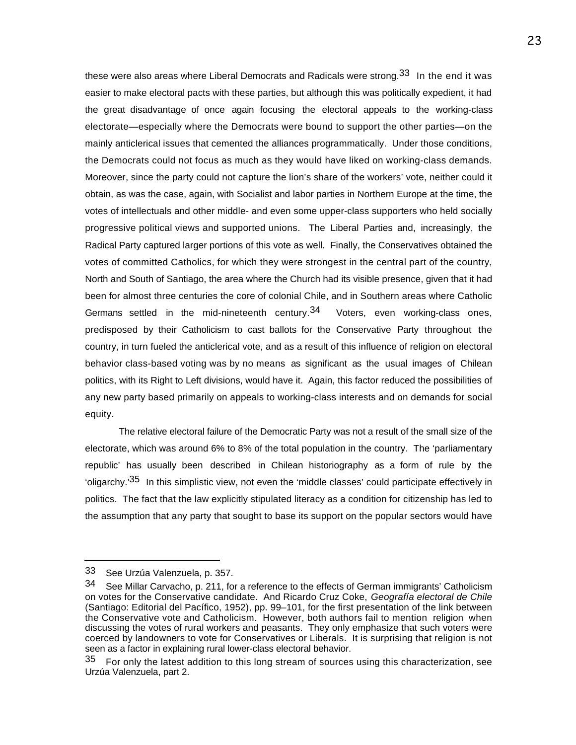these were also areas where Liberal Democrats and Radicals were strong.<sup>33</sup> In the end it was easier to make electoral pacts with these parties, but although this was politically expedient, it had the great disadvantage of once again focusing the electoral appeals to the working-class electorate—especially where the Democrats were bound to support the other parties—on the mainly anticlerical issues that cemented the alliances programmatically. Under those conditions, the Democrats could not focus as much as they would have liked on working-class demands. Moreover, since the party could not capture the lion's share of the workers' vote, neither could it obtain, as was the case, again, with Socialist and labor parties in Northern Europe at the time, the votes of intellectuals and other middle- and even some upper-class supporters who held socially progressive political views and supported unions. The Liberal Parties and, increasingly, the Radical Party captured larger portions of this vote as well. Finally, the Conservatives obtained the votes of committed Catholics, for which they were strongest in the central part of the country, North and South of Santiago, the area where the Church had its visible presence, given that it had been for almost three centuries the core of colonial Chile, and in Southern areas where Catholic Germans settled in the mid-nineteenth century.<sup>34</sup> Voters, even working-class ones, predisposed by their Catholicism to cast ballots for the Conservative Party throughout the country, in turn fueled the anticlerical vote, and as a result of this influence of religion on electoral behavior class-based voting was by no means as significant as the usual images of Chilean politics, with its Right to Left divisions, would have it. Again, this factor reduced the possibilities of any new party based primarily on appeals to working-class interests and on demands for social equity.

The relative electoral failure of the Democratic Party was not a result of the small size of the electorate, which was around 6% to 8% of the total population in the country. The 'parliamentary republic' has usually been described in Chilean historiography as a form of rule by the 'oligarchy.'35 In this simplistic view, not even the 'middle classes' could participate effectively in politics. The fact that the law explicitly stipulated literacy as a condition for citizenship has led to the assumption that any party that sought to base its support on the popular sectors would have

<sup>33</sup> See Urzúa Valenzuela, p. 357.

<sup>34</sup> See Millar Carvacho, p. 211, for a reference to the effects of German immigrants' Catholicism on votes for the Conservative candidate. And Ricardo Cruz Coke, *Geografía electoral de Chile* (Santiago: Editorial del Pacífico, 1952), pp. 99–101, for the first presentation of the link between the Conservative vote and Catholicism. However, both authors fail to mention religion when discussing the votes of rural workers and peasants. They only emphasize that such voters were coerced by landowners to vote for Conservatives or Liberals. It is surprising that religion is not seen as a factor in explaining rural lower-class electoral behavior.

 $35$  For only the latest addition to this long stream of sources using this characterization, see Urzúa Valenzuela, part 2.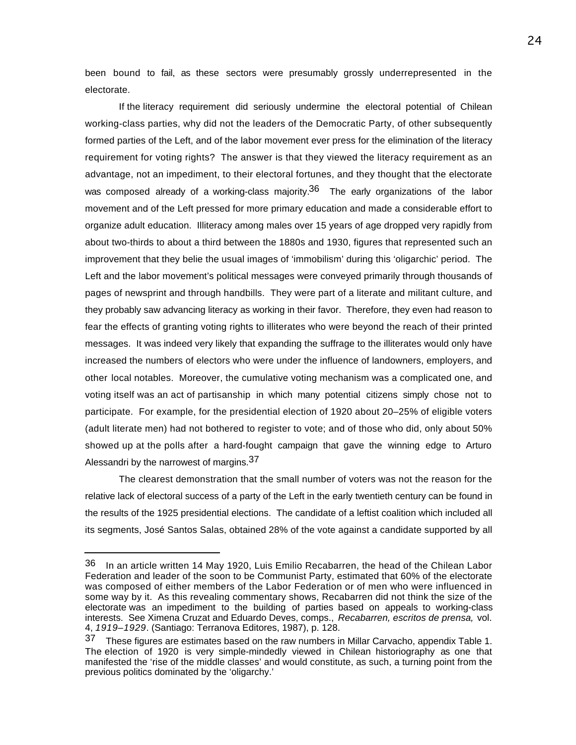been bound to fail, as these sectors were presumably grossly underrepresented in the electorate.

If the literacy requirement did seriously undermine the electoral potential of Chilean working-class parties, why did not the leaders of the Democratic Party, of other subsequently formed parties of the Left, and of the labor movement ever press for the elimination of the literacy requirement for voting rights? The answer is that they viewed the literacy requirement as an advantage, not an impediment, to their electoral fortunes, and they thought that the electorate was composed already of a working-class majority.<sup>36</sup> The early organizations of the labor movement and of the Left pressed for more primary education and made a considerable effort to organize adult education. Illiteracy among males over 15 years of age dropped very rapidly from about two-thirds to about a third between the 1880s and 1930, figures that represented such an improvement that they belie the usual images of 'immobilism' during this 'oligarchic' period. The Left and the labor movement's political messages were conveyed primarily through thousands of pages of newsprint and through handbills. They were part of a literate and militant culture, and they probably saw advancing literacy as working in their favor. Therefore, they even had reason to fear the effects of granting voting rights to illiterates who were beyond the reach of their printed messages. It was indeed very likely that expanding the suffrage to the illiterates would only have increased the numbers of electors who were under the influence of landowners, employers, and other local notables. Moreover, the cumulative voting mechanism was a complicated one, and voting itself was an act of partisanship in which many potential citizens simply chose not to participate. For example, for the presidential election of 1920 about 20–25% of eligible voters (adult literate men) had not bothered to register to vote; and of those who did, only about 50% showed up at the polls after a hard-fought campaign that gave the winning edge to Arturo Alessandri by the narrowest of margins.<sup>37</sup>

The clearest demonstration that the small number of voters was not the reason for the relative lack of electoral success of a party of the Left in the early twentieth century can be found in the results of the 1925 presidential elections. The candidate of a leftist coalition which included all its segments, José Santos Salas, obtained 28% of the vote against a candidate supported by all

<sup>36</sup> In an article written 14 May 1920, Luis Emilio Recabarren, the head of the Chilean Labor Federation and leader of the soon to be Communist Party, estimated that 60% of the electorate was composed of either members of the Labor Federation or of men who were influenced in some way by it. As this revealing commentary shows, Recabarren did not think the size of the electorate was an impediment to the building of parties based on appeals to working-class interests. See Ximena Cruzat and Eduardo Deves, comps., *Recabarren, escritos de prensa,* vol. 4, *1919–1929*. (Santiago: Terranova Editores, 1987), p. 128.

<sup>37</sup> These figures are estimates based on the raw numbers in Millar Carvacho, appendix Table 1. The election of 1920 is very simple-mindedly viewed in Chilean historiography as one that manifested the 'rise of the middle classes' and would constitute, as such, a turning point from the previous politics dominated by the 'oligarchy.'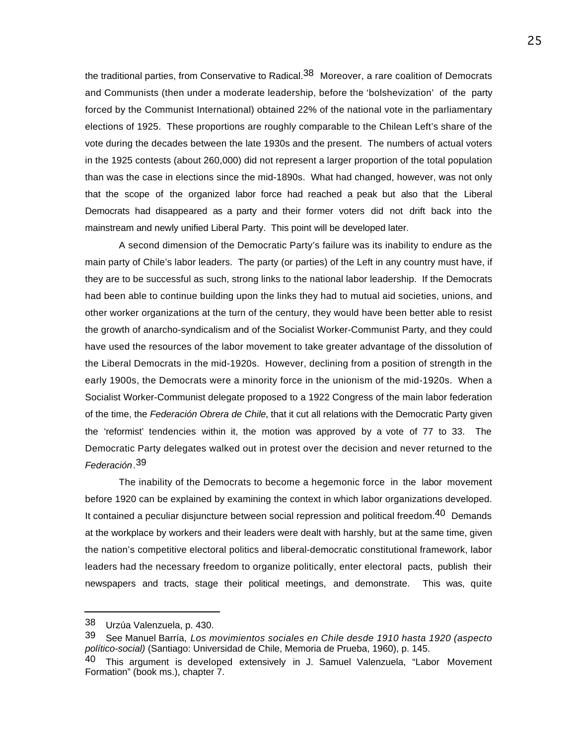the traditional parties, from Conservative to Radical.<sup>38</sup> Moreover, a rare coalition of Democrats and Communists (then under a moderate leadership, before the 'bolshevization' of the party forced by the Communist International) obtained 22% of the national vote in the parliamentary elections of 1925. These proportions are roughly comparable to the Chilean Left's share of the vote during the decades between the late 1930s and the present. The numbers of actual voters in the 1925 contests (about 260,000) did not represent a larger proportion of the total population than was the case in elections since the mid-1890s. What had changed, however, was not only that the scope of the organized labor force had reached a peak but also that the Liberal Democrats had disappeared as a party and their former voters did not drift back into the mainstream and newly unified Liberal Party. This point will be developed later.

A second dimension of the Democratic Party's failure was its inability to endure as the main party of Chile's labor leaders. The party (or parties) of the Left in any country must have, if they are to be successful as such, strong links to the national labor leadership. If the Democrats had been able to continue building upon the links they had to mutual aid societies, unions, and other worker organizations at the turn of the century, they would have been better able to resist the growth of anarcho-syndicalism and of the Socialist Worker-Communist Party, and they could have used the resources of the labor movement to take greater advantage of the dissolution of the Liberal Democrats in the mid-1920s. However, declining from a position of strength in the early 1900s, the Democrats were a minority force in the unionism of the mid-1920s. When a Socialist Worker-Communist delegate proposed to a 1922 Congress of the main labor federation of the time, the *Federación Obrera de Chile*, that it cut all relations with the Democratic Party given the 'reformist' tendencies within it, the motion was approved by a vote of 77 to 33. The Democratic Party delegates walked out in protest over the decision and never returned to the *Federación*. 39

The inability of the Democrats to become a hegemonic force in the labor movement before 1920 can be explained by examining the context in which labor organizations developed. It contained a peculiar disjuncture between social repression and political freedom.<sup>40</sup> Demands at the workplace by workers and their leaders were dealt with harshly, but at the same time, given the nation's competitive electoral politics and liberal-democratic constitutional framework, labor leaders had the necessary freedom to organize politically, enter electoral pacts, publish their newspapers and tracts, stage their political meetings, and demonstrate. This was, quite

<sup>38</sup> Urzúa Valenzuela, p. 430.

<sup>39</sup> See Manuel Barría, *Los movimientos sociales en Chile desde 1910 hasta 1920 (aspecto político-social)* (Santiago: Universidad de Chile, Memoria de Prueba, 1960), p. 145.

<sup>40</sup> This argument is developed extensively in J. Samuel Valenzuela, "Labor Movement Formation" (book ms.), chapter 7.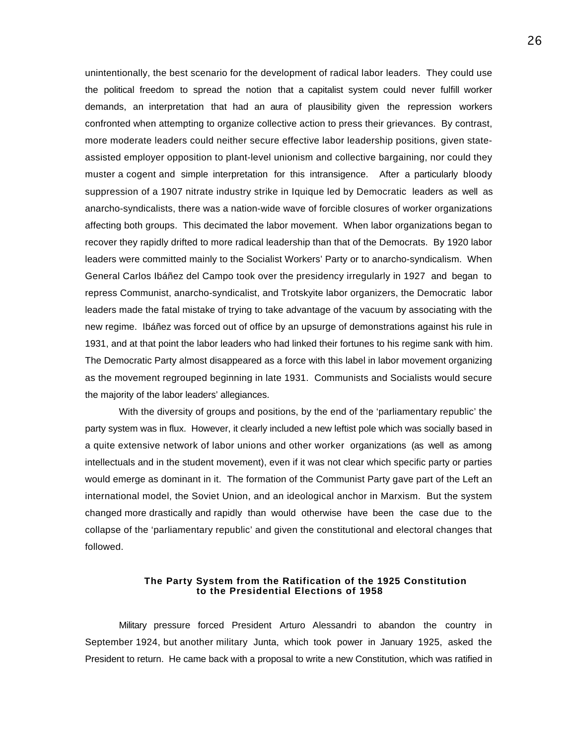unintentionally, the best scenario for the development of radical labor leaders. They could use the political freedom to spread the notion that a capitalist system could never fulfill worker demands, an interpretation that had an aura of plausibility given the repression workers confronted when attempting to organize collective action to press their grievances. By contrast, more moderate leaders could neither secure effective labor leadership positions, given stateassisted employer opposition to plant-level unionism and collective bargaining, nor could they muster a cogent and simple interpretation for this intransigence. After a particularly bloody suppression of a 1907 nitrate industry strike in Iquique led by Democratic leaders as well as anarcho-syndicalists, there was a nation-wide wave of forcible closures of worker organizations affecting both groups. This decimated the labor movement. When labor organizations began to recover they rapidly drifted to more radical leadership than that of the Democrats. By 1920 labor leaders were committed mainly to the Socialist Workers' Party or to anarcho-syndicalism. When General Carlos Ibáñez del Campo took over the presidency irregularly in 1927 and began to repress Communist, anarcho-syndicalist, and Trotskyite labor organizers, the Democratic labor leaders made the fatal mistake of trying to take advantage of the vacuum by associating with the new regime. Ibáñez was forced out of office by an upsurge of demonstrations against his rule in 1931, and at that point the labor leaders who had linked their fortunes to his regime sank with him. The Democratic Party almost disappeared as a force with this label in labor movement organizing as the movement regrouped beginning in late 1931. Communists and Socialists would secure the majority of the labor leaders' allegiances.

With the diversity of groups and positions, by the end of the 'parliamentary republic' the party system was in flux. However, it clearly included a new leftist pole which was socially based in a quite extensive network of labor unions and other worker organizations (as well as among intellectuals and in the student movement), even if it was not clear which specific party or parties would emerge as dominant in it. The formation of the Communist Party gave part of the Left an international model, the Soviet Union, and an ideological anchor in Marxism. But the system changed more drastically and rapidly than would otherwise have been the case due to the collapse of the 'parliamentary republic' and given the constitutional and electoral changes that followed.

#### **The Party System from the Ratification of the 1925 Constitution to the Presidential Elections of 1958**

Military pressure forced President Arturo Alessandri to abandon the country in September 1924, but another military Junta, which took power in January 1925, asked the President to return. He came back with a proposal to write a new Constitution, which was ratified in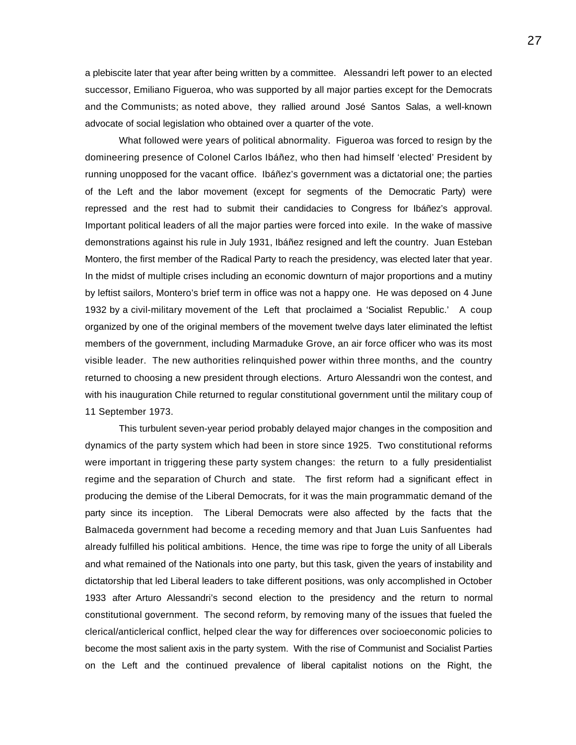a plebiscite later that year after being written by a committee.Alessandri left power to an elected successor, Emiliano Figueroa, who was supported by all major parties except for the Democrats and the Communists; as noted above, they rallied around José Santos Salas, a well-known advocate of social legislation who obtained over a quarter of the vote.

What followed were years of political abnormality. Figueroa was forced to resign by the domineering presence of Colonel Carlos Ibáñez, who then had himself 'elected' President by running unopposed for the vacant office. Ibáñez's government was a dictatorial one; the parties of the Left and the labor movement (except for segments of the Democratic Party) were repressed and the rest had to submit their candidacies to Congress for Ibáñez's approval. Important political leaders of all the major parties were forced into exile. In the wake of massive demonstrations against his rule in July 1931, Ibáñez resigned and left the country. Juan Esteban Montero, the first member of the Radical Party to reach the presidency, was elected later that year. In the midst of multiple crises including an economic downturn of major proportions and a mutiny by leftist sailors, Montero's brief term in office was not a happy one. He was deposed on 4 June 1932 by a civil-military movement of the Left that proclaimed a 'Socialist Republic.' A coup organized by one of the original members of the movement twelve days later eliminated the leftist members of the government, including Marmaduke Grove, an air force officer who was its most visible leader. The new authorities relinquished power within three months, and the country returned to choosing a new president through elections. Arturo Alessandri won the contest, and with his inauguration Chile returned to regular constitutional government until the military coup of 11 September 1973.

This turbulent seven-year period probably delayed major changes in the composition and dynamics of the party system which had been in store since 1925. Two constitutional reforms were important in triggering these party system changes: the return to a fully presidentialist regime and the separation of Church and state. The first reform had a significant effect in producing the demise of the Liberal Democrats, for it was the main programmatic demand of the party since its inception. The Liberal Democrats were also affected by the facts that the Balmaceda government had become a receding memory and that Juan Luis Sanfuentes had already fulfilled his political ambitions. Hence, the time was ripe to forge the unity of all Liberals and what remained of the Nationals into one party, but this task, given the years of instability and dictatorship that led Liberal leaders to take different positions, was only accomplished in October 1933 after Arturo Alessandri's second election to the presidency and the return to normal constitutional government. The second reform, by removing many of the issues that fueled the clerical/anticlerical conflict, helped clear the way for differences over socioeconomic policies to become the most salient axis in the party system. With the rise of Communist and Socialist Parties on the Left and the continued prevalence of liberal capitalist notions on the Right, the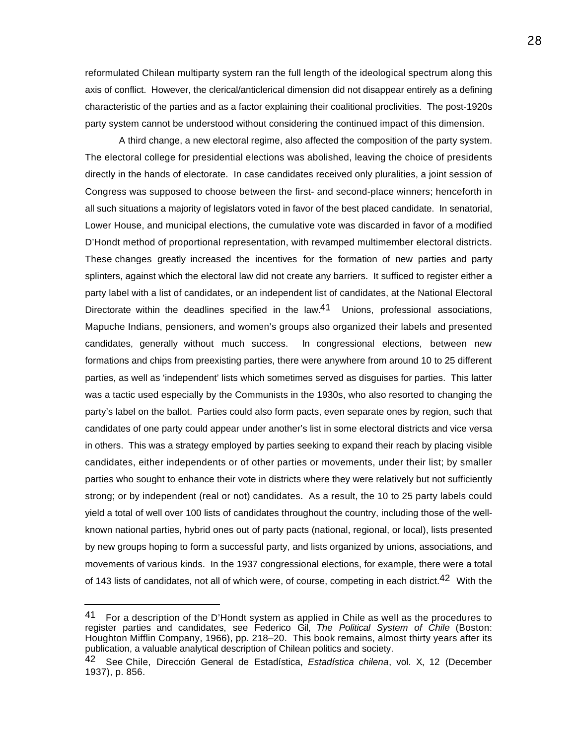reformulated Chilean multiparty system ran the full length of the ideological spectrum along this axis of conflict. However, the clerical/anticlerical dimension did not disappear entirely as a defining characteristic of the parties and as a factor explaining their coalitional proclivities. The post-1920s party system cannot be understood without considering the continued impact of this dimension.

A third change, a new electoral regime, also affected the composition of the party system. The electoral college for presidential elections was abolished, leaving the choice of presidents directly in the hands of electorate. In case candidates received only pluralities, a joint session of Congress was supposed to choose between the first- and second-place winners; henceforth in all such situations a majority of legislators voted in favor of the best placed candidate. In senatorial, Lower House, and municipal elections, the cumulative vote was discarded in favor of a modified D'Hondt method of proportional representation, with revamped multimember electoral districts. These changes greatly increased the incentives for the formation of new parties and party splinters, against which the electoral law did not create any barriers. It sufficed to register either a party label with a list of candidates, or an independent list of candidates, at the National Electoral Directorate within the deadlines specified in the law.<sup>41</sup> Unions, professional associations, Mapuche Indians, pensioners, and women's groups also organized their labels and presented candidates, generally without much success. In congressional elections, between new formations and chips from preexisting parties, there were anywhere from around 10 to 25 different parties, as well as 'independent' lists which sometimes served as disguises for parties. This latter was a tactic used especially by the Communists in the 1930s, who also resorted to changing the party's label on the ballot. Parties could also form pacts, even separate ones by region, such that candidates of one party could appear under another's list in some electoral districts and vice versa in others. This was a strategy employed by parties seeking to expand their reach by placing visible candidates, either independents or of other parties or movements, under their list; by smaller parties who sought to enhance their vote in districts where they were relatively but not sufficiently strong; or by independent (real or not) candidates. As a result, the 10 to 25 party labels could yield a total of well over 100 lists of candidates throughout the country, including those of the wellknown national parties, hybrid ones out of party pacts (national, regional, or local), lists presented by new groups hoping to form a successful party, and lists organized by unions, associations, and movements of various kinds. In the 1937 congressional elections, for example, there were a total of 143 lists of candidates, not all of which were, of course, competing in each district.<sup>42</sup> With the

<sup>41</sup> For a description of the D'Hondt system as applied in Chile as well as the procedures to register parties and candidates, see Federico Gil, *The Political System of Chile* (Boston: Houghton Mifflin Company, 1966), pp. 218–20. This book remains, almost thirty years after its publication, a valuable analytical description of Chilean politics and society.

<sup>42</sup> See Chile, Dirección General de Estadística, *Estadística chilena*, vol. X, 12 (December 1937), p. 856.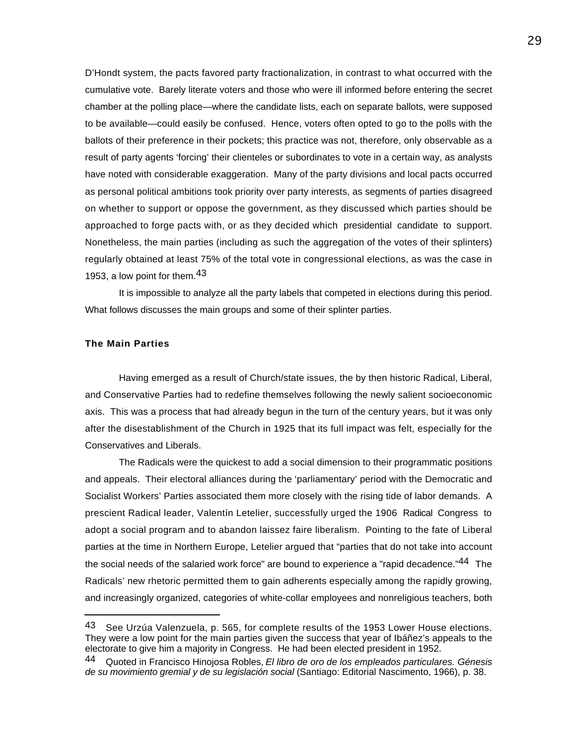D'Hondt system, the pacts favored party fractionalization, in contrast to what occurred with the cumulative vote. Barely literate voters and those who were ill informed before entering the secret chamber at the polling place—where the candidate lists, each on separate ballots, were supposed to be available—could easily be confused. Hence, voters often opted to go to the polls with the ballots of their preference in their pockets; this practice was not, therefore, only observable as a result of party agents 'forcing' their clienteles or subordinates to vote in a certain way, as analysts have noted with considerable exaggeration. Many of the party divisions and local pacts occurred as personal political ambitions took priority over party interests, as segments of parties disagreed on whether to support or oppose the government, as they discussed which parties should be approached to forge pacts with, or as they decided which presidential candidate to support. Nonetheless, the main parties (including as such the aggregation of the votes of their splinters) regularly obtained at least 75% of the total vote in congressional elections, as was the case in 1953, a low point for them.<sup>43</sup>

It is impossible to analyze all the party labels that competed in elections during this period. What follows discusses the main groups and some of their splinter parties.

# **The Main Parties**

 $\overline{a}$ 

Having emerged as a result of Church/state issues, the by then historic Radical, Liberal, and Conservative Parties had to redefine themselves following the newly salient socioeconomic axis. This was a process that had already begun in the turn of the century years, but it was only after the disestablishment of the Church in 1925 that its full impact was felt, especially for the Conservatives and Liberals.

The Radicals were the quickest to add a social dimension to their programmatic positions and appeals. Their electoral alliances during the 'parliamentary' period with the Democratic and Socialist Workers' Parties associated them more closely with the rising tide of labor demands. A prescient Radical leader, Valentín Letelier, successfully urged the 1906 Radical Congress to adopt a social program and to abandon laissez faire liberalism. Pointing to the fate of Liberal parties at the time in Northern Europe, Letelier argued that "parties that do not take into account the social needs of the salaried work force" are bound to experience a "rapid decadence."<sup>44</sup> The Radicals' new rhetoric permitted them to gain adherents especially among the rapidly growing, and increasingly organized, categories of white-collar employees and nonreligious teachers, both

<sup>43</sup> See Urzúa Valenzuela, p. 565, for complete results of the 1953 Lower House elections. They were a low point for the main parties given the success that year of Ibáñez's appeals to the electorate to give him a majority in Congress. He had been elected president in 1952.

<sup>44</sup> Quoted in Francisco Hinojosa Robles, *El libro de oro de los empleados particulares. Génesis de su movimiento gremial y de su legislación social* (Santiago: Editorial Nascimento, 1966), p. 38.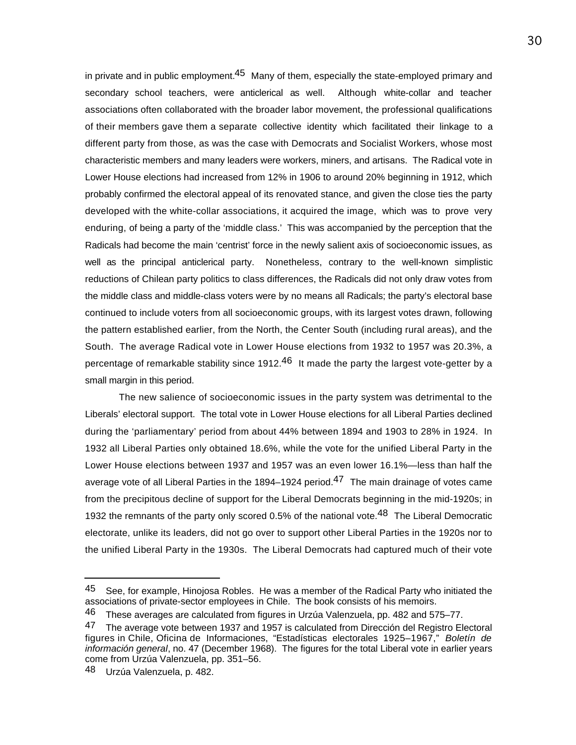in private and in public employment.<sup>45</sup> Many of them, especially the state-employed primary and secondary school teachers, were anticlerical as well. Although white-collar and teacher associations often collaborated with the broader labor movement, the professional qualifications of their members gave them a separate collective identity which facilitated their linkage to a different party from those, as was the case with Democrats and Socialist Workers, whose most characteristic members and many leaders were workers, miners, and artisans. The Radical vote in Lower House elections had increased from 12% in 1906 to around 20% beginning in 1912, which probably confirmed the electoral appeal of its renovated stance, and given the close ties the party developed with the white-collar associations, it acquired the image, which was to prove very enduring, of being a party of the 'middle class.' This was accompanied by the perception that the Radicals had become the main 'centrist' force in the newly salient axis of socioeconomic issues, as well as the principal anticlerical party. Nonetheless, contrary to the well-known simplistic reductions of Chilean party politics to class differences, the Radicals did not only draw votes from the middle class and middle-class voters were by no means all Radicals; the party's electoral base continued to include voters from all socioeconomic groups, with its largest votes drawn, following the pattern established earlier, from the North, the Center South (including rural areas), and the South. The average Radical vote in Lower House elections from 1932 to 1957 was 20.3%, a percentage of remarkable stability since 1912.<sup>46</sup> It made the party the largest vote-getter by a small margin in this period.

The new salience of socioeconomic issues in the party system was detrimental to the Liberals' electoral support. The total vote in Lower House elections for all Liberal Parties declined during the 'parliamentary' period from about 44% between 1894 and 1903 to 28% in 1924. In 1932 all Liberal Parties only obtained 18.6%, while the vote for the unified Liberal Party in the Lower House elections between 1937 and 1957 was an even lower 16.1%—less than half the average vote of all Liberal Parties in the 1894–1924 period.<sup>47</sup> The main drainage of votes came from the precipitous decline of support for the Liberal Democrats beginning in the mid-1920s; in 1932 the remnants of the party only scored 0.5% of the national vote.<sup>48</sup> The Liberal Democratic electorate, unlike its leaders, did not go over to support other Liberal Parties in the 1920s nor to the unified Liberal Party in the 1930s. The Liberal Democrats had captured much of their vote

<sup>45</sup> See, for example, Hinojosa Robles. He was a member of the Radical Party who initiated the associations of private-sector employees in Chile. The book consists of his memoirs.

<sup>46</sup> These averages are calculated from figures in Urzúa Valenzuela, pp. 482 and 575–77.

 $47$  The average vote between 1937 and 1957 is calculated from Dirección del Registro Electoral figures in Chile, Oficina de Informaciones, "Estadísticas electorales 1925–1967," *Boletín de información general*, no. 47 (December 1968). The figures for the total Liberal vote in earlier years come from Urzúa Valenzuela, pp. 351–56.

<sup>48</sup> Urzúa Valenzuela, p. 482.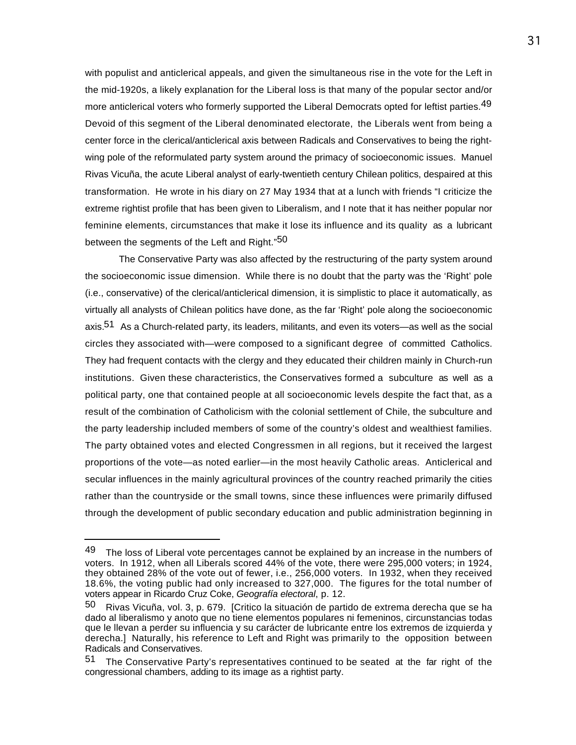with populist and anticlerical appeals, and given the simultaneous rise in the vote for the Left in the mid-1920s, a likely explanation for the Liberal loss is that many of the popular sector and/or more anticlerical voters who formerly supported the Liberal Democrats opted for leftist parties.<sup>49</sup> Devoid of this segment of the Liberal denominated electorate, the Liberals went from being a center force in the clerical/anticlerical axis between Radicals and Conservatives to being the rightwing pole of the reformulated party system around the primacy of socioeconomic issues. Manuel Rivas Vicuña, the acute Liberal analyst of early-twentieth century Chilean politics, despaired at this transformation. He wrote in his diary on 27 May 1934 that at a lunch with friends "I criticize the extreme rightist profile that has been given to Liberalism, and I note that it has neither popular nor feminine elements, circumstances that make it lose its influence and its quality as a lubricant between the segments of the Left and Right."50

The Conservative Party was also affected by the restructuring of the party system around the socioeconomic issue dimension. While there is no doubt that the party was the 'Right' pole (i.e., conservative) of the clerical/anticlerical dimension, it is simplistic to place it automatically, as virtually all analysts of Chilean politics have done, as the far 'Right' pole along the socioeconomic axis.51 As a Church-related party, its leaders, militants, and even its voters—as well as the social circles they associated with—were composed to a significant degree of committed Catholics. They had frequent contacts with the clergy and they educated their children mainly in Church-run institutions. Given these characteristics, the Conservatives formed a subculture as well as a political party, one that contained people at all socioeconomic levels despite the fact that, as a result of the combination of Catholicism with the colonial settlement of Chile, the subculture and the party leadership included members of some of the country's oldest and wealthiest families. The party obtained votes and elected Congressmen in all regions, but it received the largest proportions of the vote—as noted earlier—in the most heavily Catholic areas. Anticlerical and secular influences in the mainly agricultural provinces of the country reached primarily the cities rather than the countryside or the small towns, since these influences were primarily diffused through the development of public secondary education and public administration beginning in

<sup>49</sup> The loss of Liberal vote percentages cannot be explained by an increase in the numbers of voters. In 1912, when all Liberals scored 44% of the vote, there were 295,000 voters; in 1924, they obtained 28% of the vote out of fewer, i.e., 256,000 voters. In 1932, when they received 18.6%, the voting public had only increased to 327,000. The figures for the total number of voters appear in Ricardo Cruz Coke, *Geografía electoral*, p. 12.

<sup>50</sup> Rivas Vicuña, vol. 3, p. 679. [Critico la situación de partido de extrema derecha que se ha dado al liberalismo y anoto que no tiene elementos populares ni femeninos, circunstancias todas que le llevan a perder su influencia y su carácter de lubricante entre los extremos de izquierda y derecha.] Naturally, his reference to Left and Right was primarily to the opposition between Radicals and Conservatives.

<sup>51</sup> The Conservative Party's representatives continued to be seated at the far right of the congressional chambers, adding to its image as a rightist party.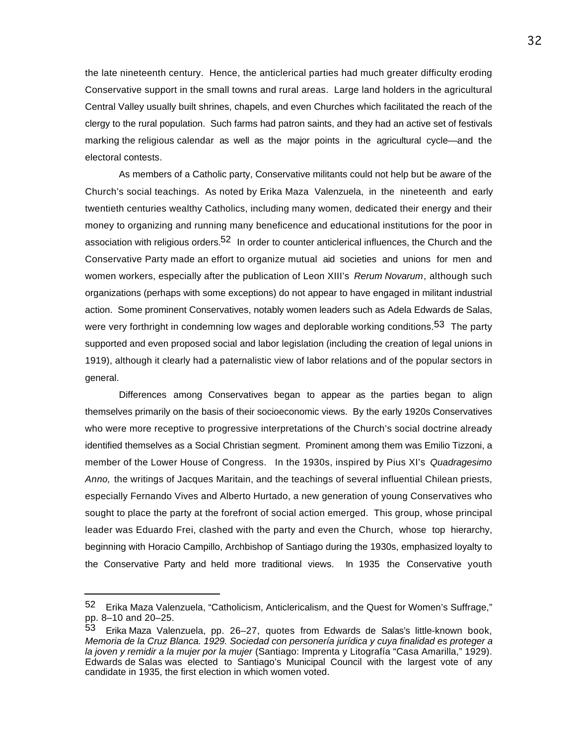the late nineteenth century. Hence, the anticlerical parties had much greater difficulty eroding Conservative support in the small towns and rural areas. Large land holders in the agricultural Central Valley usually built shrines, chapels, and even Churches which facilitated the reach of the clergy to the rural population. Such farms had patron saints, and they had an active set of festivals marking the religious calendar as well as the major points in the agricultural cycle—and the electoral contests.

As members of a Catholic party, Conservative militants could not help but be aware of the Church's social teachings. As noted by Erika Maza Valenzuela, in the nineteenth and early twentieth centuries wealthy Catholics, including many women, dedicated their energy and their money to organizing and running many beneficence and educational institutions for the poor in association with religious orders.<sup>52</sup> In order to counter anticlerical influences, the Church and the Conservative Party made an effort to organize mutual aid societies and unions for men and women workers, especially after the publication of Leon XIII's *Rerum Novarum*, although such organizations (perhaps with some exceptions) do not appear to have engaged in militant industrial action. Some prominent Conservatives, notably women leaders such as Adela Edwards de Salas, were very forthright in condemning low wages and deplorable working conditions.<sup>53</sup> The party supported and even proposed social and labor legislation (including the creation of legal unions in 1919), although it clearly had a paternalistic view of labor relations and of the popular sectors in general.

Differences among Conservatives began to appear as the parties began to align themselves primarily on the basis of their socioeconomic views. By the early 1920s Conservatives who were more receptive to progressive interpretations of the Church's social doctrine already identified themselves as a Social Christian segment. Prominent among them was Emilio Tizzoni, a member of the Lower House of Congress.In the 1930s, inspired by Pius XI's *Quadragesimo Anno,* the writings of Jacques Maritain, and the teachings of several influential Chilean priests, especially Fernando Vives and Alberto Hurtado, a new generation of young Conservatives who sought to place the party at the forefront of social action emerged. This group, whose principal leader was Eduardo Frei, clashed with the party and even the Church, whose top hierarchy, beginning with Horacio Campillo, Archbishop of Santiago during the 1930s, emphasized loyalty to the Conservative Party and held more traditional views. In 1935 the Conservative youth

<sup>52</sup> Erika Maza Valenzuela, "Catholicism, Anticlericalism, and the Quest for Women's Suffrage," pp. 8–10 and 20–25.

<sup>53</sup> Erika Maza Valenzuela, pp. 26–27, quotes from Edwards de Salas's little-known book, *Memoria de la Cruz Blanca. 1929. Sociedad con personería jurídica y cuya finalidad es proteger a la joven y remidir a la mujer por la mujer* (Santiago: Imprenta y Litografía "Casa Amarilla," 1929). Edwards de Salas was elected to Santiago's Municipal Council with the largest vote of any candidate in 1935, the first election in which women voted.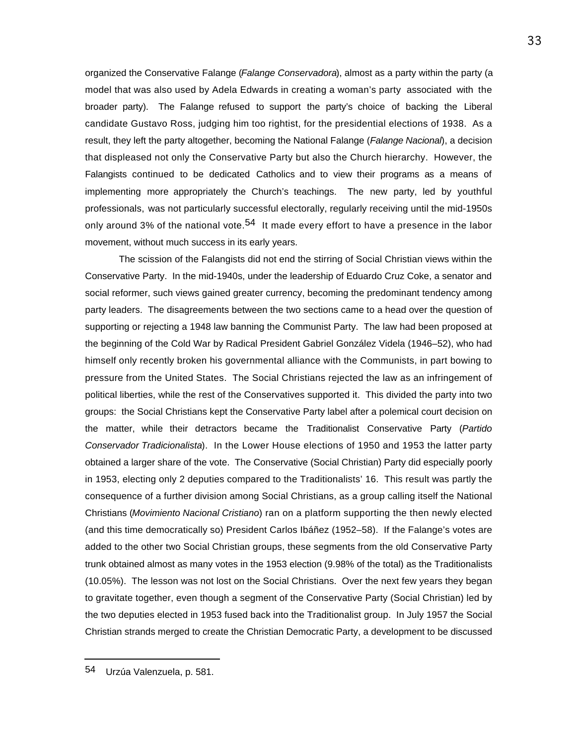organized the Conservative Falange (*Falange Conservadora*), almost as a party within the party (a model that was also used by Adela Edwards in creating a woman's party associated with the broader party). The Falange refused to support the party's choice of backing the Liberal candidate Gustavo Ross, judging him too rightist, for the presidential elections of 1938. As a result, they left the party altogether, becoming the National Falange (*Falange Nacional*), a decision that displeased not only the Conservative Party but also the Church hierarchy. However, the Falangists continued to be dedicated Catholics and to view their programs as a means of implementing more appropriately the Church's teachings. The new party, led by youthful professionals, was not particularly successful electorally, regularly receiving until the mid-1950s only around 3% of the national vote.<sup>54</sup> It made every effort to have a presence in the labor movement, without much success in its early years.

The scission of the Falangists did not end the stirring of Social Christian views within the Conservative Party. In the mid-1940s, under the leadership of Eduardo Cruz Coke, a senator and social reformer, such views gained greater currency, becoming the predominant tendency among party leaders. The disagreements between the two sections came to a head over the question of supporting or rejecting a 1948 law banning the Communist Party. The law had been proposed at the beginning of the Cold War by Radical President Gabriel González Videla (1946–52), who had himself only recently broken his governmental alliance with the Communists, in part bowing to pressure from the United States. The Social Christians rejected the law as an infringement of political liberties, while the rest of the Conservatives supported it. This divided the party into two groups: the Social Christians kept the Conservative Party label after a polemical court decision on the matter, while their detractors became the Traditionalist Conservative Party (*Partido Conservador Tradicionalista*). In the Lower House elections of 1950 and 1953 the latter party obtained a larger share of the vote. The Conservative (Social Christian) Party did especially poorly in 1953, electing only 2 deputies compared to the Traditionalists' 16. This result was partly the consequence of a further division among Social Christians, as a group calling itself the National Christians (*Movimiento Nacional Cristiano*) ran on a platform supporting the then newly elected (and this time democratically so) President Carlos Ibáñez (1952–58). If the Falange's votes are added to the other two Social Christian groups, these segments from the old Conservative Party trunk obtained almost as many votes in the 1953 election (9.98% of the total) as the Traditionalists (10.05%). The lesson was not lost on the Social Christians. Over the next few years they began to gravitate together, even though a segment of the Conservative Party (Social Christian) led by the two deputies elected in 1953 fused back into the Traditionalist group. In July 1957 the Social Christian strands merged to create the Christian Democratic Party, a development to be discussed

<sup>54</sup> Urzúa Valenzuela, p. 581.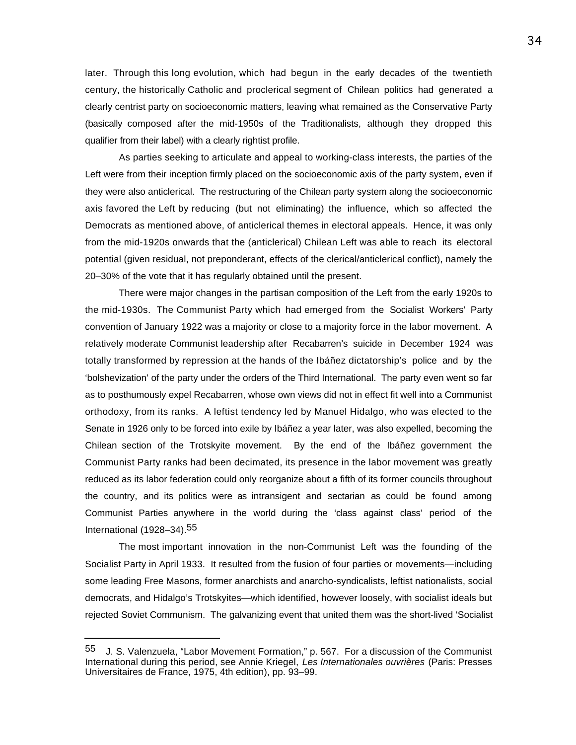later. Through this long evolution, which had begun in the early decades of the twentieth century, the historically Catholic and proclerical segment of Chilean politics had generated a clearly centrist party on socioeconomic matters, leaving what remained as the Conservative Party (basically composed after the mid-1950s of the Traditionalists, although they dropped this qualifier from their label) with a clearly rightist profile.

As parties seeking to articulate and appeal to working-class interests, the parties of the Left were from their inception firmly placed on the socioeconomic axis of the party system, even if they were also anticlerical. The restructuring of the Chilean party system along the socioeconomic axis favored the Left by reducing (but not eliminating) the influence, which so affected the Democrats as mentioned above, of anticlerical themes in electoral appeals. Hence, it was only from the mid-1920s onwards that the (anticlerical) Chilean Left was able to reach its electoral potential (given residual, not preponderant, effects of the clerical/anticlerical conflict), namely the 20–30% of the vote that it has regularly obtained until the present.

There were major changes in the partisan composition of the Left from the early 1920s to the mid-1930s. The Communist Party which had emerged from the Socialist Workers' Party convention of January 1922 was a majority or close to a majority force in the labor movement. A relatively moderate Communist leadership after Recabarren's suicide in December 1924 was totally transformed by repression at the hands of the Ibáñez dictatorship's police and by the 'bolshevization' of the party under the orders of the Third International. The party even went so far as to posthumously expel Recabarren, whose own views did not in effect fit well into a Communist orthodoxy, from its ranks. A leftist tendency led by Manuel Hidalgo, who was elected to the Senate in 1926 only to be forced into exile by Ibáñez a year later, was also expelled, becoming the Chilean section of the Trotskyite movement. By the end of the Ibáñez government the Communist Party ranks had been decimated, its presence in the labor movement was greatly reduced as its labor federation could only reorganize about a fifth of its former councils throughout the country, and its politics were as intransigent and sectarian as could be found among Communist Parties anywhere in the world during the 'class against class' period of the International (1928–34).55

The most important innovation in the non-Communist Left was the founding of the Socialist Party in April 1933. It resulted from the fusion of four parties or movements—including some leading Free Masons, former anarchists and anarcho-syndicalists, leftist nationalists, social democrats, and Hidalgo's Trotskyites—which identified, however loosely, with socialist ideals but rejected Soviet Communism. The galvanizing event that united them was the short-lived 'Socialist

<sup>55</sup> J. S. Valenzuela, "Labor Movement Formation," p. 567. For a discussion of the Communist International during this period, see Annie Kriegel, *Les Internationales ouvrières* (Paris: Presses Universitaires de France, 1975, 4th edition), pp. 93–99.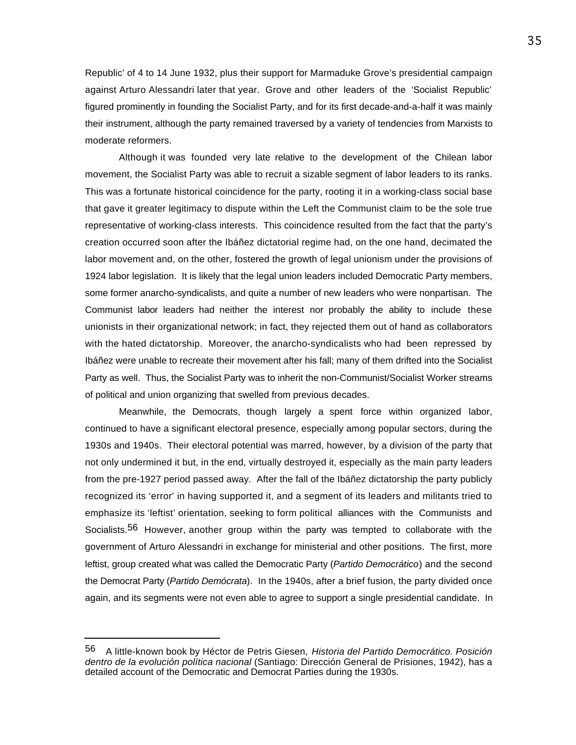Republic' of 4 to 14 June 1932, plus their support for Marmaduke Grove's presidential campaign against Arturo Alessandri later that year. Grove and other leaders of the 'Socialist Republic' figured prominently in founding the Socialist Party, and for its first decade-and-a-half it was mainly their instrument, although the party remained traversed by a variety of tendencies from Marxists to moderate reformers.

Although it was founded very late relative to the development of the Chilean labor movement, the Socialist Party was able to recruit a sizable segment of labor leaders to its ranks. This was a fortunate historical coincidence for the party, rooting it in a working-class social base that gave it greater legitimacy to dispute within the Left the Communist claim to be the sole true representative of working-class interests. This coincidence resulted from the fact that the party's creation occurred soon after the Ibáñez dictatorial regime had, on the one hand, decimated the labor movement and, on the other, fostered the growth of legal unionism under the provisions of 1924 labor legislation. It is likely that the legal union leaders included Democratic Party members, some former anarcho-syndicalists, and quite a number of new leaders who were nonpartisan. The Communist labor leaders had neither the interest nor probably the ability to include these unionists in their organizational network; in fact, they rejected them out of hand as collaborators with the hated dictatorship. Moreover, the anarcho-syndicalists who had been repressed by Ibáñez were unable to recreate their movement after his fall; many of them drifted into the Socialist Party as well. Thus, the Socialist Party was to inherit the non-Communist/Socialist Worker streams of political and union organizing that swelled from previous decades.

Meanwhile, the Democrats, though largely a spent force within organized labor, continued to have a significant electoral presence, especially among popular sectors, during the 1930s and 1940s. Their electoral potential was marred, however, by a division of the party that not only undermined it but, in the end, virtually destroyed it, especially as the main party leaders from the pre-1927 period passed away. After the fall of the Ibáñez dictatorship the party publicly recognized its 'error' in having supported it, and a segment of its leaders and militants tried to emphasize its 'leftist' orientation, seeking to form political alliances with the Communists and Socialists.<sup>56</sup> However, another group within the party was tempted to collaborate with the government of Arturo Alessandri in exchange for ministerial and other positions. The first, more leftist, group created what was called the Democratic Party (*Partido Democrático*) and the second the Democrat Party (*Partido Demócrata*). In the 1940s, after a brief fusion, the party divided once again, and its segments were not even able to agree to support a single presidential candidate. In

<sup>56</sup> A little-known book by Héctor de Petris Giesen, *Historia del Partido Democrático. Posición dentro de la evolución política nacional* (Santiago: Dirección General de Prisiones, 1942), has a detailed account of the Democratic and Democrat Parties during the 1930s.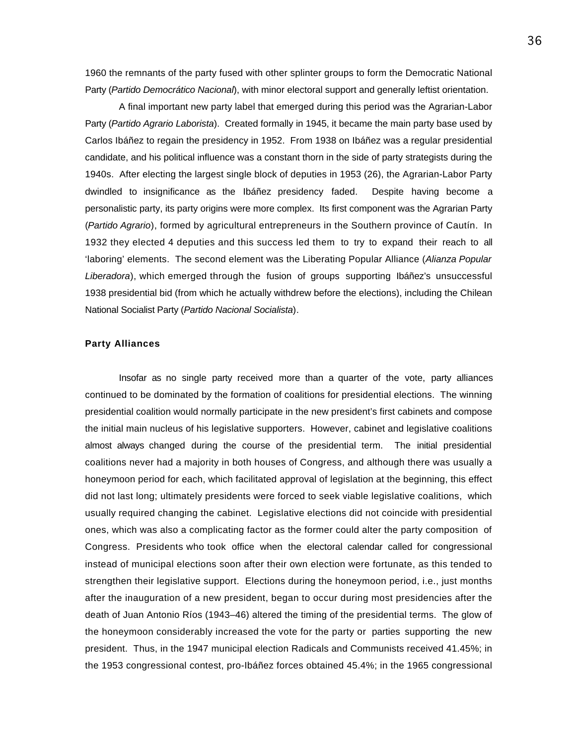1960 the remnants of the party fused with other splinter groups to form the Democratic National Party (*Partido Democrático Nacional*), with minor electoral support and generally leftist orientation.

A final important new party label that emerged during this period was the Agrarian-Labor Party (*Partido Agrario Laborista*). Created formally in 1945, it became the main party base used by Carlos Ibáñez to regain the presidency in 1952. From 1938 on Ibáñez was a regular presidential candidate, and his political influence was a constant thorn in the side of party strategists during the 1940s. After electing the largest single block of deputies in 1953 (26), the Agrarian-Labor Party dwindled to insignificance as the Ibáñez presidency faded. Despite having become a personalistic party, its party origins were more complex. Its first component was the Agrarian Party (*Partido Agrario*), formed by agricultural entrepreneurs in the Southern province of Cautín. In 1932 they elected 4 deputies and this success led them to try to expand their reach to all 'laboring' elements. The second element was the Liberating Popular Alliance (*Alianza Popular Liberadora*), which emerged through the fusion of groups supporting Ibáñez's unsuccessful 1938 presidential bid (from which he actually withdrew before the elections), including the Chilean National Socialist Party (*Partido Nacional Socialista*).

## **Party Alliances**

Insofar as no single party received more than a quarter of the vote, party alliances continued to be dominated by the formation of coalitions for presidential elections. The winning presidential coalition would normally participate in the new president's first cabinets and compose the initial main nucleus of his legislative supporters. However, cabinet and legislative coalitions almost always changed during the course of the presidential term. The initial presidential coalitions never had a majority in both houses of Congress, and although there was usually a honeymoon period for each, which facilitated approval of legislation at the beginning, this effect did not last long; ultimately presidents were forced to seek viable legislative coalitions, which usually required changing the cabinet. Legislative elections did not coincide with presidential ones, which was also a complicating factor as the former could alter the party composition of Congress. Presidents who took office when the electoral calendar called for congressional instead of municipal elections soon after their own election were fortunate, as this tended to strengthen their legislative support. Elections during the honeymoon period, i.e., just months after the inauguration of a new president, began to occur during most presidencies after the death of Juan Antonio Ríos (1943–46) altered the timing of the presidential terms. The glow of the honeymoon considerably increased the vote for the party or parties supporting the new president. Thus, in the 1947 municipal election Radicals and Communists received 41.45%; in the 1953 congressional contest, pro-Ibáñez forces obtained 45.4%; in the 1965 congressional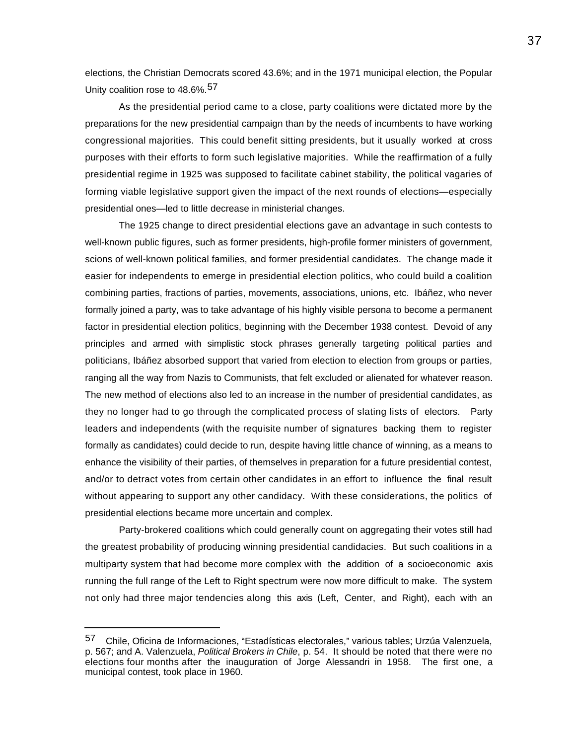elections, the Christian Democrats scored 43.6%; and in the 1971 municipal election, the Popular Unity coalition rose to 48.6%.57

As the presidential period came to a close, party coalitions were dictated more by the preparations for the new presidential campaign than by the needs of incumbents to have working congressional majorities. This could benefit sitting presidents, but it usually worked at cross purposes with their efforts to form such legislative majorities. While the reaffirmation of a fully presidential regime in 1925 was supposed to facilitate cabinet stability, the political vagaries of forming viable legislative support given the impact of the next rounds of elections—especially presidential ones—led to little decrease in ministerial changes.

The 1925 change to direct presidential elections gave an advantage in such contests to well-known public figures, such as former presidents, high-profile former ministers of government, scions of well-known political families, and former presidential candidates. The change made it easier for independents to emerge in presidential election politics, who could build a coalition combining parties, fractions of parties, movements, associations, unions, etc. Ibáñez, who never formally joined a party, was to take advantage of his highly visible persona to become a permanent factor in presidential election politics, beginning with the December 1938 contest. Devoid of any principles and armed with simplistic stock phrases generally targeting political parties and politicians, Ibáñez absorbed support that varied from election to election from groups or parties, ranging all the way from Nazis to Communists, that felt excluded or alienated for whatever reason. The new method of elections also led to an increase in the number of presidential candidates, as they no longer had to go through the complicated process of slating lists of electors. Party leaders and independents (with the requisite number of signatures backing them to register formally as candidates) could decide to run, despite having little chance of winning, as a means to enhance the visibility of their parties, of themselves in preparation for a future presidential contest, and/or to detract votes from certain other candidates in an effort to influence the final result without appearing to support any other candidacy. With these considerations, the politics of presidential elections became more uncertain and complex.

Party-brokered coalitions which could generally count on aggregating their votes still had the greatest probability of producing winning presidential candidacies. But such coalitions in a multiparty system that had become more complex with the addition of a socioeconomic axis running the full range of the Left to Right spectrum were now more difficult to make. The system not only had three major tendencies along this axis (Left, Center, and Right), each with an

<sup>57</sup> Chile, Oficina de Informaciones, "Estadísticas electorales," various tables; Urzúa Valenzuela, p. 567; and A. Valenzuela, *Political Brokers in Chile*, p. 54. It should be noted that there were no elections four months after the inauguration of Jorge Alessandri in 1958. The first one, a municipal contest, took place in 1960.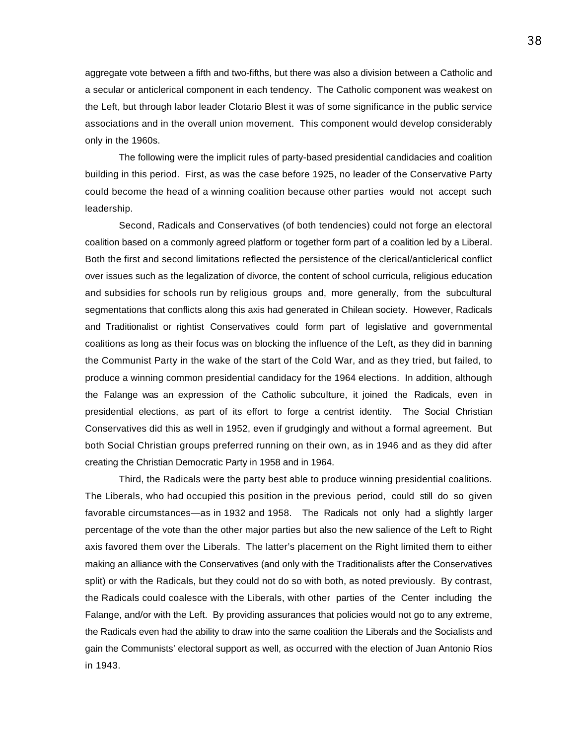aggregate vote between a fifth and two-fifths, but there was also a division between a Catholic and a secular or anticlerical component in each tendency. The Catholic component was weakest on the Left, but through labor leader Clotario Blest it was of some significance in the public service associations and in the overall union movement. This component would develop considerably only in the 1960s.

The following were the implicit rules of party-based presidential candidacies and coalition building in this period. First, as was the case before 1925, no leader of the Conservative Party could become the head of a winning coalition because other parties would not accept such leadership.

Second, Radicals and Conservatives (of both tendencies) could not forge an electoral coalition based on a commonly agreed platform or together form part of a coalition led by a Liberal. Both the first and second limitations reflected the persistence of the clerical/anticlerical conflict over issues such as the legalization of divorce, the content of school curricula, religious education and subsidies for schools run by religious groups and, more generally, from the subcultural segmentations that conflicts along this axis had generated in Chilean society. However, Radicals and Traditionalist or rightist Conservatives could form part of legislative and governmental coalitions as long as their focus was on blocking the influence of the Left, as they did in banning the Communist Party in the wake of the start of the Cold War, and as they tried, but failed, to produce a winning common presidential candidacy for the 1964 elections. In addition, although the Falange was an expression of the Catholic subculture, it joined the Radicals, even in presidential elections, as part of its effort to forge a centrist identity. The Social Christian Conservatives did this as well in 1952, even if grudgingly and without a formal agreement. But both Social Christian groups preferred running on their own, as in 1946 and as they did after creating the Christian Democratic Party in 1958 and in 1964.

Third, the Radicals were the party best able to produce winning presidential coalitions. The Liberals, who had occupied this position in the previous period, could still do so given favorable circumstances—as in 1932 and 1958. The Radicals not only had a slightly larger percentage of the vote than the other major parties but also the new salience of the Left to Right axis favored them over the Liberals. The latter's placement on the Right limited them to either making an alliance with the Conservatives (and only with the Traditionalists after the Conservatives split) or with the Radicals, but they could not do so with both, as noted previously. By contrast, the Radicals could coalesce with the Liberals, with other parties of the Center including the Falange, and/or with the Left. By providing assurances that policies would not go to any extreme, the Radicals even had the ability to draw into the same coalition the Liberals and the Socialists and gain the Communists' electoral support as well, as occurred with the election of Juan Antonio Ríos in 1943.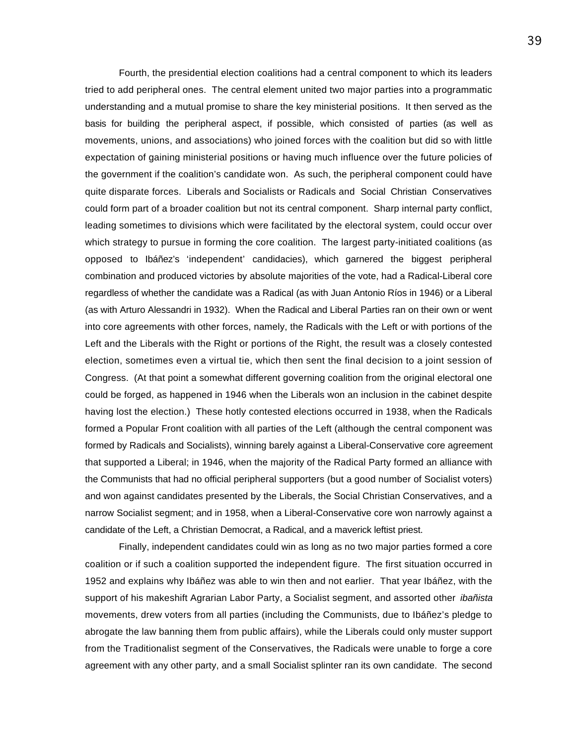Fourth, the presidential election coalitions had a central component to which its leaders tried to add peripheral ones. The central element united two major parties into a programmatic understanding and a mutual promise to share the key ministerial positions. It then served as the basis for building the peripheral aspect, if possible, which consisted of parties (as well as movements, unions, and associations) who joined forces with the coalition but did so with little expectation of gaining ministerial positions or having much influence over the future policies of the government if the coalition's candidate won. As such, the peripheral component could have quite disparate forces. Liberals and Socialists or Radicals and Social Christian Conservatives could form part of a broader coalition but not its central component. Sharp internal party conflict, leading sometimes to divisions which were facilitated by the electoral system, could occur over which strategy to pursue in forming the core coalition. The largest party-initiated coalitions (as opposed to Ibáñez's 'independent' candidacies), which garnered the biggest peripheral combination and produced victories by absolute majorities of the vote, had a Radical-Liberal core regardless of whether the candidate was a Radical (as with Juan Antonio Ríos in 1946) or a Liberal (as with Arturo Alessandri in 1932). When the Radical and Liberal Parties ran on their own or went into core agreements with other forces, namely, the Radicals with the Left or with portions of the Left and the Liberals with the Right or portions of the Right, the result was a closely contested election, sometimes even a virtual tie, which then sent the final decision to a joint session of Congress. (At that point a somewhat different governing coalition from the original electoral one could be forged, as happened in 1946 when the Liberals won an inclusion in the cabinet despite having lost the election.) These hotly contested elections occurred in 1938, when the Radicals formed a Popular Front coalition with all parties of the Left (although the central component was formed by Radicals and Socialists), winning barely against a Liberal-Conservative core agreement that supported a Liberal; in 1946, when the majority of the Radical Party formed an alliance with the Communists that had no official peripheral supporters (but a good number of Socialist voters) and won against candidates presented by the Liberals, the Social Christian Conservatives, and a narrow Socialist segment; and in 1958, when a Liberal-Conservative core won narrowly against a candidate of the Left, a Christian Democrat, a Radical, and a maverick leftist priest.

Finally, independent candidates could win as long as no two major parties formed a core coalition or if such a coalition supported the independent figure. The first situation occurred in 1952 and explains why Ibáñez was able to win then and not earlier. That year Ibáñez, with the support of his makeshift Agrarian Labor Party, a Socialist segment, and assorted other *ibañista* movements, drew voters from all parties (including the Communists, due to Ibáñez's pledge to abrogate the law banning them from public affairs), while the Liberals could only muster support from the Traditionalist segment of the Conservatives, the Radicals were unable to forge a core agreement with any other party, and a small Socialist splinter ran its own candidate. The second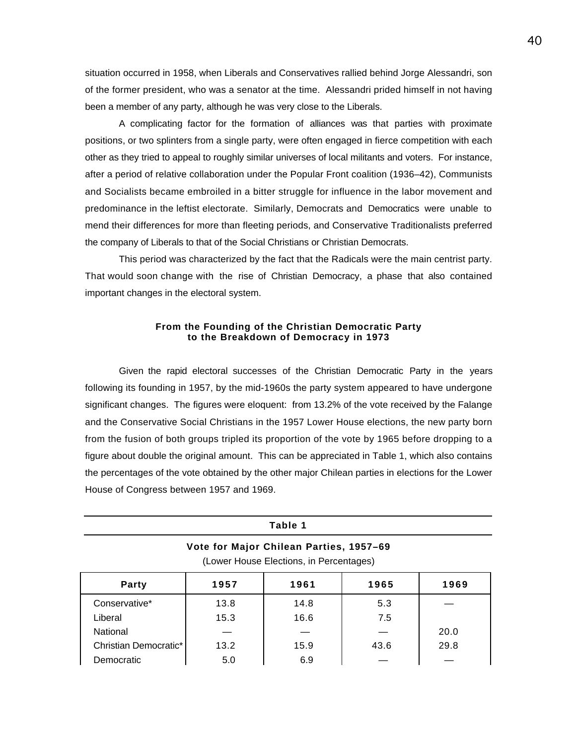situation occurred in 1958, when Liberals and Conservatives rallied behind Jorge Alessandri, son of the former president, who was a senator at the time. Alessandri prided himself in not having been a member of any party, although he was very close to the Liberals.

A complicating factor for the formation of alliances was that parties with proximate positions, or two splinters from a single party, were often engaged in fierce competition with each other as they tried to appeal to roughly similar universes of local militants and voters. For instance, after a period of relative collaboration under the Popular Front coalition (1936–42), Communists and Socialists became embroiled in a bitter struggle for influence in the labor movement and predominance in the leftist electorate. Similarly, Democrats and Democratics were unable to mend their differences for more than fleeting periods, and Conservative Traditionalists preferred the company of Liberals to that of the Social Christians or Christian Democrats.

This period was characterized by the fact that the Radicals were the main centrist party. That would soon change with the rise of Christian Democracy, a phase that also contained important changes in the electoral system.

## **From the Founding of the Christian Democratic Party to the Breakdown of Democracy in 1973**

Given the rapid electoral successes of the Christian Democratic Party in the years following its founding in 1957, by the mid-1960s the party system appeared to have undergone significant changes. The figures were eloquent: from 13.2% of the vote received by the Falange and the Conservative Social Christians in the 1957 Lower House elections, the new party born from the fusion of both groups tripled its proportion of the vote by 1965 before dropping to a figure about double the original amount. This can be appreciated in Table 1, which also contains the percentages of the vote obtained by the other major Chilean parties in elections for the Lower House of Congress between 1957 and 1969.

| Table 1                                                                            |      |      |      |      |
|------------------------------------------------------------------------------------|------|------|------|------|
| Vote for Major Chilean Parties, 1957-69<br>(Lower House Elections, in Percentages) |      |      |      |      |
| <b>Party</b>                                                                       | 1957 | 1961 | 1965 | 1969 |
| Conservative*                                                                      | 13.8 | 14.8 | 5.3  |      |
| Liberal                                                                            | 15.3 | 16.6 | 7.5  |      |
| National                                                                           |      |      |      | 20.0 |
| Christian Democratic*                                                              | 13.2 | 15.9 | 43.6 | 29.8 |
| Democratic                                                                         | 5.0  | 6.9  |      |      |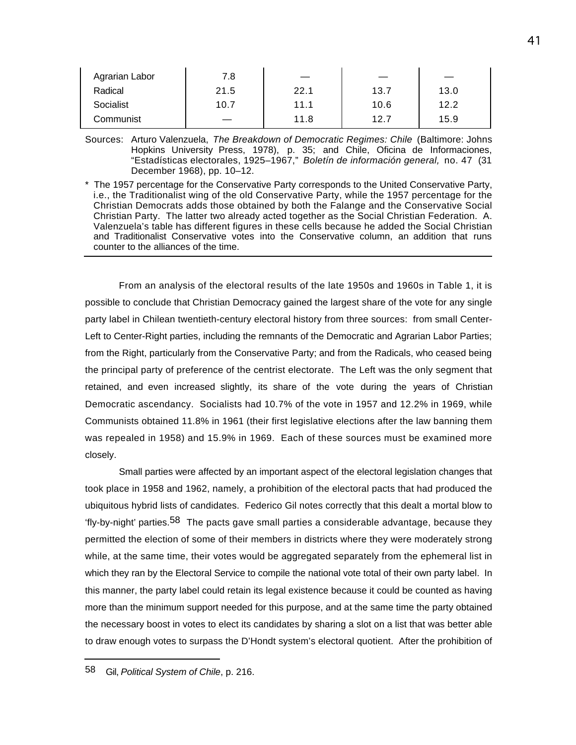| Agrarian Labor | 7.8  |      |      |      |
|----------------|------|------|------|------|
| Radical        | 21.5 | 22.1 | 13.7 | 13.0 |
| Socialist      | 10.7 | 11.1 | 10.6 | 12.2 |
| Communist      |      | 11.8 | 12.7 | 15.9 |

Sources: Arturo Valenzuela, *The Breakdown of Democratic Regimes: Chile* (Baltimore: Johns Hopkins University Press, 1978), p. 35; and Chile, Oficina de Informaciones, "Estadísticas electorales, 1925–1967," *Boletín de información general,* no. 47 (31 December 1968), pp. 10–12.

\* The 1957 percentage for the Conservative Party corresponds to the United Conservative Party, i.e., the Traditionalist wing of the old Conservative Party, while the 1957 percentage for the Christian Democrats adds those obtained by both the Falange and the Conservative Social Christian Party. The latter two already acted together as the Social Christian Federation. A. Valenzuela's table has different figures in these cells because he added the Social Christian and Traditionalist Conservative votes into the Conservative column, an addition that runs counter to the alliances of the time.

From an analysis of the electoral results of the late 1950s and 1960s in Table 1, it is possible to conclude that Christian Democracy gained the largest share of the vote for any single party label in Chilean twentieth-century electoral history from three sources: from small Center-Left to Center-Right parties, including the remnants of the Democratic and Agrarian Labor Parties; from the Right, particularly from the Conservative Party; and from the Radicals, who ceased being the principal party of preference of the centrist electorate. The Left was the only segment that retained, and even increased slightly, its share of the vote during the years of Christian Democratic ascendancy. Socialists had 10.7% of the vote in 1957 and 12.2% in 1969, while Communists obtained 11.8% in 1961 (their first legislative elections after the law banning them was repealed in 1958) and 15.9% in 1969. Each of these sources must be examined more closely.

Small parties were affected by an important aspect of the electoral legislation changes that took place in 1958 and 1962, namely, a prohibition of the electoral pacts that had produced the ubiquitous hybrid lists of candidates. Federico Gil notes correctly that this dealt a mortal blow to 'fly-by-night' parties.58 The pacts gave small parties a considerable advantage, because they permitted the election of some of their members in districts where they were moderately strong while, at the same time, their votes would be aggregated separately from the ephemeral list in which they ran by the Electoral Service to compile the national vote total of their own party label. In this manner, the party label could retain its legal existence because it could be counted as having more than the minimum support needed for this purpose, and at the same time the party obtained the necessary boost in votes to elect its candidates by sharing a slot on a list that was better able to draw enough votes to surpass the D'Hondt system's electoral quotient. After the prohibition of

<sup>58</sup> Gil, *Political System of Chile*, p. 216.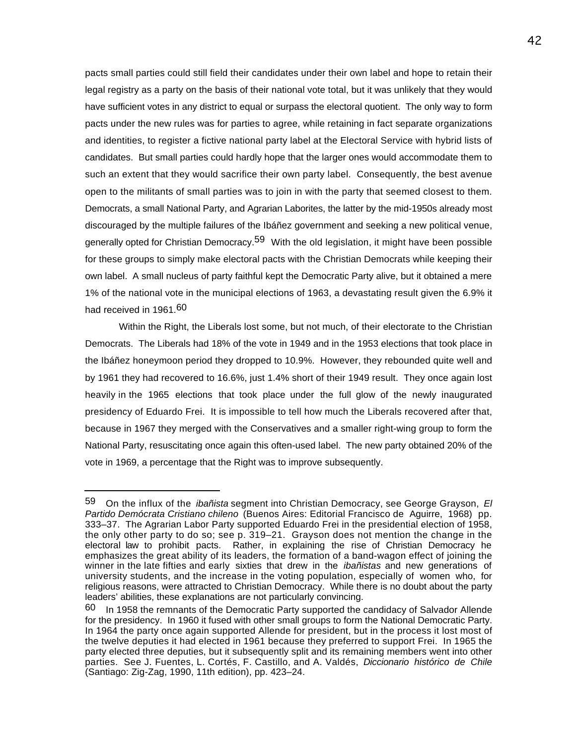pacts small parties could still field their candidates under their own label and hope to retain their legal registry as a party on the basis of their national vote total, but it was unlikely that they would have sufficient votes in any district to equal or surpass the electoral quotient. The only way to form pacts under the new rules was for parties to agree, while retaining in fact separate organizations and identities, to register a fictive national party label at the Electoral Service with hybrid lists of candidates. But small parties could hardly hope that the larger ones would accommodate them to such an extent that they would sacrifice their own party label. Consequently, the best avenue open to the militants of small parties was to join in with the party that seemed closest to them. Democrats, a small National Party, and Agrarian Laborites, the latter by the mid-1950s already most discouraged by the multiple failures of the Ibáñez government and seeking a new political venue, generally opted for Christian Democracy.<sup>59</sup> With the old legislation, it might have been possible for these groups to simply make electoral pacts with the Christian Democrats while keeping their own label. A small nucleus of party faithful kept the Democratic Party alive, but it obtained a mere 1% of the national vote in the municipal elections of 1963, a devastating result given the 6.9% it had received in 1961.<sup>60</sup>

Within the Right, the Liberals lost some, but not much, of their electorate to the Christian Democrats. The Liberals had 18% of the vote in 1949 and in the 1953 elections that took place in the Ibáñez honeymoon period they dropped to 10.9%. However, they rebounded quite well and by 1961 they had recovered to 16.6%, just 1.4% short of their 1949 result. They once again lost heavily in the 1965 elections that took place under the full glow of the newly inaugurated presidency of Eduardo Frei. It is impossible to tell how much the Liberals recovered after that, because in 1967 they merged with the Conservatives and a smaller right-wing group to form the National Party, resuscitating once again this often-used label. The new party obtained 20% of the vote in 1969, a percentage that the Right was to improve subsequently.

<sup>59</sup> On the influx of the *ibañista* segment into Christian Democracy, see George Grayson, *El Partido Demócrata Cristiano chileno* (Buenos Aires: Editorial Francisco de Aguirre, 1968) pp. 333–37. The Agrarian Labor Party supported Eduardo Frei in the presidential election of 1958, the only other party to do so; see p. 319–21. Grayson does not mention the change in the electoral law to prohibit pacts. Rather, in explaining the rise of Christian Democracy he emphasizes the great ability of its leaders, the formation of a band-wagon effect of joining the winner in the late fifties and early sixties that drew in the *ibañistas* and new generations of university students, and the increase in the voting population, especially of women who, for religious reasons, were attracted to Christian Democracy. While there is no doubt about the party leaders' abilities, these explanations are not particularly convincing.

<sup>60</sup> In 1958 the remnants of the Democratic Party supported the candidacy of Salvador Allende for the presidency. In 1960 it fused with other small groups to form the National Democratic Party. In 1964 the party once again supported Allende for president, but in the process it lost most of the twelve deputies it had elected in 1961 because they preferred to support Frei. In 1965 the party elected three deputies, but it subsequently split and its remaining members went into other parties. See J. Fuentes, L. Cortés, F. Castillo, and A. Valdés, *Diccionario histórico de Chile* (Santiago: Zig-Zag, 1990, 11th edition), pp. 423–24.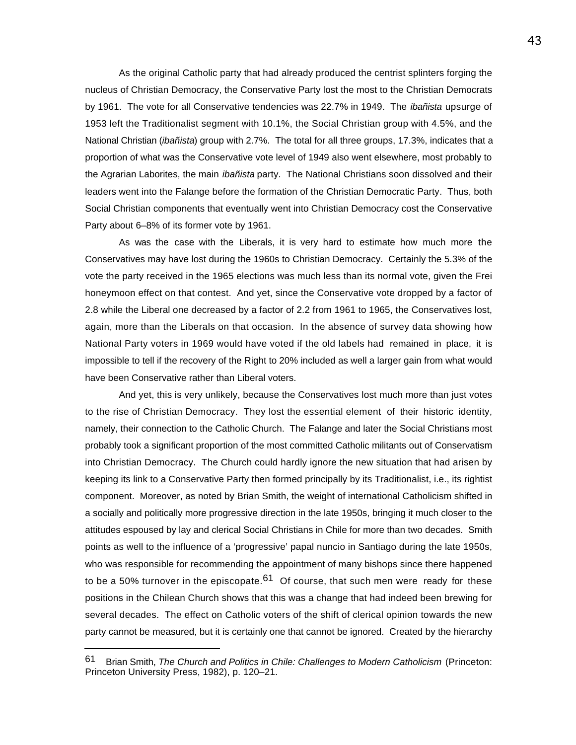As the original Catholic party that had already produced the centrist splinters forging the nucleus of Christian Democracy, the Conservative Party lost the most to the Christian Democrats by 1961. The vote for all Conservative tendencies was 22.7% in 1949. The *ibañista* upsurge of 1953 left the Traditionalist segment with 10.1%, the Social Christian group with 4.5%, and the National Christian (*ibañista*) group with 2.7%. The total for all three groups, 17.3%, indicates that a proportion of what was the Conservative vote level of 1949 also went elsewhere, most probably to the Agrarian Laborites, the main *ibañista* party. The National Christians soon dissolved and their leaders went into the Falange before the formation of the Christian Democratic Party. Thus, both Social Christian components that eventually went into Christian Democracy cost the Conservative Party about 6–8% of its former vote by 1961.

As was the case with the Liberals, it is very hard to estimate how much more the Conservatives may have lost during the 1960s to Christian Democracy. Certainly the 5.3% of the vote the party received in the 1965 elections was much less than its normal vote, given the Frei honeymoon effect on that contest. And yet, since the Conservative vote dropped by a factor of 2.8 while the Liberal one decreased by a factor of 2.2 from 1961 to 1965, the Conservatives lost, again, more than the Liberals on that occasion. In the absence of survey data showing how National Party voters in 1969 would have voted if the old labels had remained in place, it is impossible to tell if the recovery of the Right to 20% included as well a larger gain from what would have been Conservative rather than Liberal voters.

And yet, this is very unlikely, because the Conservatives lost much more than just votes to the rise of Christian Democracy. They lost the essential element of their historic identity, namely, their connection to the Catholic Church. The Falange and later the Social Christians most probably took a significant proportion of the most committed Catholic militants out of Conservatism into Christian Democracy. The Church could hardly ignore the new situation that had arisen by keeping its link to a Conservative Party then formed principally by its Traditionalist, i.e., its rightist component. Moreover, as noted by Brian Smith, the weight of international Catholicism shifted in a socially and politically more progressive direction in the late 1950s, bringing it much closer to the attitudes espoused by lay and clerical Social Christians in Chile for more than two decades. Smith points as well to the influence of a 'progressive' papal nuncio in Santiago during the late 1950s, who was responsible for recommending the appointment of many bishops since there happened to be a 50% turnover in the episcopate.<sup>61</sup> Of course, that such men were ready for these positions in the Chilean Church shows that this was a change that had indeed been brewing for several decades. The effect on Catholic voters of the shift of clerical opinion towards the new party cannot be measured, but it is certainly one that cannot be ignored. Created by the hierarchy

<sup>61</sup> Brian Smith, *The Church and Politics in Chile: Challenges to Modern Catholicism* (Princeton: Princeton University Press, 1982), p. 120–21.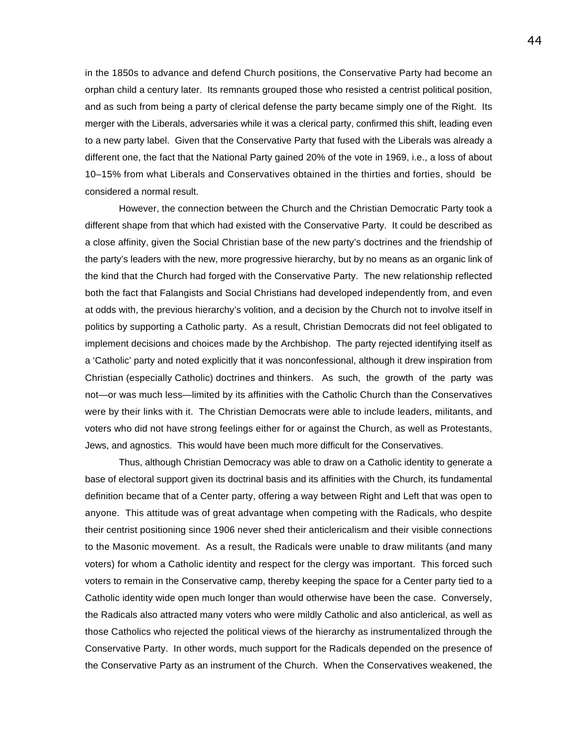in the 1850s to advance and defend Church positions, the Conservative Party had become an orphan child a century later. Its remnants grouped those who resisted a centrist political position, and as such from being a party of clerical defense the party became simply one of the Right. Its merger with the Liberals, adversaries while it was a clerical party, confirmed this shift, leading even to a new party label. Given that the Conservative Party that fused with the Liberals was already a different one, the fact that the National Party gained 20% of the vote in 1969, i.e., a loss of about 10–15% from what Liberals and Conservatives obtained in the thirties and forties, should be considered a normal result.

However, the connection between the Church and the Christian Democratic Party took a different shape from that which had existed with the Conservative Party. It could be described as a close affinity, given the Social Christian base of the new party's doctrines and the friendship of the party's leaders with the new, more progressive hierarchy, but by no means as an organic link of the kind that the Church had forged with the Conservative Party. The new relationship reflected both the fact that Falangists and Social Christians had developed independently from, and even at odds with, the previous hierarchy's volition, and a decision by the Church not to involve itself in politics by supporting a Catholic party. As a result, Christian Democrats did not feel obligated to implement decisions and choices made by the Archbishop. The party rejected identifying itself as a 'Catholic' party and noted explicitly that it was nonconfessional, although it drew inspiration from Christian (especially Catholic) doctrines and thinkers. As such, the growth of the party was not—or was much less—limited by its affinities with the Catholic Church than the Conservatives were by their links with it. The Christian Democrats were able to include leaders, militants, and voters who did not have strong feelings either for or against the Church, as well as Protestants, Jews, and agnostics. This would have been much more difficult for the Conservatives.

Thus, although Christian Democracy was able to draw on a Catholic identity to generate a base of electoral support given its doctrinal basis and its affinities with the Church, its fundamental definition became that of a Center party, offering a way between Right and Left that was open to anyone. This attitude was of great advantage when competing with the Radicals, who despite their centrist positioning since 1906 never shed their anticlericalism and their visible connections to the Masonic movement. As a result, the Radicals were unable to draw militants (and many voters) for whom a Catholic identity and respect for the clergy was important. This forced such voters to remain in the Conservative camp, thereby keeping the space for a Center party tied to a Catholic identity wide open much longer than would otherwise have been the case. Conversely, the Radicals also attracted many voters who were mildly Catholic and also anticlerical, as well as those Catholics who rejected the political views of the hierarchy as instrumentalized through the Conservative Party. In other words, much support for the Radicals depended on the presence of the Conservative Party as an instrument of the Church. When the Conservatives weakened, the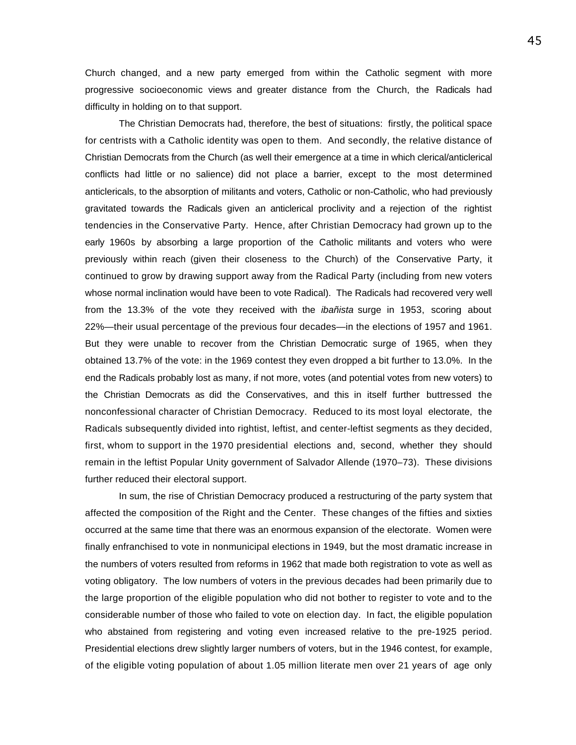Church changed, and a new party emerged from within the Catholic segment with more progressive socioeconomic views and greater distance from the Church, the Radicals had difficulty in holding on to that support.

The Christian Democrats had, therefore, the best of situations: firstly, the political space for centrists with a Catholic identity was open to them. And secondly, the relative distance of Christian Democrats from the Church (as well their emergence at a time in which clerical/anticlerical conflicts had little or no salience) did not place a barrier, except to the most determined anticlericals, to the absorption of militants and voters, Catholic or non-Catholic, who had previously gravitated towards the Radicals given an anticlerical proclivity and a rejection of the rightist tendencies in the Conservative Party. Hence, after Christian Democracy had grown up to the early 1960s by absorbing a large proportion of the Catholic militants and voters who were previously within reach (given their closeness to the Church) of the Conservative Party, it continued to grow by drawing support away from the Radical Party (including from new voters whose normal inclination would have been to vote Radical). The Radicals had recovered very well from the 13.3% of the vote they received with the *ibañista* surge in 1953, scoring about 22%—their usual percentage of the previous four decades—in the elections of 1957 and 1961. But they were unable to recover from the Christian Democratic surge of 1965, when they obtained 13.7% of the vote: in the 1969 contest they even dropped a bit further to 13.0%. In the end the Radicals probably lost as many, if not more, votes (and potential votes from new voters) to the Christian Democrats as did the Conservatives, and this in itself further buttressed the nonconfessional character of Christian Democracy. Reduced to its most loyal electorate, the Radicals subsequently divided into rightist, leftist, and center-leftist segments as they decided, first, whom to support in the 1970 presidential elections and, second, whether they should remain in the leftist Popular Unity government of Salvador Allende (1970–73). These divisions further reduced their electoral support.

In sum, the rise of Christian Democracy produced a restructuring of the party system that affected the composition of the Right and the Center. These changes of the fifties and sixties occurred at the same time that there was an enormous expansion of the electorate. Women were finally enfranchised to vote in nonmunicipal elections in 1949, but the most dramatic increase in the numbers of voters resulted from reforms in 1962 that made both registration to vote as well as voting obligatory. The low numbers of voters in the previous decades had been primarily due to the large proportion of the eligible population who did not bother to register to vote and to the considerable number of those who failed to vote on election day. In fact, the eligible population who abstained from registering and voting even increased relative to the pre-1925 period. Presidential elections drew slightly larger numbers of voters, but in the 1946 contest, for example, of the eligible voting population of about 1.05 million literate men over 21 years of age only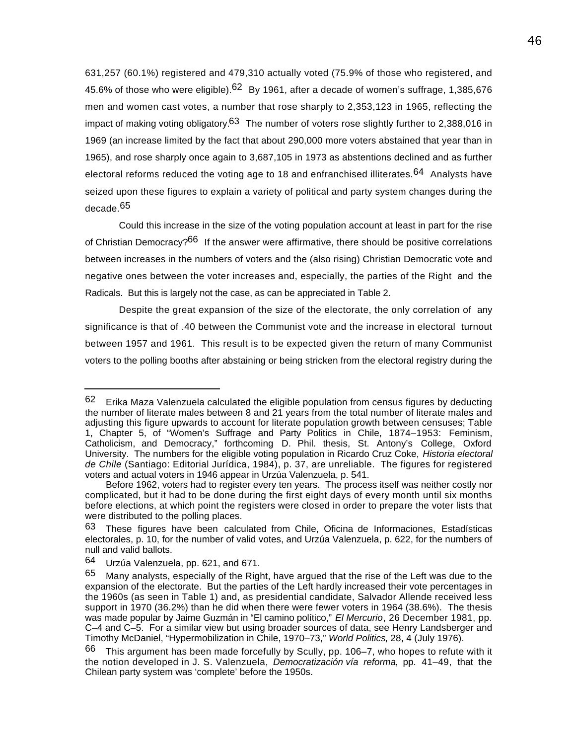631,257 (60.1%) registered and 479,310 actually voted (75.9% of those who registered, and 45.6% of those who were eligible). $62$  By 1961, after a decade of women's suffrage, 1,385,676 men and women cast votes, a number that rose sharply to 2,353,123 in 1965, reflecting the impact of making voting obligatory.<sup>63</sup> The number of voters rose slightly further to 2,388,016 in 1969 (an increase limited by the fact that about 290,000 more voters abstained that year than in 1965), and rose sharply once again to 3,687,105 in 1973 as abstentions declined and as further electoral reforms reduced the voting age to 18 and enfranchised illiterates.<sup>64</sup> Analysts have seized upon these figures to explain a variety of political and party system changes during the decade.<sup>65</sup>

Could this increase in the size of the voting population account at least in part for the rise of Christian Democracy?<sup>66</sup> If the answer were affirmative, there should be positive correlations between increases in the numbers of voters and the (also rising) Christian Democratic vote and negative ones between the voter increases and, especially, the parties of the Right and the Radicals. But this is largely not the case, as can be appreciated in Table 2.

Despite the great expansion of the size of the electorate, the only correlation of any significance is that of .40 between the Communist vote and the increase in electoral turnout between 1957 and 1961. This result is to be expected given the return of many Communist voters to the polling booths after abstaining or being stricken from the electoral registry during the

 $62$  Erika Maza Valenzuela calculated the eligible population from census figures by deducting the number of literate males between 8 and 21 years from the total number of literate males and adjusting this figure upwards to account for literate population growth between censuses; Table 1, Chapter 5, of "Women's Suffrage and Party Politics in Chile, 1874–1953: Feminism, Catholicism, and Democracy," forthcoming D. Phil. thesis, St. Antony's College, Oxford University. The numbers for the eligible voting population in Ricardo Cruz Coke, *Historia electoral de Chile* (Santiago: Editorial Jurídica, 1984), p. 37, are unreliable. The figures for registered voters and actual voters in 1946 appear in Urzúa Valenzuela, p. 541.

Before 1962, voters had to register every ten years. The process itself was neither costly nor complicated, but it had to be done during the first eight days of every month until six months before elections, at which point the registers were closed in order to prepare the voter lists that were distributed to the polling places.

<sup>63</sup> These figures have been calculated from Chile, Oficina de Informaciones, Estadísticas electorales, p. 10, for the number of valid votes, and Urzúa Valenzuela, p. 622, for the numbers of null and valid ballots.

<sup>64</sup> Urzúa Valenzuela, pp. 621, and 671.

<sup>65</sup> Many analysts, especially of the Right, have argued that the rise of the Left was due to the expansion of the electorate. But the parties of the Left hardly increased their vote percentages in the 1960s (as seen in Table 1) and, as presidential candidate, Salvador Allende received less support in 1970 (36.2%) than he did when there were fewer voters in 1964 (38.6%). The thesis was made popular by Jaime Guzmán in "El camino político," *El Mercurio*, 26 December 1981, pp. C–4 and C–5. For a similar view but using broader sources of data, see Henry Landsberger and Timothy McDaniel, "Hypermobilization in Chile, 1970–73," *World Politics*, 28, 4 (July 1976).

 $66$  This argument has been made forcefully by Scully, pp. 106–7, who hopes to refute with it the notion developed in J. S. Valenzuela, *Democratización vía reforma*, pp. 41–49, that the Chilean party system was 'complete' before the 1950s.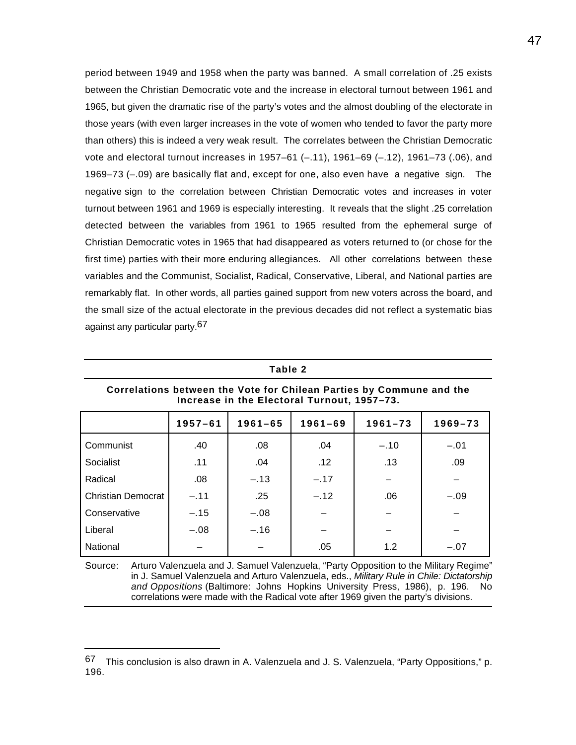period between 1949 and 1958 when the party was banned. A small correlation of .25 exists between the Christian Democratic vote and the increase in electoral turnout between 1961 and 1965, but given the dramatic rise of the party's votes and the almost doubling of the electorate in those years (with even larger increases in the vote of women who tended to favor the party more than others) this is indeed a very weak result. The correlates between the Christian Democratic vote and electoral turnout increases in 1957–61 (–.11), 1961–69 (–.12), 1961–73 (.06), and 1969–73 (–.09) are basically flat and, except for one, also even have a negative sign. The negative sign to the correlation between Christian Democratic votes and increases in voter turnout between 1961 and 1969 is especially interesting. It reveals that the slight .25 correlation detected between the variables from 1961 to 1965 resulted from the ephemeral surge of Christian Democratic votes in 1965 that had disappeared as voters returned to (or chose for the first time) parties with their more enduring allegiances. All other correlations between these variables and the Communist, Socialist, Radical, Conservative, Liberal, and National parties are remarkably flat. In other words, all parties gained support from new voters across the board, and the small size of the actual electorate in the previous decades did not reflect a systematic bias against any particular party.67

| Correlations between the Vote for Chilean Parties by Commune and the<br>Increase in the Electoral Turnout, 1957–73. |             |             |             |             |             |
|---------------------------------------------------------------------------------------------------------------------|-------------|-------------|-------------|-------------|-------------|
|                                                                                                                     | $1957 - 61$ | $1961 - 65$ | $1961 - 69$ | $1961 - 73$ | $1969 - 73$ |
| Communist                                                                                                           | .40         | .08         | .04         | $-.10$      | $-.01$      |
| Socialist                                                                                                           | .11         | .04         | .12         | .13         | .09         |
| Radical                                                                                                             | .08         | $-.13$      | $-.17$      |             |             |
| <b>Christian Democrat</b>                                                                                           | $-.11$      | .25         | $-.12$      | .06         | $-.09$      |
| Conservative                                                                                                        | $-.15$      | $-.08$      |             |             |             |
| Liberal                                                                                                             | $-.08$      | $-.16$      |             |             |             |
| National                                                                                                            |             |             | .05         | 1.2         | $-.07$      |

**Table 2**

Source: Arturo Valenzuela and J. Samuel Valenzuela, "Party Opposition to the Military Regime" in J. Samuel Valenzuela and Arturo Valenzuela, eds., *Military Rule in Chile: Dictatorship and Oppositions* (Baltimore: Johns Hopkins University Press, 1986), p. 196. No correlations were made with the Radical vote after 1969 given the party's divisions.

<sup>67</sup> This conclusion is also drawn in A. Valenzuela and J. S. Valenzuela, "Party Oppositions," p. 196.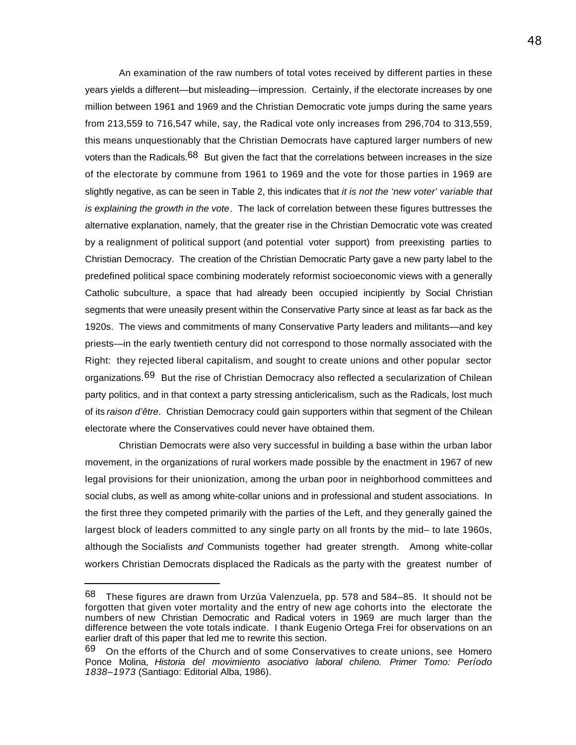An examination of the raw numbers of total votes received by different parties in these years yields a different—but misleading—impression. Certainly, if the electorate increases by one million between 1961 and 1969 and the Christian Democratic vote jumps during the same years from 213,559 to 716,547 while, say, the Radical vote only increases from 296,704 to 313,559, this means unquestionably that the Christian Democrats have captured larger numbers of new voters than the Radicals.<sup>68</sup> But given the fact that the correlations between increases in the size of the electorate by commune from 1961 to 1969 and the vote for those parties in 1969 are slightly negative, as can be seen in Table 2, this indicates that *it is not the 'new voter' variable that is explaining the growth in the vote*. The lack of correlation between these figures buttresses the alternative explanation, namely, that the greater rise in the Christian Democratic vote was created by a realignment of political support (and potential voter support) from preexisting parties to Christian Democracy. The creation of the Christian Democratic Party gave a new party label to the predefined political space combining moderately reformist socioeconomic views with a generally Catholic subculture, a space that had already been occupied incipiently by Social Christian segments that were uneasily present within the Conservative Party since at least as far back as the 1920s. The views and commitments of many Conservative Party leaders and militants—and key priests—in the early twentieth century did not correspond to those normally associated with the Right: they rejected liberal capitalism, and sought to create unions and other popular sector organizations.<sup>69</sup> But the rise of Christian Democracy also reflected a secularization of Chilean party politics, and in that context a party stressing anticlericalism, such as the Radicals, lost much of its *raison d'être*. Christian Democracy could gain supporters within that segment of the Chilean electorate where the Conservatives could never have obtained them.

Christian Democrats were also very successful in building a base within the urban labor movement, in the organizations of rural workers made possible by the enactment in 1967 of new legal provisions for their unionization, among the urban poor in neighborhood committees and social clubs, as well as among white-collar unions and in professional and student associations. In the first three they competed primarily with the parties of the Left, and they generally gained the largest block of leaders committed to any single party on all fronts by the mid– to late 1960s, although the Socialists *and* Communists together had greater strength. Among white-collar workers Christian Democrats displaced the Radicals as the party with the greatest number of

<sup>68</sup> These figures are drawn from Urzúa Valenzuela, pp. 578 and 584–85. It should not be forgotten that given voter mortality and the entry of new age cohorts into the electorate the numbers of new Christian Democratic and Radical voters in 1969 are much larger than the difference between the vote totals indicate. I thank Eugenio Ortega Frei for observations on an earlier draft of this paper that led me to rewrite this section.

<sup>69</sup> On the efforts of the Church and of some Conservatives to create unions, see Homero Ponce Molina, *Historia del movimiento asociativo laboral chileno. Primer Tomo: Período 1838–1973* (Santiago: Editorial Alba, 1986).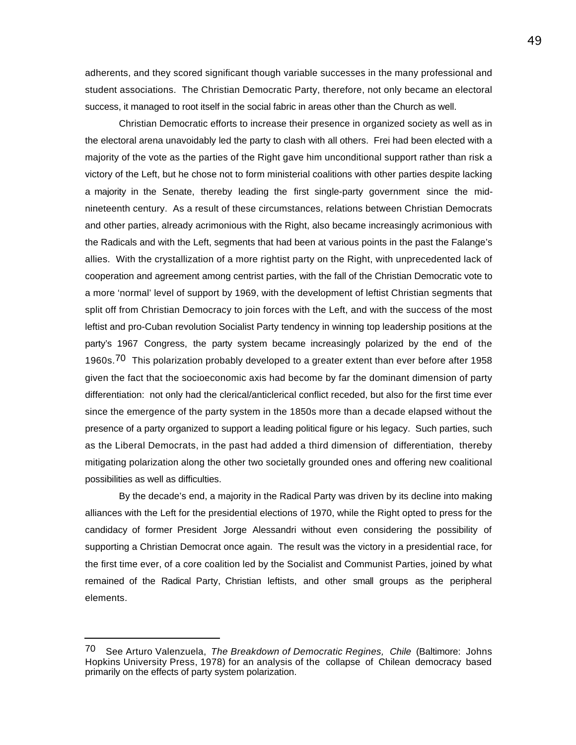adherents, and they scored significant though variable successes in the many professional and student associations. The Christian Democratic Party, therefore, not only became an electoral success, it managed to root itself in the social fabric in areas other than the Church as well.

Christian Democratic efforts to increase their presence in organized society as well as in the electoral arena unavoidably led the party to clash with all others. Frei had been elected with a majority of the vote as the parties of the Right gave him unconditional support rather than risk a victory of the Left, but he chose not to form ministerial coalitions with other parties despite lacking a majority in the Senate, thereby leading the first single-party government since the midnineteenth century. As a result of these circumstances, relations between Christian Democrats and other parties, already acrimonious with the Right, also became increasingly acrimonious with the Radicals and with the Left, segments that had been at various points in the past the Falange's allies. With the crystallization of a more rightist party on the Right, with unprecedented lack of cooperation and agreement among centrist parties, with the fall of the Christian Democratic vote to a more 'normal' level of support by 1969, with the development of leftist Christian segments that split off from Christian Democracy to join forces with the Left, and with the success of the most leftist and pro-Cuban revolution Socialist Party tendency in winning top leadership positions at the party's 1967 Congress, the party system became increasingly polarized by the end of the 1960s.<sup>70</sup> This polarization probably developed to a greater extent than ever before after 1958 given the fact that the socioeconomic axis had become by far the dominant dimension of party differentiation: not only had the clerical/anticlerical conflict receded, but also for the first time ever since the emergence of the party system in the 1850s more than a decade elapsed without the presence of a party organized to support a leading political figure or his legacy. Such parties, such as the Liberal Democrats, in the past had added a third dimension of differentiation, thereby mitigating polarization along the other two societally grounded ones and offering new coalitional possibilities as well as difficulties.

By the decade's end, a majority in the Radical Party was driven by its decline into making alliances with the Left for the presidential elections of 1970, while the Right opted to press for the candidacy of former President Jorge Alessandri without even considering the possibility of supporting a Christian Democrat once again. The result was the victory in a presidential race, for the first time ever, of a core coalition led by the Socialist and Communist Parties, joined by what remained of the Radical Party, Christian leftists, and other small groups as the peripheral elements.

<sup>70</sup> See Arturo Valenzuela, *The Breakdown of Democratic Regines, Chile* (Baltimore: Johns Hopkins University Press, 1978) for an analysis of the collapse of Chilean democracy based primarily on the effects of party system polarization.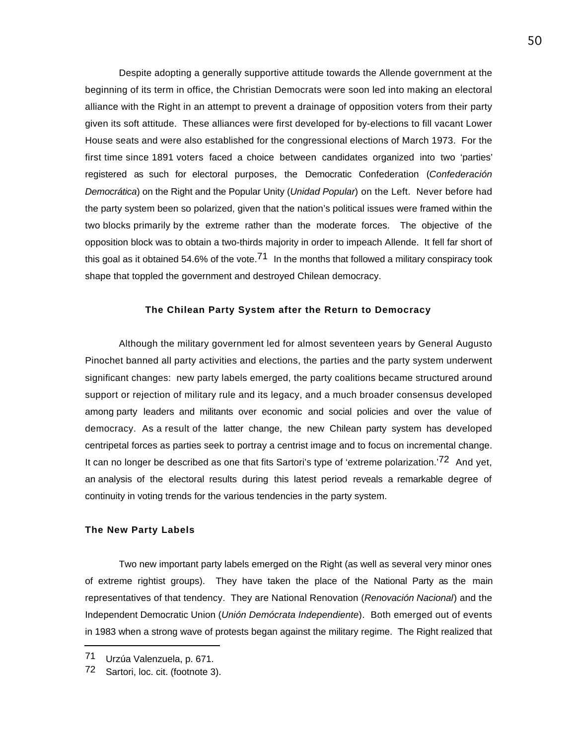Despite adopting a generally supportive attitude towards the Allende government at the beginning of its term in office, the Christian Democrats were soon led into making an electoral alliance with the Right in an attempt to prevent a drainage of opposition voters from their party given its soft attitude. These alliances were first developed for by-elections to fill vacant Lower House seats and were also established for the congressional elections of March 1973. For the first time since 1891 voters faced a choice between candidates organized into two 'parties' registered as such for electoral purposes, the Democratic Confederation (*Confederación Democrática*) on the Right and the Popular Unity (*Unidad Popular*) on the Left. Never before had the party system been so polarized, given that the nation's political issues were framed within the two blocks primarily by the extreme rather than the moderate forces. The objective of the opposition block was to obtain a two-thirds majority in order to impeach Allende. It fell far short of this goal as it obtained 54.6% of the vote.<sup>71</sup> In the months that followed a military conspiracy took shape that toppled the government and destroyed Chilean democracy.

# **The Chilean Party System after the Return to Democracy**

Although the military government led for almost seventeen years by General Augusto Pinochet banned all party activities and elections, the parties and the party system underwent significant changes: new party labels emerged, the party coalitions became structured around support or rejection of military rule and its legacy, and a much broader consensus developed among party leaders and militants over economic and social policies and over the value of democracy. As a result of the latter change, the new Chilean party system has developed centripetal forces as parties seek to portray a centrist image and to focus on incremental change. It can no longer be described as one that fits Sartori's type of 'extreme polarization.'<sup>72</sup> And yet, an analysis of the electoral results during this latest period reveals a remarkable degree of continuity in voting trends for the various tendencies in the party system.

#### **The New Party Labels**

Two new important party labels emerged on the Right (as well as several very minor ones of extreme rightist groups). They have taken the place of the National Party as the main representatives of that tendency. They are National Renovation (*Renovación Nacional*) and the Independent Democratic Union (*Unión Demócrata Independiente*). Both emerged out of events in 1983 when a strong wave of protests began against the military regime. The Right realized that

<sup>71</sup> Urzúa Valenzuela, p. 671.

<sup>72</sup> Sartori, loc. cit. (footnote 3).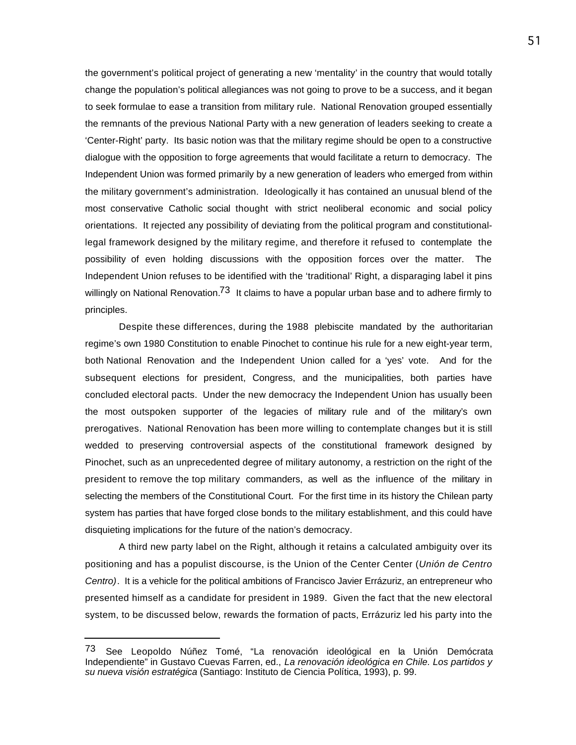the government's political project of generating a new 'mentality' in the country that would totally change the population's political allegiances was not going to prove to be a success, and it began to seek formulae to ease a transition from military rule. National Renovation grouped essentially the remnants of the previous National Party with a new generation of leaders seeking to create a 'Center-Right' party. Its basic notion was that the military regime should be open to a constructive dialogue with the opposition to forge agreements that would facilitate a return to democracy. The Independent Union was formed primarily by a new generation of leaders who emerged from within the military government's administration. Ideologically it has contained an unusual blend of the most conservative Catholic social thought with strict neoliberal economic and social policy orientations. It rejected any possibility of deviating from the political program and constitutionallegal framework designed by the military regime, and therefore it refused to contemplate the possibility of even holding discussions with the opposition forces over the matter. The Independent Union refuses to be identified with the 'traditional' Right, a disparaging label it pins willingly on National Renovation.<sup>73</sup> It claims to have a popular urban base and to adhere firmly to principles.

Despite these differences, during the 1988 plebiscite mandated by the authoritarian regime's own 1980 Constitution to enable Pinochet to continue his rule for a new eight-year term, both National Renovation and the Independent Union called for a 'yes' vote. And for the subsequent elections for president, Congress, and the municipalities, both parties have concluded electoral pacts. Under the new democracy the Independent Union has usually been the most outspoken supporter of the legacies of military rule and of the military's own prerogatives. National Renovation has been more willing to contemplate changes but it is still wedded to preserving controversial aspects of the constitutional framework designed by Pinochet, such as an unprecedented degree of military autonomy, a restriction on the right of the president to remove the top military commanders, as well as the influence of the military in selecting the members of the Constitutional Court. For the first time in its history the Chilean party system has parties that have forged close bonds to the military establishment, and this could have disquieting implications for the future of the nation's democracy.

A third new party label on the Right, although it retains a calculated ambiguity over its positioning and has a populist discourse, is the Union of the Center Center (*Unión de Centro Centro)*. It is a vehicle for the political ambitions of Francisco Javier Errázuriz, an entrepreneur who presented himself as a candidate for president in 1989. Given the fact that the new electoral system, to be discussed below, rewards the formation of pacts, Errázuriz led his party into the

<sup>73</sup> See Leopoldo Núñez Tomé, "La renovación ideológical en la Unión Demócrata Independiente" in Gustavo Cuevas Farren, ed., *La renovación ideológica en Chile. Los partidos y su nueva visión estratégica* (Santiago: Instituto de Ciencia Política, 1993), p. 99.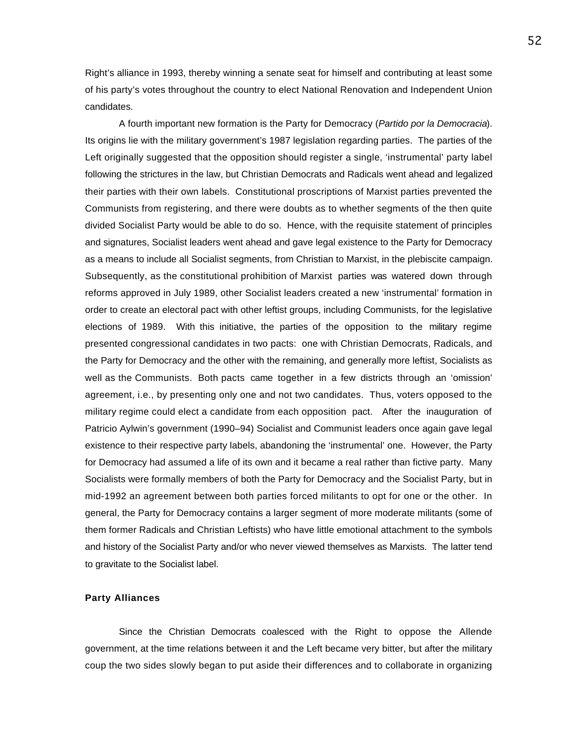Right's alliance in 1993, thereby winning a senate seat for himself and contributing at least some of his party's votes throughout the country to elect National Renovation and Independent Union candidates.

A fourth important new formation is the Party for Democracy (*Partido por la Democracia*). Its origins lie with the military government's 1987 legislation regarding parties. The parties of the Left originally suggested that the opposition should register a single, 'instrumental' party label following the strictures in the law, but Christian Democrats and Radicals went ahead and legalized their parties with their own labels. Constitutional proscriptions of Marxist parties prevented the Communists from registering, and there were doubts as to whether segments of the then quite divided Socialist Party would be able to do so. Hence, with the requisite statement of principles and signatures, Socialist leaders went ahead and gave legal existence to the Party for Democracy as a means to include all Socialist segments, from Christian to Marxist, in the plebiscite campaign. Subsequently, as the constitutional prohibition of Marxist parties was watered down through reforms approved in July 1989, other Socialist leaders created a new 'instrumental' formation in order to create an electoral pact with other leftist groups, including Communists, for the legislative elections of 1989. With this initiative, the parties of the opposition to the military regime presented congressional candidates in two pacts: one with Christian Democrats, Radicals, and the Party for Democracy and the other with the remaining, and generally more leftist, Socialists as well as the Communists. Both pacts came together in a few districts through an 'omission' agreement, i.e., by presenting only one and not two candidates. Thus, voters opposed to the military regime could elect a candidate from each opposition pact. After the inauguration of Patricio Aylwin's government (1990–94) Socialist and Communist leaders once again gave legal existence to their respective party labels, abandoning the 'instrumental' one. However, the Party for Democracy had assumed a life of its own and it became a real rather than fictive party. Many Socialists were formally members of both the Party for Democracy and the Socialist Party, but in mid-1992 an agreement between both parties forced militants to opt for one or the other. In general, the Party for Democracy contains a larger segment of more moderate militants (some of them former Radicals and Christian Leftists) who have little emotional attachment to the symbols and history of the Socialist Party and/or who never viewed themselves as Marxists. The latter tend to gravitate to the Socialist label.

#### **Party Alliances**

Since the Christian Democrats coalesced with the Right to oppose the Allende government, at the time relations between it and the Left became very bitter, but after the military coup the two sides slowly began to put aside their differences and to collaborate in organizing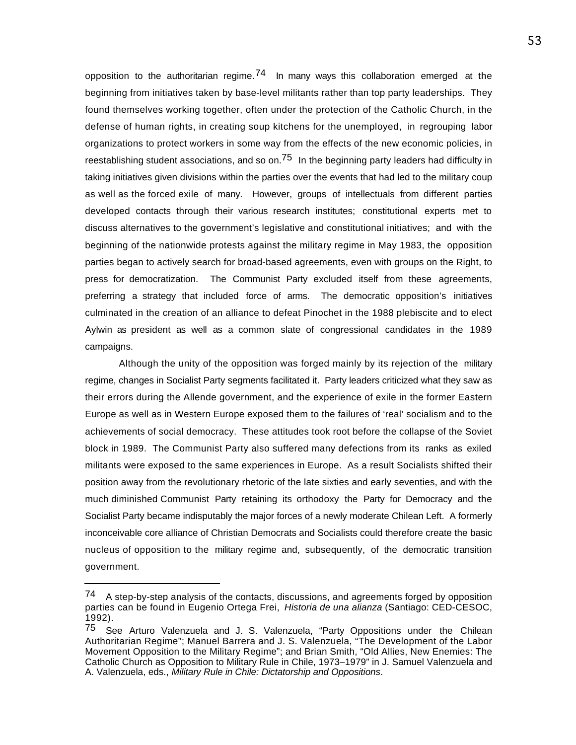opposition to the authoritarian regime.<sup>74</sup> In many ways this collaboration emerged at the beginning from initiatives taken by base-level militants rather than top party leaderships. They found themselves working together, often under the protection of the Catholic Church, in the defense of human rights, in creating soup kitchens for the unemployed, in regrouping labor organizations to protect workers in some way from the effects of the new economic policies, in reestablishing student associations, and so on.<sup>75</sup> In the beginning party leaders had difficulty in taking initiatives given divisions within the parties over the events that had led to the military coup as well as the forced exile of many. However, groups of intellectuals from different parties developed contacts through their various research institutes; constitutional experts met to discuss alternatives to the government's legislative and constitutional initiatives; and with the beginning of the nationwide protests against the military regime in May 1983, the opposition parties began to actively search for broad-based agreements, even with groups on the Right, to press for democratization. The Communist Party excluded itself from these agreements, preferring a strategy that included force of arms. The democratic opposition's initiatives culminated in the creation of an alliance to defeat Pinochet in the 1988 plebiscite and to elect Aylwin as president as well as a common slate of congressional candidates in the 1989 campaigns.

Although the unity of the opposition was forged mainly by its rejection of the military regime, changes in Socialist Party segments facilitated it. Party leaders criticized what they saw as their errors during the Allende government, and the experience of exile in the former Eastern Europe as well as in Western Europe exposed them to the failures of 'real' socialism and to the achievements of social democracy. These attitudes took root before the collapse of the Soviet block in 1989. The Communist Party also suffered many defections from its ranks as exiled militants were exposed to the same experiences in Europe. As a result Socialists shifted their position away from the revolutionary rhetoric of the late sixties and early seventies, and with the much diminished Communist Party retaining its orthodoxy the Party for Democracy and the Socialist Party became indisputably the major forces of a newly moderate Chilean Left. A formerly inconceivable core alliance of Christian Democrats and Socialists could therefore create the basic nucleus of opposition to the military regime and, subsequently, of the democratic transition government.

<sup>&</sup>lt;sup>74</sup> A step-by-step analysis of the contacts, discussions, and agreements forged by opposition parties can be found in Eugenio Ortega Frei, *Historia de una alianza* (Santiago: CED-CESOC, 1992).

<sup>75</sup> See Arturo Valenzuela and J. S. Valenzuela, "Party Oppositions under the Chilean Authoritarian Regime"; Manuel Barrera and J. S. Valenzuela, "The Development of the Labor Movement Opposition to the Military Regime"; and Brian Smith, "Old Allies, New Enemies: The Catholic Church as Opposition to Military Rule in Chile, 1973–1979" in J. Samuel Valenzuela and A. Valenzuela, eds., *Military Rule in Chile: Dictatorship and Oppositions*.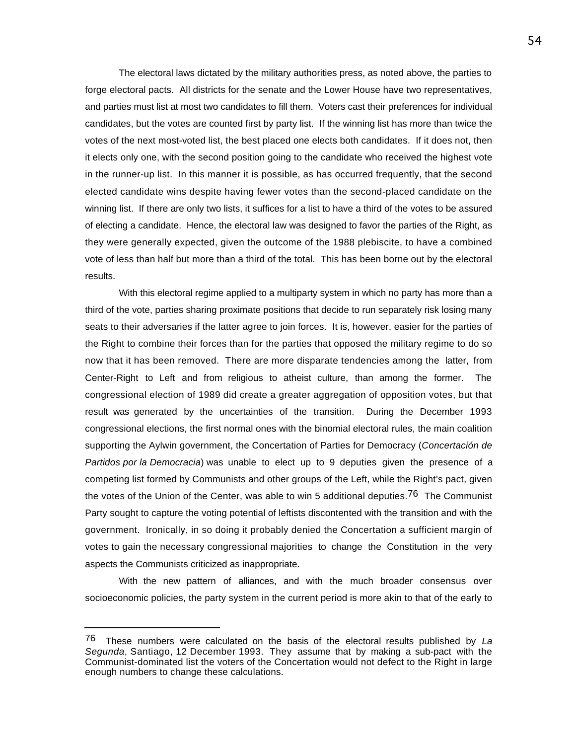The electoral laws dictated by the military authorities press, as noted above, the parties to forge electoral pacts. All districts for the senate and the Lower House have two representatives, and parties must list at most two candidates to fill them. Voters cast their preferences for individual candidates, but the votes are counted first by party list. If the winning list has more than twice the votes of the next most-voted list, the best placed one elects both candidates. If it does not, then it elects only one, with the second position going to the candidate who received the highest vote in the runner-up list. In this manner it is possible, as has occurred frequently, that the second elected candidate wins despite having fewer votes than the second-placed candidate on the winning list. If there are only two lists, it suffices for a list to have a third of the votes to be assured of electing a candidate. Hence, the electoral law was designed to favor the parties of the Right, as they were generally expected, given the outcome of the 1988 plebiscite, to have a combined vote of less than half but more than a third of the total. This has been borne out by the electoral results.

With this electoral regime applied to a multiparty system in which no party has more than a third of the vote, parties sharing proximate positions that decide to run separately risk losing many seats to their adversaries if the latter agree to join forces. It is, however, easier for the parties of the Right to combine their forces than for the parties that opposed the military regime to do so now that it has been removed. There are more disparate tendencies among the latter, from Center-Right to Left and from religious to atheist culture, than among the former. The congressional election of 1989 did create a greater aggregation of opposition votes, but that result was generated by the uncertainties of the transition. During the December 1993 congressional elections, the first normal ones with the binomial electoral rules, the main coalition supporting the Aylwin government, the Concertation of Parties for Democracy (*Concertación de Partidos por la Democracia*) was unable to elect up to 9 deputies given the presence of a competing list formed by Communists and other groups of the Left, while the Right's pact, given the votes of the Union of the Center, was able to win 5 additional deputies.<sup>76</sup> The Communist Party sought to capture the voting potential of leftists discontented with the transition and with the government. Ironically, in so doing it probably denied the Concertation a sufficient margin of votes to gain the necessary congressional majorities to change the Constitution in the very aspects the Communists criticized as inappropriate.

With the new pattern of alliances, and with the much broader consensus over socioeconomic policies, the party system in the current period is more akin to that of the early to

<sup>76</sup> These numbers were calculated on the basis of the electoral results published by *La Segunda*, Santiago, 12 December 1993. They assume that by making a sub-pact with the Communist-dominated list the voters of the Concertation would not defect to the Right in large enough numbers to change these calculations.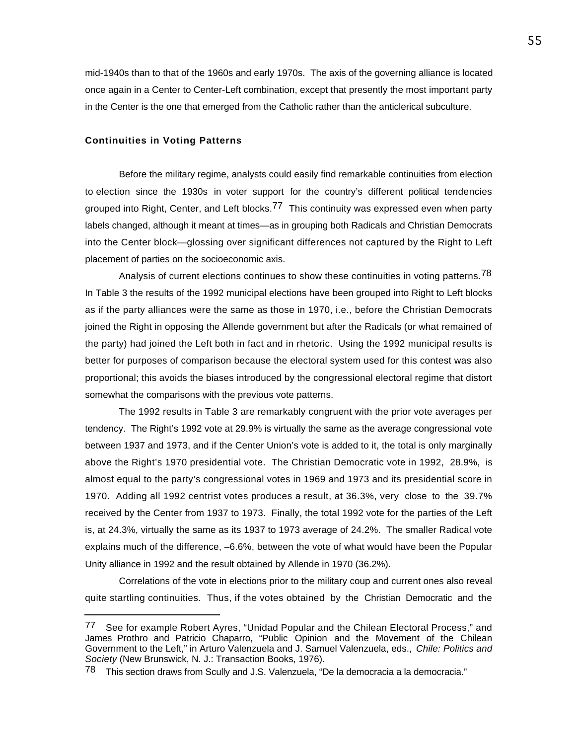mid-1940s than to that of the 1960s and early 1970s. The axis of the governing alliance is located once again in a Center to Center-Left combination, except that presently the most important party in the Center is the one that emerged from the Catholic rather than the anticlerical subculture.

#### **Continuities in Voting Patterns**

 $\overline{a}$ 

Before the military regime, analysts could easily find remarkable continuities from election to election since the 1930s in voter support for the country's different political tendencies grouped into Right, Center, and Left blocks.<sup>77</sup> This continuity was expressed even when party labels changed, although it meant at times—as in grouping both Radicals and Christian Democrats into the Center block—glossing over significant differences not captured by the Right to Left placement of parties on the socioeconomic axis.

Analysis of current elections continues to show these continuities in voting patterns.<sup>78</sup> In Table 3 the results of the 1992 municipal elections have been grouped into Right to Left blocks as if the party alliances were the same as those in 1970, i.e., before the Christian Democrats joined the Right in opposing the Allende government but after the Radicals (or what remained of the party) had joined the Left both in fact and in rhetoric. Using the 1992 municipal results is better for purposes of comparison because the electoral system used for this contest was also proportional; this avoids the biases introduced by the congressional electoral regime that distort somewhat the comparisons with the previous vote patterns.

The 1992 results in Table 3 are remarkably congruent with the prior vote averages per tendency. The Right's 1992 vote at 29.9% is virtually the same as the average congressional vote between 1937 and 1973, and if the Center Union's vote is added to it, the total is only marginally above the Right's 1970 presidential vote. The Christian Democratic vote in 1992, 28.9%, is almost equal to the party's congressional votes in 1969 and 1973 and its presidential score in 1970. Adding all 1992 centrist votes produces a result, at 36.3%, very close to the 39.7% received by the Center from 1937 to 1973. Finally, the total 1992 vote for the parties of the Left is, at 24.3%, virtually the same as its 1937 to 1973 average of 24.2%. The smaller Radical vote explains much of the difference, –6.6%, between the vote of what would have been the Popular Unity alliance in 1992 and the result obtained by Allende in 1970 (36.2%).

Correlations of the vote in elections prior to the military coup and current ones also reveal quite startling continuities. Thus, if the votes obtained by the Christian Democratic and the

<sup>77</sup> See for example Robert Ayres, "Unidad Popular and the Chilean Electoral Process," and James Prothro and Patricio Chaparro, "Public Opinion and the Movement of the Chilean Government to the Left," in Arturo Valenzuela and J. Samuel Valenzuela, eds., *Chile: Politics and Society* (New Brunswick, N. J.: Transaction Books, 1976).

<sup>78</sup> This section draws from Scully and J.S. Valenzuela, "De la democracia a la democracia."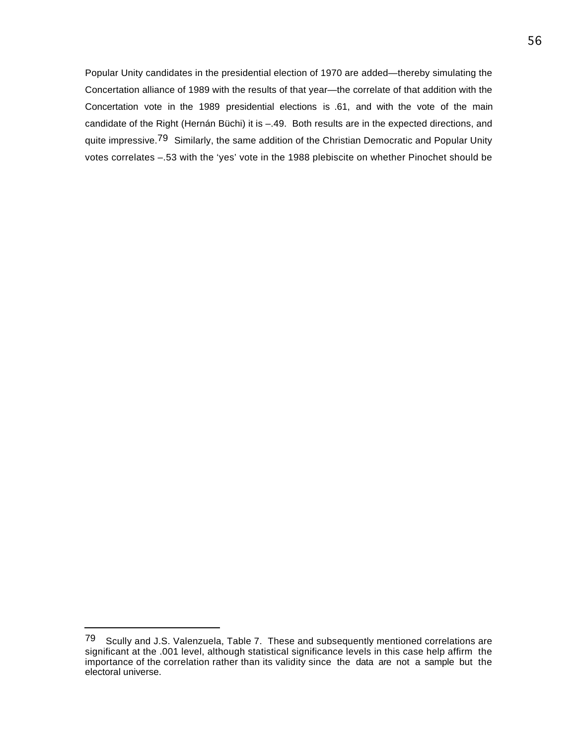Popular Unity candidates in the presidential election of 1970 are added—thereby simulating the Concertation alliance of 1989 with the results of that year—the correlate of that addition with the Concertation vote in the 1989 presidential elections is .61, and with the vote of the main candidate of the Right (Hernán Büchi) it is –.49. Both results are in the expected directions, and quite impressive.<sup>79</sup> Similarly, the same addition of the Christian Democratic and Popular Unity votes correlates –.53 with the 'yes' vote in the 1988 plebiscite on whether Pinochet should be

<sup>79</sup> Scully and J.S. Valenzuela, Table 7. These and subsequently mentioned correlations are significant at the .001 level, although statistical significance levels in this case help affirm the importance of the correlation rather than its validity since the data are not a sample but the electoral universe.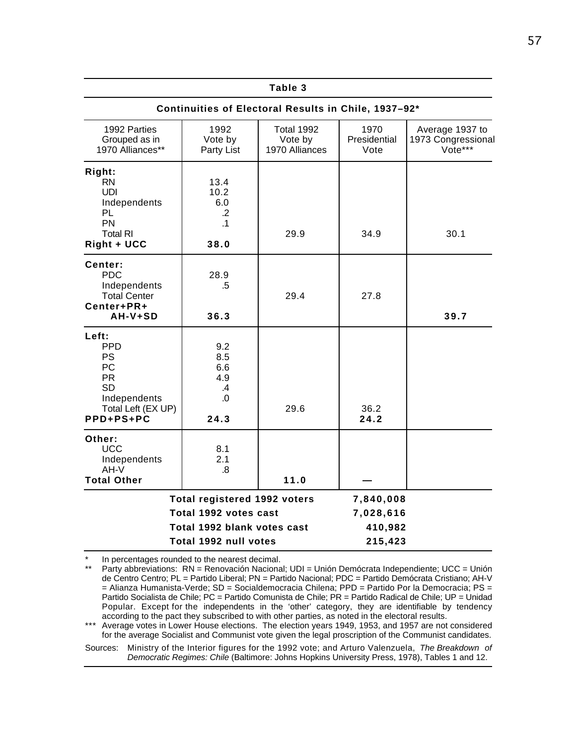|                                                                                                                     |                                                                                                                      | Table 3                                              |                                              |                                                  |
|---------------------------------------------------------------------------------------------------------------------|----------------------------------------------------------------------------------------------------------------------|------------------------------------------------------|----------------------------------------------|--------------------------------------------------|
|                                                                                                                     |                                                                                                                      | Continuities of Electoral Results in Chile, 1937-92* |                                              |                                                  |
| 1992 Parties<br>Grouped as in<br>1970 Alliances**                                                                   | 1992<br>Vote by<br>Party List                                                                                        | <b>Total 1992</b><br>Vote by<br>1970 Alliances       | 1970<br>Presidential<br>Vote                 | Average 1937 to<br>1973 Congressional<br>Vote*** |
| Right:<br><b>RN</b><br><b>UDI</b><br>Independents<br>PL<br><b>PN</b><br><b>Total RI</b><br>Right + UCC              | 13.4<br>10.2<br>6.0<br>$\cdot$ .2<br>$\cdot$ 1<br>38.0                                                               | 29.9                                                 | 34.9                                         | 30.1                                             |
| Center:<br><b>PDC</b><br>Independents<br><b>Total Center</b><br>Center+PR+<br>AH-V+SD                               | 28.9<br>.5<br>36.3                                                                                                   | 29.4                                                 | 27.8                                         | 39.7                                             |
| Left:<br><b>PPD</b><br>PS<br><b>PC</b><br><b>PR</b><br><b>SD</b><br>Independents<br>Total Left (EX UP)<br>PPD+PS+PC | 9.2<br>8.5<br>6.6<br>4.9<br>$\mathcal{A}$<br>.0<br>24.3                                                              | 29.6                                                 | 36.2<br>24.2                                 |                                                  |
| Other:<br><b>UCC</b><br>Independents<br>$AH-V$<br><b>Total Other</b>                                                | 8.1<br>2.1<br>.8                                                                                                     | 11.0                                                 |                                              |                                                  |
|                                                                                                                     | <b>Total registered 1992 voters</b><br>Total 1992 votes cast<br>Total 1992 blank votes cast<br>Total 1992 null votes |                                                      | 7,840,008<br>7,028,616<br>410,982<br>215,423 |                                                  |

\* In percentages rounded to the nearest decimal.<br>\*\* Perty obbroviationa: RN - Renovación Necional

\*\*\* Average votes in Lower House elections. The election years 1949, 1953, and 1957 are not considered for the average Socialist and Communist vote given the legal proscription of the Communist candidates.

Sources: Ministry of the Interior figures for the 1992 vote; and Arturo Valenzuela, *The Breakdown of Democratic Regimes: Chile* (Baltimore: Johns Hopkins University Press, 1978), Tables 1 and 12.

Party abbreviations: RN = Renovación Nacional; UDI = Unión Demócrata Independiente; UCC = Unión de Centro Centro; PL = Partido Liberal; PN = Partido Nacional; PDC = Partido Demócrata Cristiano; AH-V = Alianza Humanista-Verde; SD = Socialdemocracia Chilena; PPD = Partido Por la Democracia; PS = Partido Socialista de Chile; PC = Partido Comunista de Chile; PR = Partido Radical de Chile; UP = Unidad Popular. Except for the independents in the 'other' category, they are identifiable by tendency according to the pact they subscribed to with other parties, as noted in the electoral results.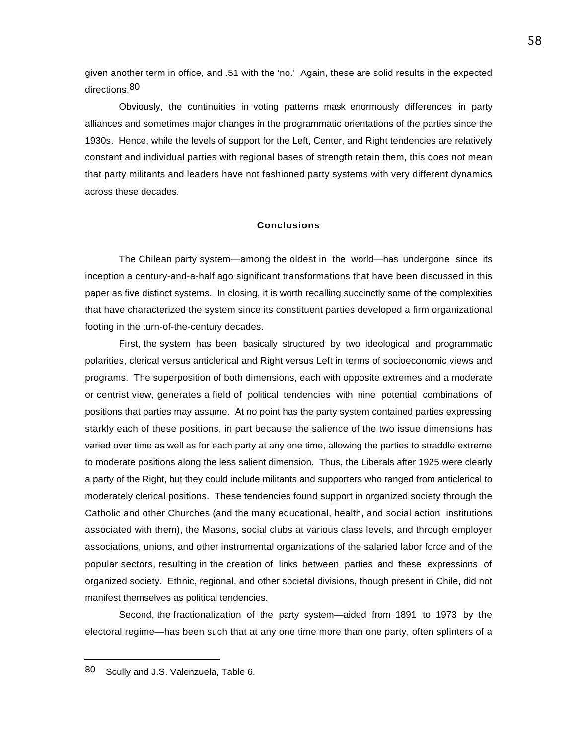given another term in office, and .51 with the 'no.' Again, these are solid results in the expected directions.<sup>80</sup>

Obviously, the continuities in voting patterns mask enormously differences in party alliances and sometimes major changes in the programmatic orientations of the parties since the 1930s. Hence, while the levels of support for the Left, Center, and Right tendencies are relatively constant and individual parties with regional bases of strength retain them, this does not mean that party militants and leaders have not fashioned party systems with very different dynamics across these decades.

#### **Conclusions**

The Chilean party system—among the oldest in the world—has undergone since its inception a century-and-a-half ago significant transformations that have been discussed in this paper as five distinct systems. In closing, it is worth recalling succinctly some of the complexities that have characterized the system since its constituent parties developed a firm organizational footing in the turn-of-the-century decades.

First, the system has been basically structured by two ideological and programmatic polarities, clerical versus anticlerical and Right versus Left in terms of socioeconomic views and programs. The superposition of both dimensions, each with opposite extremes and a moderate or centrist view, generates a field of political tendencies with nine potential combinations of positions that parties may assume. At no point has the party system contained parties expressing starkly each of these positions, in part because the salience of the two issue dimensions has varied over time as well as for each party at any one time, allowing the parties to straddle extreme to moderate positions along the less salient dimension. Thus, the Liberals after 1925 were clearly a party of the Right, but they could include militants and supporters who ranged from anticlerical to moderately clerical positions. These tendencies found support in organized society through the Catholic and other Churches (and the many educational, health, and social action institutions associated with them), the Masons, social clubs at various class levels, and through employer associations, unions, and other instrumental organizations of the salaried labor force and of the popular sectors, resulting in the creation of links between parties and these expressions of organized society. Ethnic, regional, and other societal divisions, though present in Chile, did not manifest themselves as political tendencies.

Second, the fractionalization of the party system—aided from 1891 to 1973 by the electoral regime—has been such that at any one time more than one party, often splinters of a

<sup>80</sup> Scully and J.S. Valenzuela, Table 6.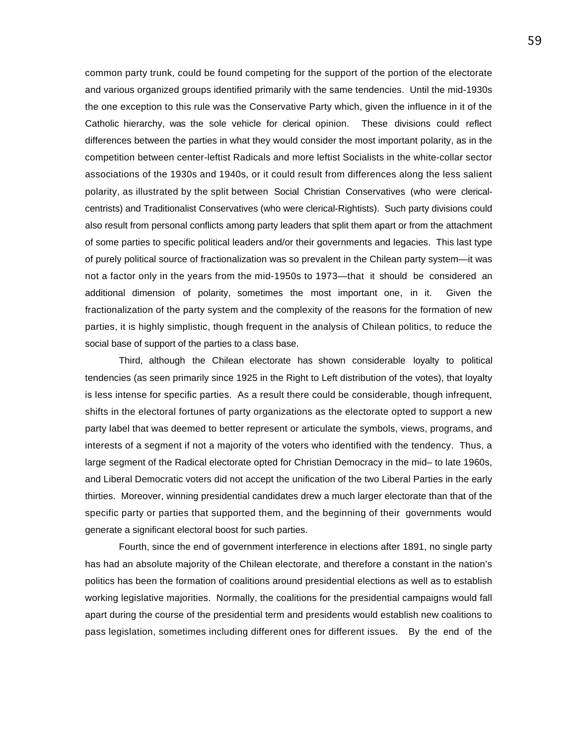common party trunk, could be found competing for the support of the portion of the electorate and various organized groups identified primarily with the same tendencies. Until the mid-1930s the one exception to this rule was the Conservative Party which, given the influence in it of the Catholic hierarchy, was the sole vehicle for clerical opinion. These divisions could reflect differences between the parties in what they would consider the most important polarity, as in the competition between center-leftist Radicals and more leftist Socialists in the white-collar sector associations of the 1930s and 1940s, or it could result from differences along the less salient polarity, as illustrated by the split between Social Christian Conservatives (who were clericalcentrists) and Traditionalist Conservatives (who were clerical-Rightists). Such party divisions could also result from personal conflicts among party leaders that split them apart or from the attachment of some parties to specific political leaders and/or their governments and legacies. This last type of purely political source of fractionalization was so prevalent in the Chilean party system—it was not a factor only in the years from the mid-1950s to 1973—that it should be considered an additional dimension of polarity, sometimes the most important one, in it. Given the fractionalization of the party system and the complexity of the reasons for the formation of new parties, it is highly simplistic, though frequent in the analysis of Chilean politics, to reduce the social base of support of the parties to a class base.

Third, although the Chilean electorate has shown considerable loyalty to political tendencies (as seen primarily since 1925 in the Right to Left distribution of the votes), that loyalty is less intense for specific parties. As a result there could be considerable, though infrequent, shifts in the electoral fortunes of party organizations as the electorate opted to support a new party label that was deemed to better represent or articulate the symbols, views, programs, and interests of a segment if not a majority of the voters who identified with the tendency. Thus, a large segment of the Radical electorate opted for Christian Democracy in the mid– to late 1960s, and Liberal Democratic voters did not accept the unification of the two Liberal Parties in the early thirties. Moreover, winning presidential candidates drew a much larger electorate than that of the specific party or parties that supported them, and the beginning of their governments would generate a significant electoral boost for such parties.

Fourth, since the end of government interference in elections after 1891, no single party has had an absolute majority of the Chilean electorate, and therefore a constant in the nation's politics has been the formation of coalitions around presidential elections as well as to establish working legislative majorities. Normally, the coalitions for the presidential campaigns would fall apart during the course of the presidential term and presidents would establish new coalitions to pass legislation, sometimes including different ones for different issues. By the end of the